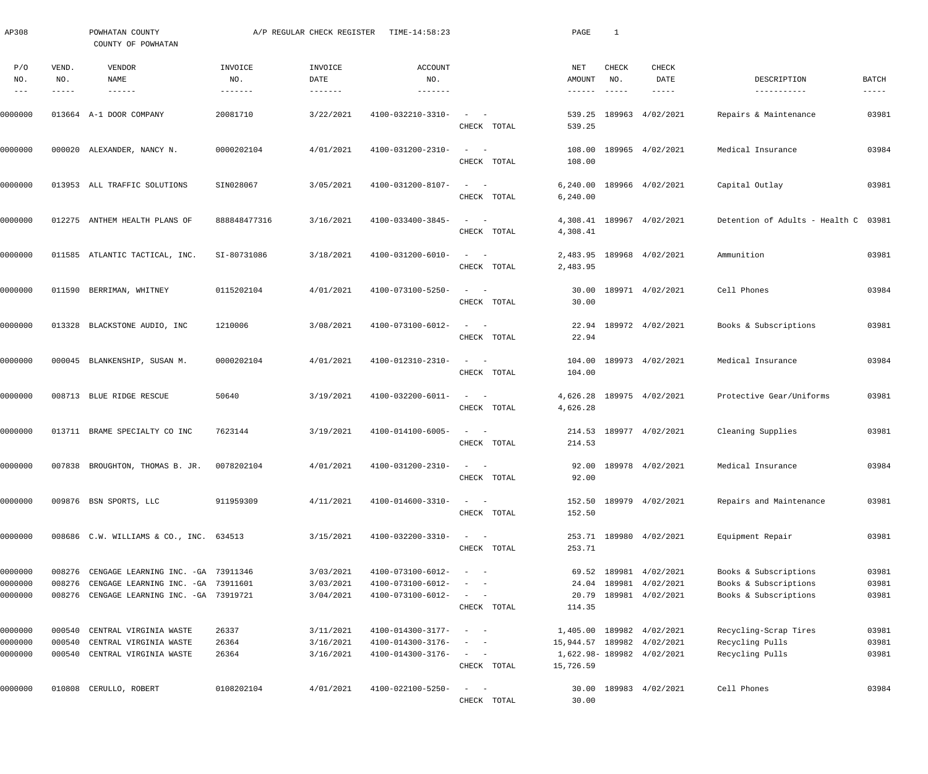| AP308      |              | POWHATAN COUNTY<br>COUNTY OF POWHATAN      |                | A/P REGULAR CHECK REGISTER | TIME-14:58:23                |                                                                                                                             |             | PAGE                       | 1                         |                           |                                      |                      |
|------------|--------------|--------------------------------------------|----------------|----------------------------|------------------------------|-----------------------------------------------------------------------------------------------------------------------------|-------------|----------------------------|---------------------------|---------------------------|--------------------------------------|----------------------|
| P/O<br>NO. | VEND.<br>NO. | VENDOR<br>NAME                             | INVOICE<br>NO. | INVOICE<br>DATE            | <b>ACCOUNT</b><br>NO.        |                                                                                                                             |             | NET<br>AMOUNT              | CHECK<br>NO.              | CHECK<br>DATE             | DESCRIPTION                          | BATCH                |
| $- - -$    | -----        | $- - - - - - -$                            |                |                            |                              |                                                                                                                             |             | $- - - - - - -$            | $\qquad \qquad - - - - -$ | -----                     | -----------                          | $\cdots\cdots\cdots$ |
| 0000000    |              | 013664 A-1 DOOR COMPANY                    | 20081710       | 3/22/2021                  | 4100-032210-3310-            | $\frac{1}{2} \left( \frac{1}{2} \right) \left( \frac{1}{2} \right) = \frac{1}{2} \left( \frac{1}{2} \right)$                | CHECK TOTAL | 539.25<br>539.25           |                           | 189963 4/02/2021          | Repairs & Maintenance                | 03981                |
| 0000000    |              | 000020 ALEXANDER, NANCY N.                 | 0000202104     | 4/01/2021                  | 4100-031200-2310-            | $\frac{1}{2}$ and $\frac{1}{2}$ and $\frac{1}{2}$                                                                           |             |                            |                           | 108.00 189965 4/02/2021   | Medical Insurance                    | 03984                |
|            |              |                                            |                |                            |                              | CHECK TOTAL                                                                                                                 |             | 108.00                     |                           |                           |                                      |                      |
| 0000000    |              | 013953 ALL TRAFFIC SOLUTIONS               | SIN028067      | 3/05/2021                  | 4100-031200-8107-            | $\qquad \qquad -$                                                                                                           |             |                            |                           | 6,240.00 189966 4/02/2021 | Capital Outlay                       | 03981                |
|            |              |                                            |                |                            |                              |                                                                                                                             | CHECK TOTAL | 6, 240.00                  |                           |                           |                                      |                      |
| 0000000    |              | 012275 ANTHEM HEALTH PLANS OF              | 888848477316   | 3/16/2021                  | 4100-033400-3845-            | $\begin{array}{cccccccccc} - & & & & - & & - & & \end{array}$                                                               | CHECK TOTAL | 4,308.41                   |                           | 4,308.41 189967 4/02/2021 | Detention of Adults - Health C 03981 |                      |
| 0000000    |              | 011585 ATLANTIC TACTICAL, INC.             | SI-80731086    | 3/18/2021                  | 4100-031200-6010-            | $\begin{array}{cccccccccc} - & & & & - & & - & & \end{array}$                                                               |             |                            |                           | 2,483.95 189968 4/02/2021 | Ammunition                           | 03981                |
|            |              |                                            |                |                            |                              |                                                                                                                             | CHECK TOTAL | 2,483.95                   |                           |                           |                                      |                      |
| 0000000    |              | 011590 BERRIMAN, WHITNEY                   | 0115202104     | 4/01/2021                  | 4100-073100-5250-            | $\begin{array}{cccccccccc} - & & & & - & & - & & \end{array}$                                                               | CHECK TOTAL |                            |                           | 30.00 189971 4/02/2021    | Cell Phones                          | 03984                |
|            |              |                                            |                |                            |                              |                                                                                                                             |             | 30.00                      |                           |                           |                                      |                      |
| 0000000    |              | 013328 BLACKSTONE AUDIO, INC               | 1210006        | 3/08/2021                  | 4100-073100-6012-            | $\frac{1}{2}$ and $\frac{1}{2}$ and $\frac{1}{2}$                                                                           | CHECK TOTAL | 22.94                      |                           | 22.94 189972 4/02/2021    | Books & Subscriptions                | 03981                |
| 0000000    |              | 000045 BLANKENSHIP, SUSAN M.               | 0000202104     | 4/01/2021                  | 4100-012310-2310-            | $\qquad \qquad -$                                                                                                           |             |                            |                           | 104.00 189973 4/02/2021   | Medical Insurance                    | 03984                |
|            |              |                                            |                |                            |                              |                                                                                                                             | CHECK TOTAL | 104.00                     |                           |                           |                                      |                      |
| 0000000    |              | 008713 BLUE RIDGE RESCUE                   | 50640          | 3/19/2021                  | 4100-032200-6011-            | $\qquad \qquad -$                                                                                                           |             |                            |                           | 4,626.28 189975 4/02/2021 | Protective Gear/Uniforms             | 03981                |
|            |              |                                            |                |                            |                              |                                                                                                                             | CHECK TOTAL | 4,626.28                   |                           |                           |                                      |                      |
| 0000000    |              | 013711 BRAME SPECIALTY CO INC              | 7623144        | 3/19/2021                  | 4100-014100-6005-            | $\frac{1}{2} \left( \frac{1}{2} \right) \left( \frac{1}{2} \right) = \frac{1}{2} \left( \frac{1}{2} \right)$<br>CHECK TOTAL |             | 214.53                     |                           | 214.53 189977 4/02/2021   | Cleaning Supplies                    | 03981                |
|            |              |                                            |                | 4/01/2021                  | $4100 - 031200 - 2310 - - -$ |                                                                                                                             |             |                            |                           |                           | Medical Insurance                    | 03984                |
| 0000000    |              | 007838 BROUGHTON, THOMAS B. JR. 0078202104 |                |                            |                              |                                                                                                                             | CHECK TOTAL | 92.00                      |                           | 92.00 189978 4/02/2021    |                                      |                      |
| 0000000    |              | 009876 BSN SPORTS, LLC                     | 911959309      | 4/11/2021                  | 4100-014600-3310-            | $\omega_{\rm{max}}=1$                                                                                                       |             |                            |                           | 152.50 189979 4/02/2021   | Repairs and Maintenance              | 03981                |
|            |              |                                            |                |                            |                              | CHECK TOTAL                                                                                                                 |             | 152.50                     |                           |                           |                                      |                      |
| 0000000    |              | 008686 C.W. WILLIAMS & CO., INC. 634513    |                | 3/15/2021                  | 4100-032200-3310-            | $\frac{1}{2}$ and $\frac{1}{2}$ and $\frac{1}{2}$                                                                           |             |                            |                           | 253.71 189980 4/02/2021   | Equipment Repair                     | 03981                |
|            |              |                                            |                |                            |                              | CHECK TOTAL                                                                                                                 |             | 253.71                     |                           |                           |                                      |                      |
| 0000000    | 008276       | CENGAGE LEARNING INC. - GA 73911346        |                | 3/03/2021                  | 4100-073100-6012-            | $\frac{1}{2} \left( \frac{1}{2} \right) \left( \frac{1}{2} \right) = \frac{1}{2} \left( \frac{1}{2} \right)$                |             |                            |                           | 69.52 189981 4/02/2021    | Books & Subscriptions                | 03981                |
| 0000000    | 008276       | CENGAGE LEARNING INC. - GA 73911601        |                | 3/03/2021                  | 4100-073100-6012-            |                                                                                                                             |             | 24.04                      |                           | 189981 4/02/2021          | Books & Subscriptions                | 03981                |
| 0000000    |              | 008276 CENGAGE LEARNING INC. - GA 73919721 |                | 3/04/2021                  | 4100-073100-6012-            | $\frac{1}{2}$ and $\frac{1}{2}$ and $\frac{1}{2}$                                                                           |             |                            |                           | 20.79 189981 4/02/2021    | Books & Subscriptions                | 03981                |
|            |              |                                            |                |                            |                              | CHECK TOTAL                                                                                                                 |             | 114.35                     |                           |                           |                                      |                      |
| 0000000    | 000540       | CENTRAL VIRGINIA WASTE                     | 26337          | 3/11/2021                  | 4100-014300-3177-            | $\sim$ $-$                                                                                                                  |             |                            |                           | 1,405.00 189982 4/02/2021 | Recycling-Scrap Tires                | 03981                |
| 0000000    | 000540       | CENTRAL VIRGINIA WASTE                     | 26364          | 3/16/2021                  | 4100-014300-3176-            | $\overline{\phantom{a}}$                                                                                                    |             | 15,944.57 189982 4/02/2021 |                           |                           | Recycling Pulls                      | 03981                |
| 0000000    | 000540       | CENTRAL VIRGINIA WASTE                     | 26364          | 3/16/2021                  | 4100-014300-3176-            |                                                                                                                             |             |                            |                           | 1,622.98-189982 4/02/2021 | Recycling Pulls                      | 03981                |
|            |              |                                            |                |                            |                              |                                                                                                                             | CHECK TOTAL | 15,726.59                  |                           |                           |                                      |                      |
| 0000000    |              | 010808 CERULLO, ROBERT                     | 0108202104     | 4/01/2021                  | 4100-022100-5250-            | $\frac{1}{2}$ and $\frac{1}{2}$ and $\frac{1}{2}$                                                                           |             |                            |                           | 30.00 189983 4/02/2021    | Cell Phones                          | 03984                |
|            |              |                                            |                |                            |                              |                                                                                                                             | CHECK TOTAL | 30.00                      |                           |                           |                                      |                      |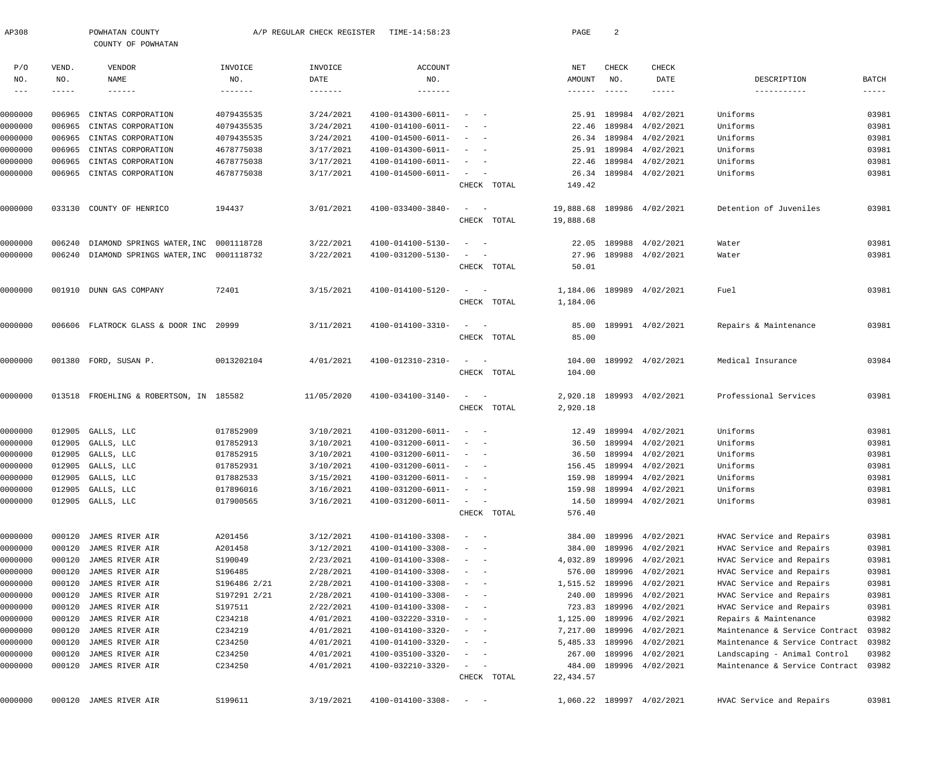| AP308        |              | POWHATAN COUNTY<br>COUNTY OF POWHATAN        |              | A/P REGULAR CHECK REGISTER  | TIME-14:58:23                |                                                               |             | PAGE                 | $\overline{a}$       |                           |                                |          |
|--------------|--------------|----------------------------------------------|--------------|-----------------------------|------------------------------|---------------------------------------------------------------|-------------|----------------------|----------------------|---------------------------|--------------------------------|----------|
| P/O          | VEND.        | VENDOR                                       | INVOICE      | INVOICE                     | ACCOUNT                      |                                                               |             | NET                  | CHECK                | CHECK                     |                                | BATCH    |
| NO.<br>$---$ | NO.<br>----- | NAME<br>$- - - - - - -$                      | NO.          | DATE<br>$- - - - - - - - -$ | NO.                          |                                                               |             | AMOUNT<br>-------    | NO.<br>$- - - - - -$ | DATE<br>$- - - - - -$     | DESCRIPTION<br>-----------     | $---- -$ |
|              |              |                                              |              |                             |                              |                                                               |             |                      |                      |                           |                                |          |
| 0000000      | 006965       | CINTAS CORPORATION                           | 4079435535   | 3/24/2021                   | 4100-014300-6011-            | $\overline{\phantom{0}}$                                      |             |                      | 25.91 189984         | 4/02/2021                 | Uniforms                       | 03981    |
| 0000000      | 006965       | CINTAS CORPORATION                           | 4079435535   | 3/24/2021                   | 4100-014100-6011-            |                                                               |             |                      | 22.46 189984         | 4/02/2021                 | Uniforms                       | 03981    |
| 0000000      | 006965       | CINTAS CORPORATION                           | 4079435535   | 3/24/2021                   | 4100-014500-6011-            | $\sim$ $ -$                                                   |             |                      |                      | 26.34 189984 4/02/2021    | Uniforms                       | 03981    |
| 0000000      | 006965       | CINTAS CORPORATION                           | 4678775038   | 3/17/2021                   | 4100-014300-6011-            | $\overline{\phantom{0}}$                                      |             |                      | 25.91 189984         | 4/02/2021                 | Uniforms                       | 03981    |
| 0000000      | 006965       | CINTAS CORPORATION                           | 4678775038   | 3/17/2021                   | 4100-014100-6011-            | $\sim$ $ -$                                                   |             | 22.46                | 189984               | 4/02/2021                 | Uniforms                       | 03981    |
| 0000000      | 006965       | CINTAS CORPORATION                           | 4678775038   | 3/17/2021                   | 4100-014500-6011-            | $\sigma_{\rm{max}}=0.5$                                       |             |                      |                      | 26.34 189984 4/02/2021    | Uniforms                       | 03981    |
|              |              |                                              |              |                             |                              |                                                               | CHECK TOTAL | 149.42               |                      |                           |                                |          |
| 0000000      |              | 033130 COUNTY OF HENRICO                     | 194437       | 3/01/2021                   | 4100-033400-3840-            | $\sim$ $  -$                                                  |             | 19,888.68            |                      | 189986 4/02/2021          | Detention of Juveniles         | 03981    |
|              |              |                                              |              |                             |                              |                                                               | CHECK TOTAL | 19,888.68            |                      |                           |                                |          |
| 0000000      | 006240       | DIAMOND SPRINGS WATER, INC 0001118728        |              | 3/22/2021                   | 4100-014100-5130-            | $\overline{\phantom{0}}$<br>$\sim$ $-$                        |             |                      | 22.05 189988         | 4/02/2021                 | Water                          | 03981    |
| 0000000      |              | 006240 DIAMOND SPRINGS WATER, INC 0001118732 |              | 3/22/2021                   | 4100-031200-5130-            | $\qquad \qquad -$                                             |             |                      |                      | 27.96 189988 4/02/2021    | Water                          | 03981    |
|              |              |                                              |              |                             |                              |                                                               | CHECK TOTAL | 50.01                |                      |                           |                                |          |
| 0000000      |              | 001910 DUNN GAS COMPANY                      | 72401        | 3/15/2021                   | 4100-014100-5120-            | $\sim$ $  -$                                                  |             | 1,184.06             |                      | 189989 4/02/2021          | Fuel                           | 03981    |
|              |              |                                              |              |                             |                              |                                                               | CHECK TOTAL | 1,184.06             |                      |                           |                                |          |
|              |              |                                              |              |                             |                              |                                                               |             |                      |                      |                           |                                |          |
| 0000000      |              | 006606 FLATROCK GLASS & DOOR INC 20999       |              | 3/11/2021                   | 4100-014100-3310-            | $\sim$ $  -$                                                  |             | 85.00                |                      | 189991 4/02/2021          | Repairs & Maintenance          | 03981    |
|              |              |                                              |              |                             |                              |                                                               | CHECK TOTAL | 85.00                |                      |                           |                                |          |
| 0000000      |              | 001380 FORD, SUSAN P.                        | 0013202104   | 4/01/2021                   | 4100-012310-2310-            | $\sim$ $  -$                                                  |             | 104.00               |                      | 189992 4/02/2021          | Medical Insurance              | 03984    |
|              |              |                                              |              |                             |                              |                                                               | CHECK TOTAL | 104.00               |                      |                           |                                |          |
| 0000000      |              | 013518 FROEHLING & ROBERTSON, IN 185582      |              | 11/05/2020                  | 4100-034100-3140-            | $\frac{1}{2}$ and $\frac{1}{2}$ and $\frac{1}{2}$             |             |                      |                      | 2,920.18 189993 4/02/2021 | Professional Services          | 03981    |
|              |              |                                              |              |                             |                              |                                                               | CHECK TOTAL | 2,920.18             |                      |                           |                                |          |
| 0000000      |              | 012905 GALLS, LLC                            | 017852909    | 3/10/2021                   | 4100-031200-6011-            | $\frac{1}{2}$ , $\frac{1}{2}$ , $\frac{1}{2}$ , $\frac{1}{2}$ |             |                      |                      | 12.49 189994 4/02/2021    | Uniforms                       | 03981    |
| 0000000      | 012905       | GALLS, LLC                                   | 017852913    | 3/10/2021                   | 4100-031200-6011-            | $\sim$ $ -$                                                   |             | 36.50                |                      | 189994 4/02/2021          | Uniforms                       | 03981    |
| 0000000      |              | 012905 GALLS, LLC                            | 017852915    | 3/10/2021                   | 4100-031200-6011-            | $\alpha = 1$ , and $\alpha = 1$                               |             |                      |                      | 36.50 189994 4/02/2021    | Uniforms                       | 03981    |
| 0000000      |              | 012905 GALLS, LLC                            | 017852931    | 3/10/2021                   | $4100 - 031200 - 6011 - - -$ |                                                               |             |                      |                      | 156.45 189994 4/02/2021   | Uniforms                       | 03981    |
| 0000000      |              | 012905 GALLS, LLC                            | 017882533    | 3/15/2021                   | 4100-031200-6011-            | $\sim$ $ -$                                                   |             | 159.98               |                      | 189994 4/02/2021          | Uniforms                       | 03981    |
| 0000000      | 012905       | GALLS, LLC                                   | 017896016    | 3/16/2021                   | 4100-031200-6011-            | $\overline{\phantom{m}}$<br>$\overline{\phantom{a}}$          |             | 159.98               | 189994               | 4/02/2021                 | Uniforms                       | 03981    |
| 0000000      |              | 012905 GALLS, LLC                            | 017900565    | 3/16/2021                   | 4100-031200-6011-            | $\sim$ 100 $\mu$                                              |             | 14.50                |                      | 189994 4/02/2021          | Uniforms                       | 03981    |
|              |              |                                              |              |                             |                              |                                                               | CHECK TOTAL | 576.40               |                      |                           |                                |          |
| 0000000      | 000120       | JAMES RIVER AIR                              | A201456      | 3/12/2021                   | 4100-014100-3308-            | $\qquad \qquad -$                                             |             | 384.00               |                      | 189996 4/02/2021          | HVAC Service and Repairs       | 03981    |
| 0000000      | 000120       | JAMES RIVER AIR                              | A201458      | 3/12/2021                   | 4100-014100-3308-            |                                                               |             | 384.00               | 189996               | 4/02/2021                 | HVAC Service and Repairs       | 03981    |
| 0000000      | 000120       | JAMES RIVER AIR                              | S190049      | 2/23/2021                   | 4100-014100-3308-            | $\sim$ $-$                                                    |             | 4,032.89             |                      | 189996 4/02/2021          | HVAC Service and Repairs       | 03981    |
| 0000000      | 000120       | JAMES RIVER AIR                              | S196485      | 2/28/2021                   | 4100-014100-3308-            | $\qquad \qquad -$                                             |             | 576.00               | 189996               | 4/02/2021                 | HVAC Service and Repairs       | 03981    |
| 0000000      | 000120       | JAMES RIVER AIR                              | S196486 2/21 | 2/28/2021                   | 4100-014100-3308-            | $-$<br>$\sim$ $-$                                             |             | 1,515.52             | 189996               | 4/02/2021                 | HVAC Service and Repairs       | 03981    |
| 0000000      | 000120       | JAMES RIVER AIR                              | S197291 2/21 | 2/28/2021                   | 4100-014100-3308-            |                                                               |             | 240.00               | 189996               | 4/02/2021                 | HVAC Service and Repairs       | 03981    |
| 0000000      | 000120       | JAMES RIVER AIR                              | S197511      | 2/22/2021                   | 4100-014100-3308-            | $\sim$<br>$\sim$ $-$                                          |             | 723.83               | 189996               | 4/02/2021                 | HVAC Service and Repairs       | 03981    |
| 0000000      | 000120       | JAMES RIVER AIR                              | C234218      | 4/01/2021                   | 4100-032220-3310-            | $-$<br>$\sim$ $-$                                             |             | 1,125.00             | 189996               | 4/02/2021                 | Repairs & Maintenance          | 03982    |
| 0000000      | 000120       | JAMES RIVER AIR                              | C234219      | 4/01/2021                   | 4100-014100-3320-            | $\overline{\phantom{0}}$<br>$\sim$ $-$                        |             | 7,217.00             | 189996               | 4/02/2021                 | Maintenance & Service Contract | 03982    |
| 0000000      | 000120       | JAMES RIVER AIR                              | C234250      | 4/01/2021                   | 4100-014100-3320-            | $\sim$ $-$                                                    |             | 5,485.33             |                      | 189996 4/02/2021          | Maintenance & Service Contract | 03982    |
| 0000000      | 000120       | JAMES RIVER AIR                              | C234250      | 4/01/2021                   | 4100-035100-3320-            | $\sim$<br>$\overline{\phantom{a}}$                            |             | 267.00               |                      | 189996 4/02/2021          | Landscaping - Animal Control   | 03982    |
| 0000000      | 000120       | JAMES RIVER AIR                              | C234250      | 4/01/2021                   | 4100-032210-3320-            | $\sim$ 100 $\mu$<br>$\overline{\phantom{a}}$                  | CHECK TOTAL | 484.00<br>22, 434.57 |                      | 189996 4/02/2021          | Maintenance & Service Contract | 03982    |
|              |              |                                              |              |                             |                              |                                                               |             |                      |                      |                           |                                |          |
| 0000000      |              | 000120 JAMES RIVER AIR                       | S199611      | 3/19/2021                   | $4100 - 014100 - 3308 - - -$ |                                                               |             |                      |                      | 1,060.22 189997 4/02/2021 | HVAC Service and Repairs       | 03981    |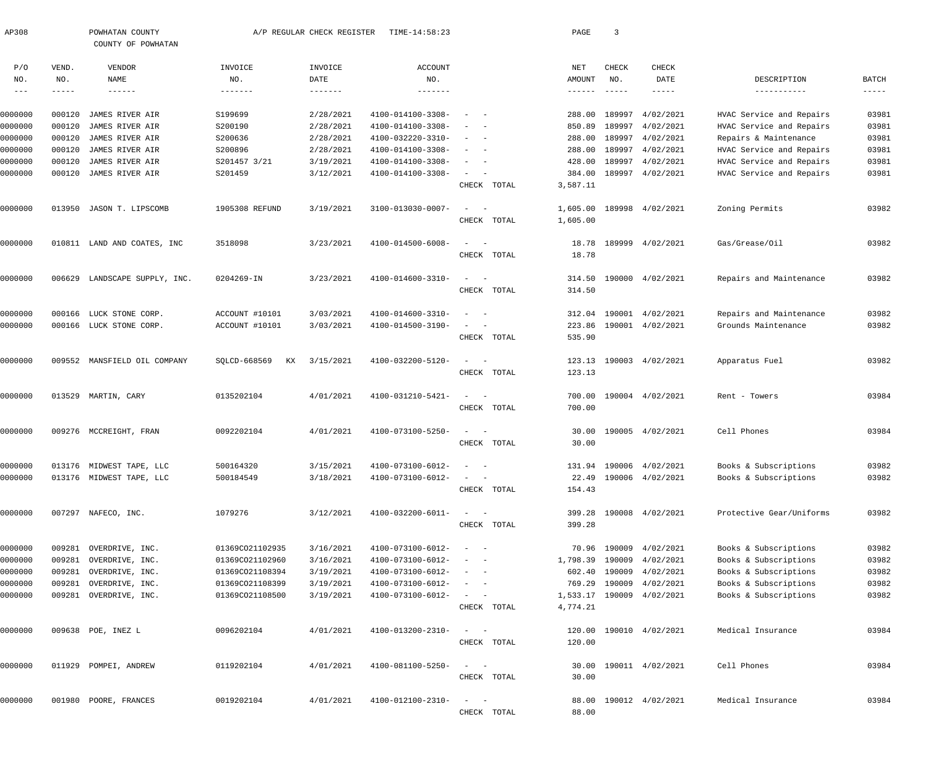| AP308             |                    | POWHATAN COUNTY<br>COUNTY OF POWHATAN |                    | A/P REGULAR CHECK REGISTER | TIME-14:58:23          |                                                                                                     | PAGE                      | $\overline{3}$       |                         |                            |                             |
|-------------------|--------------------|---------------------------------------|--------------------|----------------------------|------------------------|-----------------------------------------------------------------------------------------------------|---------------------------|----------------------|-------------------------|----------------------------|-----------------------------|
| P/O               | VEND.              | VENDOR                                | INVOICE            | INVOICE                    | <b>ACCOUNT</b>         |                                                                                                     | NET                       | CHECK                | CHECK                   |                            |                             |
| NO.<br>$--\,$ $-$ | NO.<br>$- - - - -$ | <b>NAME</b><br>$- - - - - - -$        | NO.<br>-------     | DATE<br>$- - - - - - - -$  | NO.<br>$- - - - - - -$ |                                                                                                     | AMOUNT<br>$- - - - - - -$ | NO.<br>$- - - - - -$ | DATE<br>$- - - - - -$   | DESCRIPTION<br>----------- | <b>BATCH</b><br>$- - - - -$ |
| 0000000           | 000120             | JAMES RIVER AIR                       | S199699            | 2/28/2021                  | 4100-014100-3308-      |                                                                                                     | 288.00                    | 189997               | 4/02/2021               | HVAC Service and Repairs   | 03981                       |
| 0000000           | 000120             | JAMES RIVER AIR                       | S200190            | 2/28/2021                  | 4100-014100-3308-      | $\sim$ $-$                                                                                          | 850.89                    | 189997               | 4/02/2021               | HVAC Service and Repairs   | 03981                       |
| 0000000           | 000120             | JAMES RIVER AIR                       | S200636            | 2/28/2021                  | 4100-032220-3310-      | $\sim$ $-$                                                                                          | 288.00                    | 189997               | 4/02/2021               | Repairs & Maintenance      | 03981                       |
| 0000000           | 000120             | JAMES RIVER AIR                       | S200896            | 2/28/2021                  | 4100-014100-3308-      | $\sim$ $-$                                                                                          | 288.00                    | 189997               | 4/02/2021               | HVAC Service and Repairs   | 03981                       |
| 0000000           | 000120             | JAMES RIVER AIR                       | S201457 3/21       | 3/19/2021                  | 4100-014100-3308-      | $\sim$<br>$\sim$ $-$                                                                                | 428.00                    | 189997               | 4/02/2021               | HVAC Service and Repairs   | 03981                       |
| 0000000           | 000120             | JAMES RIVER AIR                       | S201459            | 3/12/2021                  | 4100-014100-3308-      | $\sim$<br>$\sim$                                                                                    | 384.00                    |                      | 189997 4/02/2021        | HVAC Service and Repairs   | 03981                       |
|                   |                    |                                       |                    |                            |                        | CHECK TOTAL                                                                                         | 3,587.11                  |                      |                         |                            |                             |
| 0000000           | 013950             | JASON T. LIPSCOMB                     | 1905308 REFUND     | 3/19/2021                  | 3100-013030-0007-      | $\sim$<br>$\sim$ $-$                                                                                | 1,605.00                  |                      | 189998 4/02/2021        | Zoning Permits             | 03982                       |
|                   |                    |                                       |                    |                            |                        | CHECK TOTAL                                                                                         | 1,605.00                  |                      |                         |                            |                             |
| 0000000           | 010811             | LAND AND COATES, INC                  | 3518098            | 3/23/2021                  | 4100-014500-6008-      | $\sim$<br>$\sim$ $-$                                                                                | 18.78                     |                      | 189999 4/02/2021        | Gas/Grease/Oil             | 03982                       |
|                   |                    |                                       |                    |                            |                        | CHECK TOTAL                                                                                         | 18.78                     |                      |                         |                            |                             |
| 0000000           | 006629             | LANDSCAPE SUPPLY, INC.                | 0204269-IN         | 3/23/2021                  | 4100-014600-3310-      | $\sim$<br>$\sim$ $-$                                                                                | 314.50                    |                      | 190000 4/02/2021        | Repairs and Maintenance    | 03982                       |
|                   |                    |                                       |                    |                            |                        | CHECK TOTAL                                                                                         | 314.50                    |                      |                         |                            |                             |
| 0000000           | 000166             | LUCK STONE CORP.                      | ACCOUNT #10101     | 3/03/2021                  | 4100-014600-3310-      | $\sim$ $-$                                                                                          | 312.04                    | 190001               | 4/02/2021               | Repairs and Maintenance    | 03982                       |
| 0000000           |                    | 000166 LUCK STONE CORP.               | ACCOUNT #10101     | 3/03/2021                  | 4100-014500-3190-      | $\sim$<br>$\sim$ $-$                                                                                | 223.86                    |                      | 190001 4/02/2021        | Grounds Maintenance        | 03982                       |
|                   |                    |                                       |                    |                            |                        | CHECK TOTAL                                                                                         | 535.90                    |                      |                         |                            |                             |
| 0000000           | 009552             | MANSFIELD OIL COMPANY                 | SQLCD-668569<br>KX | 3/15/2021                  | 4100-032200-5120-      | $\sim$<br>$\sim$ $-$                                                                                | 123.13                    |                      | 190003 4/02/2021        | Apparatus Fuel             | 03982                       |
|                   |                    |                                       |                    |                            |                        | CHECK TOTAL                                                                                         | 123.13                    |                      |                         |                            |                             |
| 0000000           |                    | 013529 MARTIN, CARY                   | 0135202104         | 4/01/2021                  | 4100-031210-5421-      | $\sim$<br>$\sim$ $-$                                                                                | 700.00                    |                      | 190004 4/02/2021        | Rent - Towers              | 03984                       |
|                   |                    |                                       |                    |                            |                        | CHECK TOTAL                                                                                         | 700.00                    |                      |                         |                            |                             |
| 0000000           |                    | 009276 MCCREIGHT, FRAN                | 0092202104         | 4/01/2021                  | 4100-073100-5250-      | $\sim$<br>$\sim$ $-$                                                                                | 30.00                     |                      | 190005 4/02/2021        | Cell Phones                | 03984                       |
|                   |                    |                                       |                    |                            |                        | CHECK TOTAL                                                                                         | 30.00                     |                      |                         |                            |                             |
| 0000000           |                    | 013176 MIDWEST TAPE, LLC              | 500164320          | 3/15/2021                  | 4100-073100-6012-      |                                                                                                     |                           |                      | 131.94 190006 4/02/2021 | Books & Subscriptions      | 03982                       |
| 0000000           |                    | 013176 MIDWEST TAPE, LLC              | 500184549          | 3/18/2021                  | 4100-073100-6012-      | $\sim$ $  -$                                                                                        |                           |                      | 22.49 190006 4/02/2021  | Books & Subscriptions      | 03982                       |
|                   |                    |                                       |                    |                            |                        | CHECK TOTAL                                                                                         | 154.43                    |                      |                         |                            |                             |
| 0000000           |                    | 007297 NAFECO, INC.                   | 1079276            | 3/12/2021                  | 4100-032200-6011-      | $\sim$ $  -$                                                                                        | 399.28                    |                      | 190008 4/02/2021        | Protective Gear/Uniforms   | 03982                       |
|                   |                    |                                       |                    |                            |                        | CHECK TOTAL                                                                                         | 399.28                    |                      |                         |                            |                             |
| 0000000           |                    | 009281 OVERDRIVE, INC.                | 01369CO21102935    | 3/16/2021                  | 4100-073100-6012-      | $\sim$ $  -$                                                                                        | 70.96                     |                      | 190009 4/02/2021        | Books & Subscriptions      | 03982                       |
| 0000000           | 009281             | OVERDRIVE, INC.                       | 01369CO21102960    | 3/16/2021                  | 4100-073100-6012-      | $\sim$ $  -$                                                                                        | 1,798.39                  | 190009               | 4/02/2021               | Books & Subscriptions      | 03982                       |
| 0000000           | 009281             | OVERDRIVE, INC.                       | 01369CO21108394    | 3/19/2021                  | 4100-073100-6012-      | $\sim$ $ -$                                                                                         | 602.40                    | 190009               | 4/02/2021               | Books & Subscriptions      | 03982                       |
| 0000000           | 009281             | OVERDRIVE, INC.                       | 01369CO21108399    | 3/19/2021                  | 4100-073100-6012-      | $\sim$ $ -$                                                                                         | 769.29                    | 190009               | 4/02/2021               | Books & Subscriptions      | 03982                       |
| 0000000           |                    | 009281 OVERDRIVE, INC.                | 01369CO21108500    | 3/19/2021                  | 4100-073100-6012-      | $\mathcal{L}=\mathcal{L}^{\prime}$ , and $\mathcal{L}^{\prime}=\mathcal{L}^{\prime}$<br>CHECK TOTAL | 1,533.17<br>4,774.21      |                      | 190009 4/02/2021        | Books & Subscriptions      | 03982                       |
| 0000000           |                    | 009638 POE, INEZ L                    | 0096202104         | 4/01/2021                  | 4100-013200-2310-      | $\sim$ $ -$                                                                                         | 120.00                    |                      | 190010 4/02/2021        | Medical Insurance          | 03984                       |
|                   |                    |                                       |                    |                            |                        | CHECK TOTAL                                                                                         | 120.00                    |                      |                         |                            |                             |
| 0000000           |                    | 011929 POMPEI, ANDREW                 | 0119202104         | 4/01/2021                  | 4100-081100-5250-      | $\sim$ $ -$                                                                                         | 30.00                     |                      | 190011 4/02/2021        | Cell Phones                | 03984                       |
|                   |                    |                                       |                    |                            |                        | CHECK TOTAL                                                                                         | 30.00                     |                      |                         |                            |                             |
| 0000000           |                    | 001980 POORE, FRANCES                 | 0019202104         | 4/01/2021                  | 4100-012100-2310-      | $\sim$<br>$\sim$ $-$                                                                                | 88.00                     |                      | 190012 4/02/2021        | Medical Insurance          | 03984                       |
|                   |                    |                                       |                    |                            |                        | CHECK TOTAL                                                                                         | 88.00                     |                      |                         |                            |                             |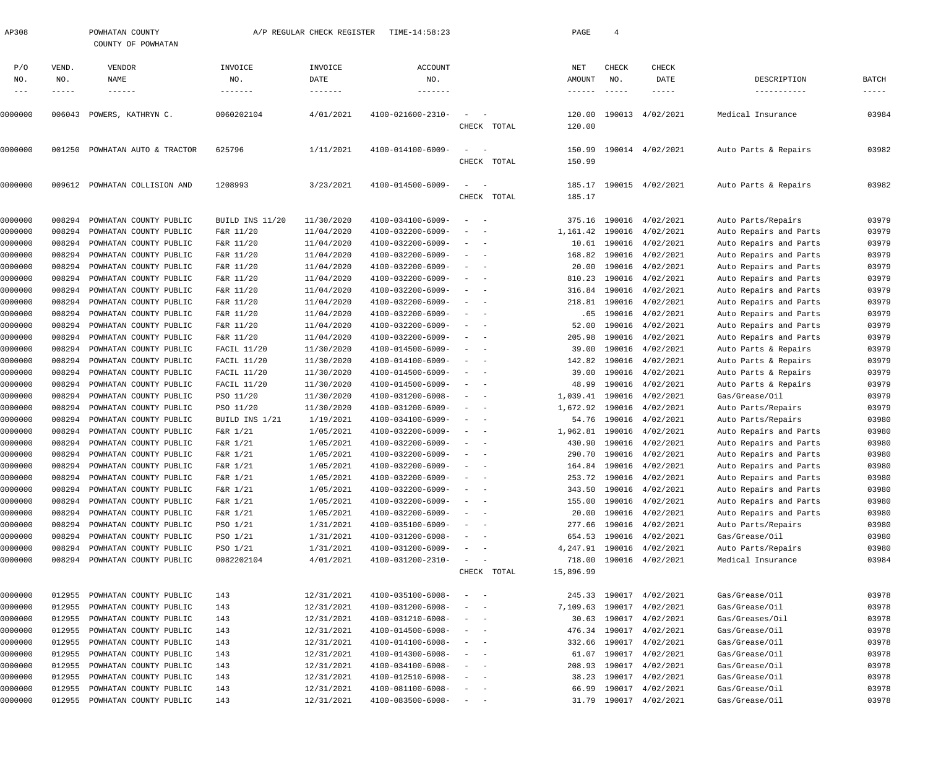| AP308   |        | POWHATAN COUNTY<br>COUNTY OF POWHATAN |                 | A/P REGULAR CHECK REGISTER | TIME-14:58:23            |                                        |             | PAGE            | $\overline{4}$ |                         |                        |             |
|---------|--------|---------------------------------------|-----------------|----------------------------|--------------------------|----------------------------------------|-------------|-----------------|----------------|-------------------------|------------------------|-------------|
| P/O     | VEND.  | VENDOR                                | INVOICE         | INVOICE                    | <b>ACCOUNT</b>           |                                        |             | NET             | CHECK          | CHECK                   |                        |             |
| NO.     | NO.    | NAME                                  | NO.             | DATE                       | NO.                      |                                        |             | AMOUNT          | NO.            | DATE                    | DESCRIPTION            | BATCH       |
| $---$   | -----  | $- - - - - - -$                       | -------         |                            | -------                  |                                        |             | $- - - - - - -$ | $- - - - - -$  | $- - - - -$             | -----------            | $- - - - -$ |
| 0000000 |        | 006043 POWERS, KATHRYN C.             | 0060202104      | 4/01/2021                  | 4100-021600-2310-        | $\overline{\phantom{a}}$               |             | 120.00          |                | 190013 4/02/2021        | Medical Insurance      | 03984       |
|         |        |                                       |                 |                            |                          |                                        | CHECK TOTAL | 120.00          |                |                         |                        |             |
| 0000000 | 001250 | POWHATAN AUTO & TRACTOR               | 625796          | 1/11/2021                  | 4100-014100-6009-        |                                        |             | 150.99          |                | 190014 4/02/2021        | Auto Parts & Repairs   | 03982       |
|         |        |                                       |                 |                            |                          |                                        | CHECK TOTAL | 150.99          |                |                         |                        |             |
| 0000000 |        | 009612 POWHATAN COLLISION AND         | 1208993         | 3/23/2021                  | 4100-014500-6009-        |                                        |             | 185.17          |                | 190015 4/02/2021        | Auto Parts & Repairs   | 03982       |
|         |        |                                       |                 |                            |                          |                                        | CHECK TOTAL | 185.17          |                |                         |                        |             |
| 0000000 | 008294 | POWHATAN COUNTY PUBLIC                | BUILD INS 11/20 | 11/30/2020                 | 4100-034100-6009-        | $\sim$                                 |             | 375.16          | 190016         | 4/02/2021               | Auto Parts/Repairs     | 03979       |
| 0000000 | 008294 | POWHATAN COUNTY PUBLIC                | F&R 11/20       | 11/04/2020                 | 4100-032200-6009-        | $\sim$ $-$<br>$\overline{\phantom{a}}$ |             | 1,161.42        | 190016         | 4/02/2021               | Auto Repairs and Parts | 03979       |
| 0000000 | 008294 | POWHATAN COUNTY PUBLIC                | F&R 11/20       | 11/04/2020                 | 4100-032200-6009-        | $\overline{\phantom{a}}$<br>$\sim$ $-$ |             |                 |                | 10.61 190016 4/02/2021  | Auto Repairs and Parts | 03979       |
| 0000000 | 008294 | POWHATAN COUNTY PUBLIC                | F&R 11/20       | 11/04/2020                 | 4100-032200-6009-        | $\overline{\phantom{a}}$<br>$\sim$ $-$ |             | 168.82          | 190016         | 4/02/2021               | Auto Repairs and Parts | 03979       |
| 0000000 | 008294 | POWHATAN COUNTY PUBLIC                | F&R 11/20       | 11/04/2020                 | 4100-032200-6009-        | $\overline{\phantom{a}}$<br>$\sim$ $-$ |             | 20.00           | 190016         | 4/02/2021               | Auto Repairs and Parts | 03979       |
| 0000000 | 008294 | POWHATAN COUNTY PUBLIC                | F&R 11/20       | 11/04/2020                 | 4100-032200-6009-        | $\overline{\phantom{a}}$<br>$\sim$     |             | 810.23          | 190016         | 4/02/2021               | Auto Repairs and Parts | 03979       |
| 0000000 | 008294 | POWHATAN COUNTY PUBLIC                | F&R 11/20       | 11/04/2020                 | 4100-032200-6009-        | $\overline{\phantom{a}}$               |             | 316.84          | 190016         | 4/02/2021               | Auto Repairs and Parts | 03979       |
| 0000000 | 008294 | POWHATAN COUNTY PUBLIC                | F&R 11/20       | 11/04/2020                 | 4100-032200-6009-        | $\overline{\phantom{a}}$<br>$\sim$ $-$ |             | 218.81          | 190016         | 4/02/2021               | Auto Repairs and Parts | 03979       |
| 0000000 | 008294 | POWHATAN COUNTY PUBLIC                | F&R 11/20       | 11/04/2020                 | 4100-032200-6009-        | $\overline{\phantom{a}}$<br>$\sim$     |             | . 65            | 190016         | 4/02/2021               | Auto Repairs and Parts | 03979       |
| 0000000 | 008294 | POWHATAN COUNTY PUBLIC                | F&R 11/20       | 11/04/2020                 | 4100-032200-6009-        | $\sim$<br>$\sim$ $-$                   |             | 52.00           | 190016         | 4/02/2021               | Auto Repairs and Parts | 03979       |
| 0000000 | 008294 | POWHATAN COUNTY PUBLIC                | F&R 11/20       | 11/04/2020                 | 4100-032200-6009-        | $\sim$<br>$\sim$ $-$                   |             | 205.98          | 190016         | 4/02/2021               | Auto Repairs and Parts | 03979       |
| 0000000 | 008294 | POWHATAN COUNTY PUBLIC                | FACIL 11/20     | 11/30/2020                 | 4100-014500-6009-        | $\overline{\phantom{a}}$<br>$\sim$     |             | 39.00           | 190016         | 4/02/2021               | Auto Parts & Repairs   | 03979       |
| 0000000 | 008294 | POWHATAN COUNTY PUBLIC                | FACIL 11/20     | 11/30/2020                 | 4100-014100-6009-        | $\sim$<br>$\sim$                       |             | 142.82          | 190016         | 4/02/2021               | Auto Parts & Repairs   | 03979       |
| 0000000 | 008294 | POWHATAN COUNTY PUBLIC                | FACIL 11/20     | 11/30/2020                 | 4100-014500-6009-        | $\sim$<br>$\sim$                       |             | 39.00           | 190016         | 4/02/2021               | Auto Parts & Repairs   | 03979       |
| 0000000 | 008294 | POWHATAN COUNTY PUBLIC                | FACIL 11/20     | 11/30/2020                 | 4100-014500-6009-        | $\overline{\phantom{a}}$<br>$\sim$ $-$ |             | 48.99           | 190016         | 4/02/2021               | Auto Parts & Repairs   | 03979       |
| 0000000 | 008294 | POWHATAN COUNTY PUBLIC                | PSO 11/20       | 11/30/2020                 | 4100-031200-6008-        | $\sim$<br>$\sim$ $-$                   |             | 1,039.41        |                | 190016 4/02/2021        | Gas/Grease/Oil         | 03979       |
| 0000000 | 008294 | POWHATAN COUNTY PUBLIC                | PSO 11/20       | 11/30/2020                 | 4100-031200-6009-        | $\overline{\phantom{a}}$               |             | 1,672.92        | 190016         | 4/02/2021               | Auto Parts/Repairs     | 03979       |
| 0000000 | 008294 | POWHATAN COUNTY PUBLIC                | BUILD INS 1/21  | 1/19/2021                  | 4100-034100-6009-        | $\overline{\phantom{a}}$<br>$\sim$     |             | 54.76           | 190016         | 4/02/2021               | Auto Parts/Repairs     | 03980       |
| 0000000 | 008294 | POWHATAN COUNTY PUBLIC                | F&R 1/21        | 1/05/2021                  | 4100-032200-6009-        | $\overline{\phantom{a}}$               |             | 1,962.81        |                | 190016 4/02/2021        | Auto Repairs and Parts | 03980       |
| 0000000 | 008294 | POWHATAN COUNTY PUBLIC                | F&R 1/21        | 1/05/2021                  | 4100-032200-6009-        |                                        |             | 430.90          | 190016         | 4/02/2021               | Auto Repairs and Parts | 03980       |
| 0000000 |        | 008294 POWHATAN COUNTY PUBLIC         | F&R 1/21        | 1/05/2021                  | 4100-032200-6009-        |                                        |             |                 |                | 290.70 190016 4/02/2021 | Auto Repairs and Parts | 03980       |
| 0000000 | 008294 | POWHATAN COUNTY PUBLIC                | F&R 1/21        | 1/05/2021                  | 4100-032200-6009-        |                                        |             |                 |                | 164.84 190016 4/02/2021 | Auto Repairs and Parts | 03980       |
| 0000000 | 008294 | POWHATAN COUNTY PUBLIC                | F&R 1/21        | 1/05/2021                  | 4100-032200-6009-        |                                        |             | 253.72          | 190016         | 4/02/2021               | Auto Repairs and Parts | 03980       |
| 0000000 | 008294 | POWHATAN COUNTY PUBLIC                | F&R 1/21        | 1/05/2021                  | 4100-032200-6009-        | $\overline{\phantom{a}}$<br>$\sim$     |             | 343.50          | 190016         | 4/02/2021               | Auto Repairs and Parts | 03980       |
| 0000000 | 008294 | POWHATAN COUNTY PUBLIC                | F&R 1/21        | 1/05/2021                  | 4100-032200-6009-        | $\overline{\phantom{a}}$<br>$\sim$     |             | 155.00          | 190016         | 4/02/2021               | Auto Repairs and Parts | 03980       |
| 0000000 | 008294 | POWHATAN COUNTY PUBLIC                | F&R 1/21        | 1/05/2021                  | 4100-032200-6009-        | $\overline{\phantom{a}}$<br>$\sim$     |             | 20.00           | 190016         | 4/02/2021               | Auto Repairs and Parts | 03980       |
| 0000000 | 008294 | POWHATAN COUNTY PUBLIC                | PSO 1/21        | 1/31/2021                  | 4100-035100-6009-        | $\overline{\phantom{a}}$<br>$\sim$     |             | 277.66          | 190016         | 4/02/2021               | Auto Parts/Repairs     | 03980       |
| 0000000 | 008294 | POWHATAN COUNTY PUBLIC                | PSO 1/21        | 1/31/2021                  | 4100-031200-6008-        | $\overline{\phantom{a}}$               |             | 654.53          | 190016         | 4/02/2021               | Gas/Grease/Oil         | 03980       |
| 0000000 | 008294 | POWHATAN COUNTY PUBLIC                | PSO 1/21        | 1/31/2021                  | 4100-031200-6009-        | $\overline{\phantom{a}}$               |             | 4,247.91        | 190016         | 4/02/2021               | Auto Parts/Repairs     | 03980       |
| 0000000 |        | 008294 POWHATAN COUNTY PUBLIC         | 0082202104      | 4/01/2021                  | 4100-031200-2310-        |                                        |             | 718.00          |                | 190016 4/02/2021        | Medical Insurance      | 03984       |
|         |        |                                       |                 |                            |                          |                                        | CHECK TOTAL | 15,896.99       |                |                         |                        |             |
|         |        |                                       |                 |                            |                          |                                        |             |                 |                |                         |                        |             |
| 0000000 | 012955 | POWHATAN COUNTY PUBLIC                | 143             | 12/31/2021                 | 4100-035100-6008-        | $\sim$                                 |             | 245.33          |                | 190017 4/02/2021        | Gas/Grease/Oil         | 03978       |
| 0000000 | 012955 | POWHATAN COUNTY PUBLIC                | 143             | 12/31/2021                 | 4100-031200-6008-        | $\sim$                                 |             | 7,109.63        | 190017         | 4/02/2021               | Gas/Grease/Oil         | 03978       |
| 0000000 | 012955 | POWHATAN COUNTY PUBLIC                | 143             | 12/31/2021                 | 4100-031210-6008-        | $\overline{\phantom{a}}$<br>$\sim$     |             | 30.63           |                | 190017 4/02/2021        | Gas/Greases/Oil        | 03978       |
| 0000000 | 012955 | POWHATAN COUNTY PUBLIC                | 143             | 12/31/2021                 | 4100-014500-6008-        | $\overline{\phantom{a}}$<br>$\sim$     |             | 476.34          | 190017         | 4/02/2021               | Gas/Grease/Oil         | 03978       |
| 0000000 | 012955 | POWHATAN COUNTY PUBLIC                | 143             | 12/31/2021                 | 4100-014100-6008-        | $\overline{\phantom{a}}$<br>$\sim$     |             | 332.66          | 190017         | 4/02/2021               | Gas/Grease/Oil         | 03978       |
| 0000000 | 012955 | POWHATAN COUNTY PUBLIC                | 143             | 12/31/2021                 | 4100-014300-6008-        | $\overline{\phantom{a}}$<br>$\sim$     |             | 61.07           | 190017         | 4/02/2021               | Gas/Grease/Oil         | 03978       |
| 0000000 | 012955 | POWHATAN COUNTY PUBLIC                | 143             | 12/31/2021                 | 4100-034100-6008-        | $\overline{\phantom{a}}$<br>$\sim$     |             | 208.93          | 190017         | 4/02/2021               | Gas/Grease/Oil         | 03978       |
| 0000000 | 012955 | POWHATAN COUNTY PUBLIC                | 143             | 12/31/2021                 | 4100-012510-6008-        | $\overline{\phantom{a}}$<br>$\sim$     |             | 38.23           | 190017         | 4/02/2021               | Gas/Grease/Oil         | 03978       |
| 0000000 | 012955 | POWHATAN COUNTY PUBLIC                | 143             | 12/31/2021                 | 4100-081100-6008-        | $\overline{\phantom{a}}$<br>$\sim$     |             | 66.99           |                | 190017 4/02/2021        | Gas/Grease/Oil         | 03978       |
| 0000000 |        | 012955 POWHATAN COUNTY PUBLIC         | 143             | 12/31/2021                 | $4100 - 083500 - 6008 -$ | $\alpha = 1, \ldots, \alpha$           |             |                 |                | 31.79 190017 4/02/2021  | Gas/Grease/Oil         | 03978       |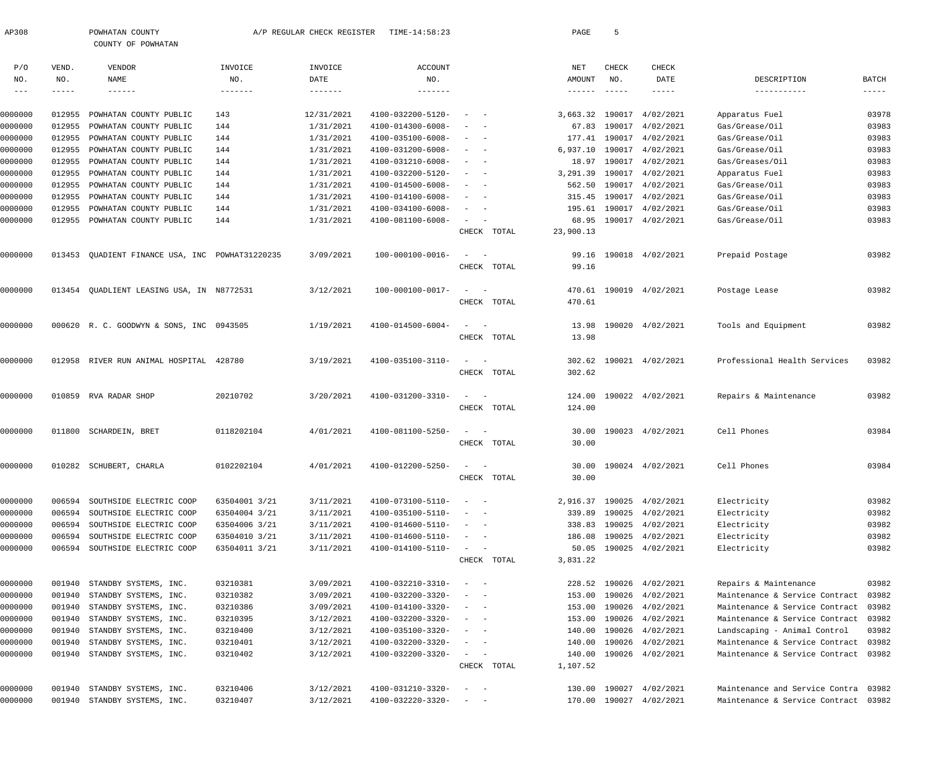| AP308             |        | POWHATAN COUNTY<br>COUNTY OF POWHATAN           |               | A/P REGULAR CHECK REGISTER | TIME-14:58:23     |                           |             | PAGE          | -5            |                           |                                      |          |
|-------------------|--------|-------------------------------------------------|---------------|----------------------------|-------------------|---------------------------|-------------|---------------|---------------|---------------------------|--------------------------------------|----------|
|                   |        |                                                 |               |                            |                   |                           |             |               |               |                           |                                      |          |
| P/O               | VEND.  | VENDOR                                          | INVOICE       | INVOICE                    | ACCOUNT           |                           |             | NET           | <b>CHECK</b>  | CHECK                     |                                      |          |
| NO.               | NO.    | <b>NAME</b>                                     | NO.           | DATE                       | NO.               |                           |             | AMOUNT        | NO.           | DATE                      | DESCRIPTION                          | BATCH    |
| $\qquad \qquad -$ |        | $- - - - - - -$                                 | -------       |                            | -------           |                           |             | $- - - - - -$ | $- - - - - -$ | -----                     | -----------                          | $------$ |
| 0000000           | 012955 | POWHATAN COUNTY PUBLIC                          | 143           | 12/31/2021                 | 4100-032200-5120- |                           |             |               |               | 3,663.32 190017 4/02/2021 | Apparatus Fuel                       | 03978    |
| 0000000           | 012955 | POWHATAN COUNTY PUBLIC                          | 144           | 1/31/2021                  | 4100-014300-6008- |                           |             | 67.83         |               | 190017 4/02/2021          | Gas/Grease/Oil                       | 03983    |
| 0000000           | 012955 | POWHATAN COUNTY PUBLIC                          | 144           | 1/31/2021                  | 4100-035100-6008- |                           |             | 177.41        |               | 190017 4/02/2021          | Gas/Grease/Oil                       | 03983    |
| 0000000           | 012955 | POWHATAN COUNTY PUBLIC                          | 144           | 1/31/2021                  | 4100-031200-6008- |                           |             | 6,937.10      |               | 190017 4/02/2021          | Gas/Grease/Oil                       | 03983    |
| 0000000           | 012955 | POWHATAN COUNTY PUBLIC                          | 144           | 1/31/2021                  | 4100-031210-6008- |                           |             | 18.97         |               | 190017 4/02/2021          | Gas/Greases/Oil                      | 03983    |
| 0000000           | 012955 | POWHATAN COUNTY PUBLIC                          | 144           | 1/31/2021                  | 4100-032200-5120- |                           |             | 3,291.39      |               | 190017 4/02/2021          | Apparatus Fuel                       | 03983    |
| 0000000           | 012955 | POWHATAN COUNTY PUBLIC                          | 144           | 1/31/2021                  | 4100-014500-6008- |                           |             | 562.50        |               | 190017 4/02/2021          | Gas/Grease/Oil                       | 03983    |
| 0000000           | 012955 | POWHATAN COUNTY PUBLIC                          | 144           | 1/31/2021                  | 4100-014100-6008- |                           |             | 315.45        |               | 190017 4/02/2021          | Gas/Grease/Oil                       | 03983    |
| 0000000           | 012955 | POWHATAN COUNTY PUBLIC                          | 144           | 1/31/2021                  | 4100-034100-6008- |                           |             | 195.61        |               | 190017 4/02/2021          | Gas/Grease/Oil                       | 03983    |
| 0000000           | 012955 | POWHATAN COUNTY PUBLIC                          | 144           | 1/31/2021                  | 4100-081100-6008- |                           |             | 68.95         |               | 190017 4/02/2021          | Gas/Grease/Oil                       | 03983    |
|                   |        |                                                 |               |                            |                   |                           | CHECK TOTAL | 23,900.13     |               |                           |                                      |          |
| 0000000           |        | 013453 QUADIENT FINANCE USA, INC POWHAT31220235 |               | 3/09/2021                  | 100-000100-0016-  |                           |             | 99.16         |               | 190018 4/02/2021          | Prepaid Postage                      | 03982    |
|                   |        |                                                 |               |                            |                   |                           | CHECK TOTAL | 99.16         |               |                           |                                      |          |
|                   |        |                                                 |               |                            |                   |                           |             |               |               |                           |                                      |          |
| 0000000           |        | 013454 QUADLIENT LEASING USA, IN N8772531       |               | 3/12/2021                  | 100-000100-0017-  |                           |             |               |               | 470.61 190019 4/02/2021   | Postage Lease                        | 03982    |
|                   |        |                                                 |               |                            |                   |                           | CHECK TOTAL | 470.61        |               |                           |                                      |          |
|                   |        |                                                 |               |                            |                   |                           |             |               |               |                           |                                      |          |
| 0000000           |        | 000620 R. C. GOODWYN & SONS, INC 0943505        |               | 1/19/2021                  | 4100-014500-6004- |                           |             | 13.98         |               | 190020 4/02/2021          | Tools and Equipment                  | 03982    |
|                   |        |                                                 |               |                            |                   |                           | CHECK TOTAL | 13.98         |               |                           |                                      |          |
| 0000000           |        | 012958 RIVER RUN ANIMAL HOSPITAL 428780         |               | 3/19/2021                  | 4100-035100-3110- |                           |             | 302.62        |               | 190021 4/02/2021          | Professional Health Services         | 03982    |
|                   |        |                                                 |               |                            |                   |                           | CHECK TOTAL | 302.62        |               |                           |                                      |          |
|                   |        |                                                 |               |                            |                   |                           |             |               |               |                           |                                      |          |
| 0000000           |        | 010859 RVA RADAR SHOP                           | 20210702      | 3/20/2021                  | 4100-031200-3310- |                           |             | 124.00        |               | 190022 4/02/2021          | Repairs & Maintenance                | 03982    |
|                   |        |                                                 |               |                            |                   |                           | CHECK TOTAL | 124.00        |               |                           |                                      |          |
|                   |        |                                                 |               |                            |                   |                           |             |               |               |                           |                                      |          |
| 0000000           |        | 011800 SCHARDEIN, BRET                          | 0118202104    | 4/01/2021                  | 4100-081100-5250- |                           |             | 30.00         |               | 190023 4/02/2021          | Cell Phones                          | 03984    |
|                   |        |                                                 |               |                            |                   |                           | CHECK TOTAL | 30.00         |               |                           |                                      |          |
| 0000000           |        | 010282 SCHUBERT, CHARLA                         | 0102202104    | 4/01/2021                  | 4100-012200-5250- |                           |             |               |               | 30.00 190024 4/02/2021    | Cell Phones                          | 03984    |
|                   |        |                                                 |               |                            |                   |                           | CHECK TOTAL | 30.00         |               |                           |                                      |          |
| 0000000           | 006594 | SOUTHSIDE ELECTRIC COOP                         | 63504001 3/21 | 3/11/2021                  | 4100-073100-5110- | $\sim$                    |             |               |               | 2,916.37 190025 4/02/2021 | Electricity                          | 03982    |
| 0000000           | 006594 | SOUTHSIDE ELECTRIC COOP                         | 63504004 3/21 | 3/11/2021                  | 4100-035100-5110- |                           |             | 339.89        |               | 190025 4/02/2021          | Electricity                          | 03982    |
| 0000000           | 006594 | SOUTHSIDE ELECTRIC COOP                         | 63504006 3/21 | 3/11/2021                  | 4100-014600-5110- |                           |             |               |               | 338.83 190025 4/02/2021   | Electricity                          | 03982    |
| 0000000           | 006594 | SOUTHSIDE ELECTRIC COOP                         | 63504010 3/21 | 3/11/2021                  | 4100-014600-5110- | $\sim$                    |             | 186.08        |               | 190025 4/02/2021          | Electricity                          | 03982    |
| 0000000           |        | 006594 SOUTHSIDE ELECTRIC COOP                  | 63504011 3/21 | 3/11/2021                  | 4100-014100-5110- | $\sim$                    |             | 50.05         |               | 190025 4/02/2021          | Electricity                          | 03982    |
|                   |        |                                                 |               |                            |                   |                           | CHECK TOTAL | 3,831.22      |               |                           |                                      |          |
|                   |        |                                                 |               |                            |                   |                           |             |               |               |                           |                                      |          |
| 0000000           | 001940 | STANDBY SYSTEMS, INC.                           | 03210381      | 3/09/2021                  | 4100-032210-3310- |                           |             |               |               | 228.52 190026 4/02/2021   | Repairs & Maintenance                | 03982    |
| 0000000           | 001940 | STANDBY SYSTEMS, INC.                           | 03210382      | 3/09/2021                  | 4100-032200-3320- |                           |             | 153.00        |               | 190026 4/02/2021          | Maintenance & Service Contract       | 03982    |
| 0000000           | 001940 | STANDBY SYSTEMS, INC.                           | 03210386      | 3/09/2021                  | 4100-014100-3320- |                           |             | 153.00        | 190026        | 4/02/2021                 | Maintenance & Service Contract       | 03982    |
| 0000000           | 001940 | STANDBY SYSTEMS, INC.                           | 03210395      | 3/12/2021                  | 4100-032200-3320- |                           |             | 153.00        |               | 190026 4/02/2021          | Maintenance & Service Contract       | 03982    |
| 0000000           | 001940 | STANDBY SYSTEMS, INC.                           | 03210400      | 3/12/2021                  | 4100-035100-3320- | $\sim$                    |             | 140.00        |               | 190026 4/02/2021          | Landscaping - Animal Control         | 03982    |
| 0000000           | 001940 | STANDBY SYSTEMS, INC.                           | 03210401      | 3/12/2021                  | 4100-032200-3320- |                           |             | 140.00        | 190026        | 4/02/2021                 | Maintenance & Service Contract       | 03982    |
| 0000000           |        | 001940 STANDBY SYSTEMS, INC.                    | 03210402      | 3/12/2021                  | 4100-032200-3320- |                           |             | 140.00        |               | 190026 4/02/2021          | Maintenance & Service Contract       | 03982    |
|                   |        |                                                 |               |                            |                   |                           | CHECK TOTAL | 1,107.52      |               |                           |                                      |          |
| 0000000           | 001940 | STANDBY SYSTEMS, INC.                           | 03210406      | 3/12/2021                  | 4100-031210-3320- |                           |             | 130.00        | 190027        | 4/02/2021                 | Maintenance and Service Contra       | 03982    |
| 0000000           |        | 001940 STANDBY SYSTEMS, INC.                    | 03210407      | 3/12/2021                  | 4100-032220-3320- | $\alpha = 1, \ldots, n-1$ |             |               |               | 170.00 190027 4/02/2021   | Maintenance & Service Contract 03982 |          |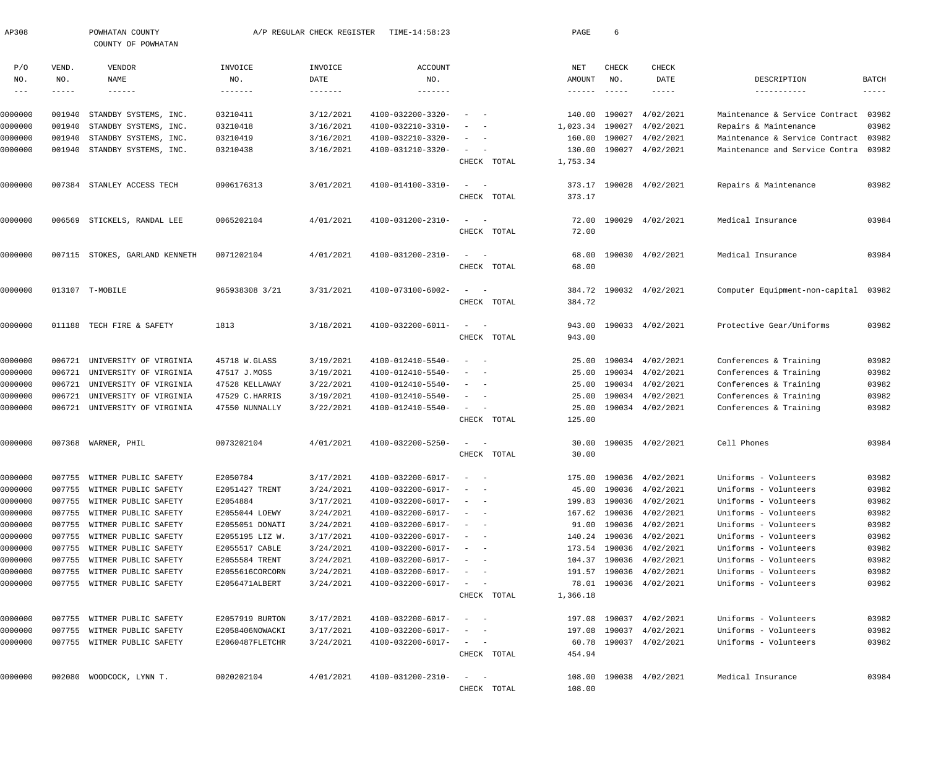| AP308                      |          | POWHATAN COUNTY<br>COUNTY OF POWHATAN |                 | A/P REGULAR CHECK REGISTER | TIME-14:58:23     |                                        |             | PAGE              | 6                         |                         |                                |              |
|----------------------------|----------|---------------------------------------|-----------------|----------------------------|-------------------|----------------------------------------|-------------|-------------------|---------------------------|-------------------------|--------------------------------|--------------|
| P/O                        | VEND.    | VENDOR                                | INVOICE         | INVOICE                    | <b>ACCOUNT</b>    |                                        |             | NET               | CHECK                     | <b>CHECK</b>            |                                |              |
| NO.                        | NO.      | NAME                                  | NO.             | DATE                       | NO.               |                                        |             | AMOUNT            | NO.                       | DATE                    | DESCRIPTION                    | <b>BATCH</b> |
| $\qquad \qquad - \qquad -$ | $------$ | $\cdots\cdots\cdots\cdots$            |                 | $- - - - - - -$            | -------           |                                        |             | $- - - - - - -$   | $\qquad \qquad - - - - -$ | -----                   | -----------                    | $- - - - -$  |
| 0000000                    | 001940   | STANDBY SYSTEMS, INC.                 | 03210411        | 3/12/2021                  | 4100-032200-3320- |                                        |             | 140.00            | 190027                    | 4/02/2021               | Maintenance & Service Contract | 03982        |
| 0000000                    | 001940   | STANDBY SYSTEMS, INC.                 | 03210418        | 3/16/2021                  | 4100-032210-3310- |                                        |             | 1,023.34          | 190027                    | 4/02/2021               | Repairs & Maintenance          | 03982        |
| 0000000                    | 001940   | STANDBY SYSTEMS, INC.                 | 03210419        | 3/16/2021                  | 4100-032210-3320- |                                        |             | 160.00            | 190027                    | 4/02/2021               | Maintenance & Service Contract | 03982        |
| 0000000                    | 001940   | STANDBY SYSTEMS, INC.                 | 03210438        | 3/16/2021                  | 4100-031210-3320- | $\sim$                                 |             | 130.00            |                           | 190027 4/02/2021        | Maintenance and Service Contra | 03982        |
|                            |          |                                       |                 |                            |                   |                                        | CHECK TOTAL | 1,753.34          |                           |                         |                                |              |
| 0000000                    | 007384   | STANLEY ACCESS TECH                   | 0906176313      | 3/01/2021                  | 4100-014100-3310- |                                        |             | 373.17            |                           | 190028 4/02/2021        | Repairs & Maintenance          | 03982        |
|                            |          |                                       |                 |                            |                   |                                        | CHECK TOTAL | 373.17            |                           |                         |                                |              |
| 0000000                    | 006569   | STICKELS, RANDAL LEE                  | 0065202104      | 4/01/2021                  | 4100-031200-2310- |                                        |             | 72.00             |                           | 190029 4/02/2021        | Medical Insurance              | 03984        |
|                            |          |                                       |                 |                            |                   |                                        | CHECK TOTAL | 72.00             |                           |                         |                                |              |
| 0000000                    | 007115   | STOKES, GARLAND KENNETH               | 0071202104      | 4/01/2021                  | 4100-031200-2310- |                                        |             | 68.00             |                           | 190030 4/02/2021        | Medical Insurance              | 03984        |
|                            |          |                                       |                 |                            |                   |                                        | CHECK TOTAL | 68.00             |                           |                         |                                |              |
| 0000000                    |          | 013107 T-MOBILE                       | 965938308 3/21  | 3/31/2021                  | 4100-073100-6002- |                                        |             | 384.72            |                           | 190032 4/02/2021        | Computer Equipment-non-capital | 03982        |
|                            |          |                                       |                 |                            |                   |                                        | CHECK TOTAL | 384.72            |                           |                         |                                |              |
| 0000000                    | 011188   | TECH FIRE & SAFETY                    | 1813            | 3/18/2021                  | 4100-032200-6011- |                                        |             | 943.00            |                           | 190033 4/02/2021        | Protective Gear/Uniforms       | 03982        |
|                            |          |                                       |                 |                            |                   |                                        | CHECK TOTAL | 943.00            |                           |                         |                                |              |
| 0000000                    | 006721   | UNIVERSITY OF VIRGINIA                | 45718 W.GLASS   | 3/19/2021                  | 4100-012410-5540- |                                        |             | 25.00             |                           | 190034 4/02/2021        | Conferences & Training         | 03982        |
| 0000000                    | 006721   | UNIVERSITY OF VIRGINIA                | 47517 J.MOSS    | 3/19/2021                  | 4100-012410-5540- |                                        |             | 25.00             |                           | 190034 4/02/2021        | Conferences & Training         | 03982        |
| 0000000                    | 006721   | UNIVERSITY OF VIRGINIA                | 47528 KELLAWAY  | 3/22/2021                  | 4100-012410-5540- |                                        |             | 25.00             |                           | 190034 4/02/2021        | Conferences & Training         | 03982        |
| 0000000                    | 006721   | UNIVERSITY OF VIRGINIA                | 47529 C.HARRIS  | 3/19/2021                  | 4100-012410-5540- |                                        |             | 25.00             |                           | 190034 4/02/2021        | Conferences & Training         | 03982        |
| 0000000                    | 006721   | UNIVERSITY OF VIRGINIA                | 47550 NUNNALLY  | 3/22/2021                  | 4100-012410-5540- | $\sim$                                 | CHECK TOTAL | 25.00<br>125.00   |                           | 190034 4/02/2021        | Conferences & Training         | 03982        |
|                            |          |                                       |                 |                            |                   |                                        |             |                   |                           |                         |                                |              |
| 0000000                    | 007368   | WARNER, PHIL                          | 0073202104      | 4/01/2021                  | 4100-032200-5250- |                                        |             | 30.00             |                           | 190035 4/02/2021        | Cell Phones                    | 03984        |
|                            |          |                                       |                 |                            |                   |                                        | CHECK TOTAL | 30.00             |                           |                         |                                |              |
| 0000000                    | 007755   | WITMER PUBLIC SAFETY                  | E2050784        | 3/17/2021                  | 4100-032200-6017- | $\sim$                                 |             | 175.00            |                           | 190036 4/02/2021        | Uniforms - Volunteers          | 03982        |
| 0000000                    | 007755   | WITMER PUBLIC SAFETY                  | E2051427 TRENT  | 3/24/2021                  | 4100-032200-6017- | $\sim$                                 |             | 45.00             | 190036                    | 4/02/2021               | Uniforms - Volunteers          | 03982        |
| 0000000                    | 007755   | WITMER PUBLIC SAFETY                  | E2054884        | 3/17/2021                  | 4100-032200-6017- | $\sim$                                 |             | 199.83            | 190036                    | 4/02/2021               | Uniforms - Volunteers          | 03982        |
| 0000000                    | 007755   | WITMER PUBLIC SAFETY                  | E2055044 LOEWY  | 3/24/2021                  | 4100-032200-6017- |                                        |             | 167.62            | 190036                    | 4/02/2021               | Uniforms - Volunteers          | 03982        |
| 0000000                    | 007755   | WITMER PUBLIC SAFETY                  | E2055051 DONATI | 3/24/2021                  | 4100-032200-6017- | $\overline{\phantom{a}}$               |             | 91.00             | 190036                    | 4/02/2021               | Uniforms - Volunteers          | 03982        |
| 0000000                    | 007755   | WITMER PUBLIC SAFETY                  | E2055195 LIZ W. | 3/17/2021                  | 4100-032200-6017- | $\overline{\phantom{a}}$               |             | 140.24            | 190036                    | 4/02/2021               | Uniforms - Volunteers          | 03982        |
| 0000000                    | 007755   | WITMER PUBLIC SAFETY                  | E2055517 CABLE  | 3/24/2021                  | 4100-032200-6017- |                                        |             | 173.54            | 190036                    | 4/02/2021               | Uniforms - Volunteers          | 03982        |
| 0000000                    | 007755   | WITMER PUBLIC SAFETY                  | E2055584 TRENT  | 3/24/2021                  | 4100-032200-6017- | $\sim$<br>$\sim$ $-$                   |             | 104.37            | 190036                    | 4/02/2021               | Uniforms - Volunteers          | 03982        |
| 0000000                    | 007755   | WITMER PUBLIC SAFETY                  | E2055616CORCORN | 3/24/2021                  | 4100-032200-6017- | $\sim$<br>$\sim$ $-$                   |             | 191.57            |                           | 190036 4/02/2021        | Uniforms - Volunteers          | 03982        |
| 0000000                    |          | 007755 WITMER PUBLIC SAFETY           | E2056471ALBERT  | 3/24/2021                  | 4100-032200-6017- | $\sim$                                 | CHECK TOTAL | 78.01<br>1,366.18 |                           | 190036 4/02/2021        | Uniforms - Volunteers          | 03982        |
|                            |          |                                       |                 |                            |                   |                                        |             |                   |                           |                         |                                |              |
| 0000000                    | 007755   | WITMER PUBLIC SAFETY                  | E2057919 BURTON | 3/17/2021                  | 4100-032200-6017- | $\overline{\phantom{a}}$               |             | 197.08            |                           | 190037 4/02/2021        | Uniforms - Volunteers          | 03982        |
| 0000000                    | 007755   | WITMER PUBLIC SAFETY                  | E2058406NOWACKI | 3/17/2021                  | 4100-032200-6017- | $\overline{\phantom{a}}$<br>$\sim$ $-$ |             | 197.08            | 190037                    | 4/02/2021               | Uniforms - Volunteers          | 03982        |
| 0000000                    |          | 007755 WITMER PUBLIC SAFETY           | E2060487FLETCHR | 3/24/2021                  | 4100-032200-6017- | $\alpha = 1, \ldots, \alpha$           |             | 60.78             |                           | 190037 4/02/2021        | Uniforms - Volunteers          | 03982        |
|                            |          |                                       |                 |                            |                   |                                        | CHECK TOTAL | 454.94            |                           |                         |                                |              |
| 0000000                    | 002080   | WOODCOCK, LYNN T.                     | 0020202104      | 4/01/2021                  | 4100-031200-2310- | $\sim$<br>$\sim$ $-$                   |             |                   |                           | 108.00 190038 4/02/2021 | Medical Insurance              | 03984        |
|                            |          |                                       |                 |                            |                   |                                        | CHECK TOTAL | 108.00            |                           |                         |                                |              |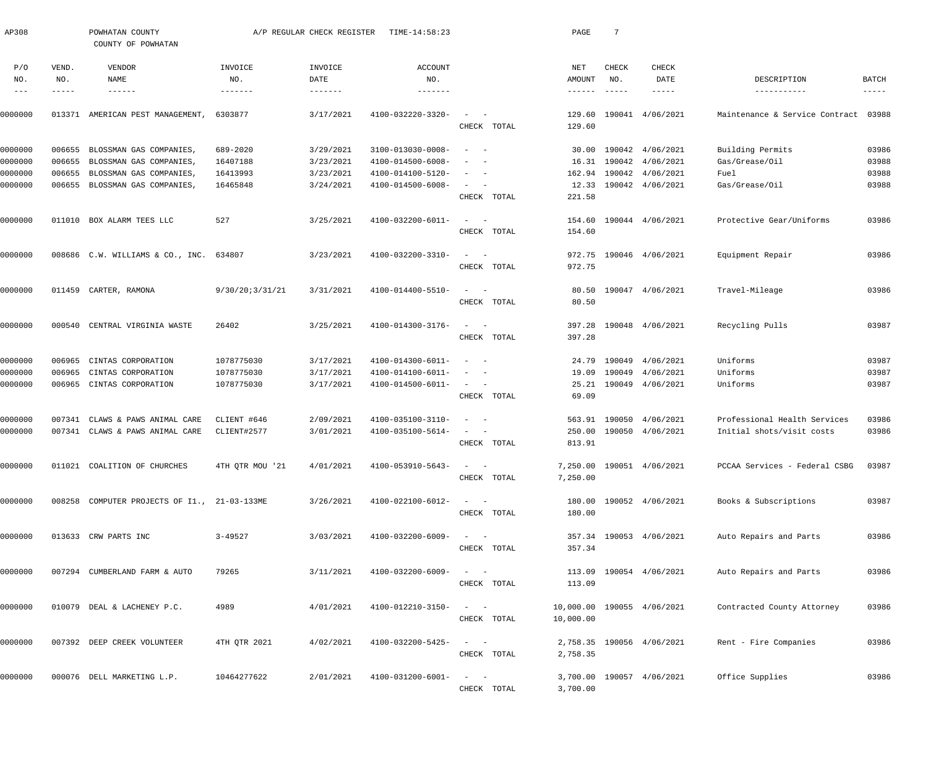| AP308               |                  | POWHATAN COUNTY<br>COUNTY OF POWHATAN              |                      | A/P REGULAR CHECK REGISTER | TIME-14:58:23                          |                                                                                                              | PAGE      | 7             |                                             |                                |                |
|---------------------|------------------|----------------------------------------------------|----------------------|----------------------------|----------------------------------------|--------------------------------------------------------------------------------------------------------------|-----------|---------------|---------------------------------------------|--------------------------------|----------------|
| P/O                 | VEND.            | VENDOR                                             | INVOICE              | INVOICE                    | ACCOUNT                                |                                                                                                              | NET       | CHECK         | CHECK                                       |                                |                |
| NO.                 | NO.              | NAME                                               | NO.                  | DATE                       | NO.                                    |                                                                                                              | AMOUNT    | NO.           | DATE                                        | DESCRIPTION                    | BATCH          |
| $\qquad \qquad - -$ | -----            | $- - - - - - -$                                    |                      |                            |                                        |                                                                                                              | -------   | $- - - - - -$ | $- - - - - -$                               | -----------                    | $- - - - - -$  |
| 0000000             | 013371           | AMERICAN PEST MANAGEMENT,                          | 6303877              | 3/17/2021                  | 4100-032220-3320-                      |                                                                                                              | 129.60    |               | 190041 4/06/2021                            | Maintenance & Service Contract | 03988          |
|                     |                  |                                                    |                      |                            |                                        | CHECK TOTAL                                                                                                  | 129.60    |               |                                             |                                |                |
|                     |                  |                                                    |                      |                            |                                        |                                                                                                              |           |               |                                             |                                |                |
| 0000000             | 006655           | BLOSSMAN GAS COMPANIES,                            | 689-2020             | 3/29/2021                  | 3100-013030-0008-                      | $\sim$ $-$<br>$\sim$                                                                                         | 30.00     |               | 190042 4/06/2021                            | Building Permits               | 03986          |
| 0000000             | 006655           | BLOSSMAN GAS COMPANIES,                            | 16407188             | 3/23/2021                  | 4100-014500-6008-                      | $\sim$<br>$\overline{\phantom{a}}$<br>$\sim$                                                                 |           |               | 16.31 190042 4/06/2021                      | Gas/Grease/Oil                 | 03988<br>03988 |
| 0000000<br>0000000  | 006655<br>006655 | BLOSSMAN GAS COMPANIES,<br>BLOSSMAN GAS COMPANIES, | 16413993<br>16465848 | 3/23/2021<br>3/24/2021     | 4100-014100-5120-<br>4100-014500-6008- | $\sim$ 100 $\mu$<br>$\overline{\phantom{a}}$                                                                 | 12.33     |               | 162.94 190042 4/06/2021<br>190042 4/06/2021 | Fuel<br>Gas/Grease/Oil         | 03988          |
|                     |                  |                                                    |                      |                            |                                        | CHECK TOTAL                                                                                                  | 221.58    |               |                                             |                                |                |
| 0000000             |                  | 011010 BOX ALARM TEES LLC                          | 527                  | 3/25/2021                  | 4100-032200-6011-                      | $\begin{array}{cccccccccc} - & & & & & & & - \end{array}$                                                    | 154.60    |               | 190044 4/06/2021                            | Protective Gear/Uniforms       | 03986          |
|                     |                  |                                                    |                      |                            |                                        | CHECK TOTAL                                                                                                  | 154.60    |               |                                             |                                |                |
| 0000000             |                  | 008686 C.W. WILLIAMS & CO., INC.                   | 634807               | 3/23/2021                  | 4100-032200-3310-                      | $\frac{1}{2} \left( \frac{1}{2} \right) \left( \frac{1}{2} \right) = \frac{1}{2} \left( \frac{1}{2} \right)$ |           |               | 972.75 190046 4/06/2021                     | Equipment Repair               | 03986          |
|                     |                  |                                                    |                      |                            |                                        | CHECK TOTAL                                                                                                  | 972.75    |               |                                             |                                |                |
| 0000000             |                  | 011459 CARTER, RAMONA                              | 9/30/20:3/31/21      | 3/31/2021                  | 4100-014400-5510-                      | $\frac{1}{2} \left( \frac{1}{2} \right) \left( \frac{1}{2} \right) = \frac{1}{2} \left( \frac{1}{2} \right)$ | 80.50     |               | 190047 4/06/2021                            | Travel-Mileage                 | 03986          |
|                     |                  |                                                    |                      |                            |                                        | CHECK TOTAL                                                                                                  | 80.50     |               |                                             |                                |                |
| 0000000             | 000540           | CENTRAL VIRGINIA WASTE                             | 26402                | 3/25/2021                  | 4100-014300-3176-                      | $\sim$<br>$\sim$ $-$                                                                                         | 397.28    |               | 190048 4/06/2021                            | Recycling Pulls                | 03987          |
|                     |                  |                                                    |                      |                            |                                        | CHECK TOTAL                                                                                                  | 397.28    |               |                                             |                                |                |
| 0000000             | 006965           | CINTAS CORPORATION                                 | 1078775030           | 3/17/2021                  | 4100-014300-6011-                      | $\sim$ $-$<br>$\overline{\phantom{a}}$                                                                       | 24.79     | 190049        | 4/06/2021                                   | Uniforms                       | 03987          |
| 0000000             | 006965           | CINTAS CORPORATION                                 | 1078775030           | 3/17/2021                  | 4100-014100-6011-                      | $\sim$<br>$\overline{\phantom{a}}$                                                                           | 19.09     | 190049        | 4/06/2021                                   | Uniforms                       | 03987          |
| 0000000             | 006965           | CINTAS CORPORATION                                 | 1078775030           | 3/17/2021                  | 4100-014500-6011-                      | $\sim$ $  -$                                                                                                 | 25.21     |               | 190049 4/06/2021                            | Uniforms                       | 03987          |
|                     |                  |                                                    |                      |                            |                                        | CHECK TOTAL                                                                                                  | 69.09     |               |                                             |                                |                |
| 0000000             | 007341           | CLAWS & PAWS ANIMAL CARE                           | CLIENT #646          | 2/09/2021                  | 4100-035100-3110-                      | $\sim$ $-$<br>$\overline{\phantom{a}}$                                                                       |           |               | 563.91 190050 4/06/2021                     | Professional Health Services   | 03986          |
| 0000000             |                  | 007341 CLAWS & PAWS ANIMAL CARE                    | CLIENT#2577          | 3/01/2021                  | 4100-035100-5614-                      | $\begin{array}{cccccccccc} - & & & & & & & - \end{array}$                                                    | 250.00    |               | 190050 4/06/2021                            | Initial shots/visit costs      | 03986          |
|                     |                  |                                                    |                      |                            |                                        | CHECK TOTAL                                                                                                  | 813.91    |               |                                             |                                |                |
| 0000000             |                  | 011021 COALITION OF CHURCHES                       | 4TH OTR MOU '21      | 4/01/2021                  | $4100 - 053910 - 5643 - - -$           |                                                                                                              |           |               | 7,250.00 190051 4/06/2021                   | PCCAA Services - Federal CSBG  | 03987          |
|                     |                  |                                                    |                      |                            |                                        | CHECK TOTAL                                                                                                  | 7,250.00  |               |                                             |                                |                |
| 0000000             |                  | 008258 COMPUTER PROJECTS OF I1., 21-03-133ME       |                      | 3/26/2021                  | 4100-022100-6012-                      | $\begin{array}{cccccccccc} - & & & & & & & - \end{array}$                                                    |           |               | 180.00 190052 4/06/2021                     | Books & Subscriptions          | 03987          |
|                     |                  |                                                    |                      |                            |                                        | CHECK TOTAL                                                                                                  | 180.00    |               |                                             |                                |                |
| 0000000             |                  | 013633 CRW PARTS INC                               | $3 - 49527$          | 3/03/2021                  | 4100-032200-6009-                      | $\sim$ $  -$                                                                                                 |           |               | 357.34 190053 4/06/2021                     | Auto Repairs and Parts         | 03986          |
|                     |                  |                                                    |                      |                            |                                        | CHECK TOTAL                                                                                                  | 357.34    |               |                                             |                                |                |
| 0000000             |                  | 007294 CUMBERLAND FARM & AUTO                      | 79265                | 3/11/2021                  | 4100-032200-6009-                      | $\begin{array}{cccccccccc} - & & & & & & & - \end{array}$                                                    |           |               | 113.09 190054 4/06/2021                     | Auto Repairs and Parts         | 03986          |
|                     |                  |                                                    |                      |                            |                                        | CHECK TOTAL                                                                                                  | 113.09    |               |                                             |                                |                |
| 0000000             |                  | 010079 DEAL & LACHENEY P.C.                        | 4989                 | 4/01/2021                  | 4100-012210-3150-                      | $\frac{1}{2}$ and $\frac{1}{2}$ and $\frac{1}{2}$                                                            |           |               | 10,000.00 190055 4/06/2021                  | Contracted County Attorney     | 03986          |
|                     |                  |                                                    |                      |                            |                                        | CHECK TOTAL                                                                                                  | 10,000.00 |               |                                             |                                |                |
| 0000000             |                  | 007392 DEEP CREEK VOLUNTEER                        | 4TH QTR 2021         | 4/02/2021                  | 4100-032200-5425-                      |                                                                                                              |           |               | 2,758.35 190056 4/06/2021                   | Rent - Fire Companies          | 03986          |
|                     |                  |                                                    |                      |                            |                                        | CHECK TOTAL                                                                                                  | 2,758.35  |               |                                             |                                |                |
| 0000000             |                  | 000076 DELL MARKETING L.P.                         | 10464277622          | 2/01/2021                  | 4100-031200-6001-                      | $\sim$ $  -$                                                                                                 |           |               | 3,700.00 190057 4/06/2021                   | Office Supplies                | 03986          |
|                     |                  |                                                    |                      |                            |                                        | CHECK TOTAL                                                                                                  | 3,700.00  |               |                                             |                                |                |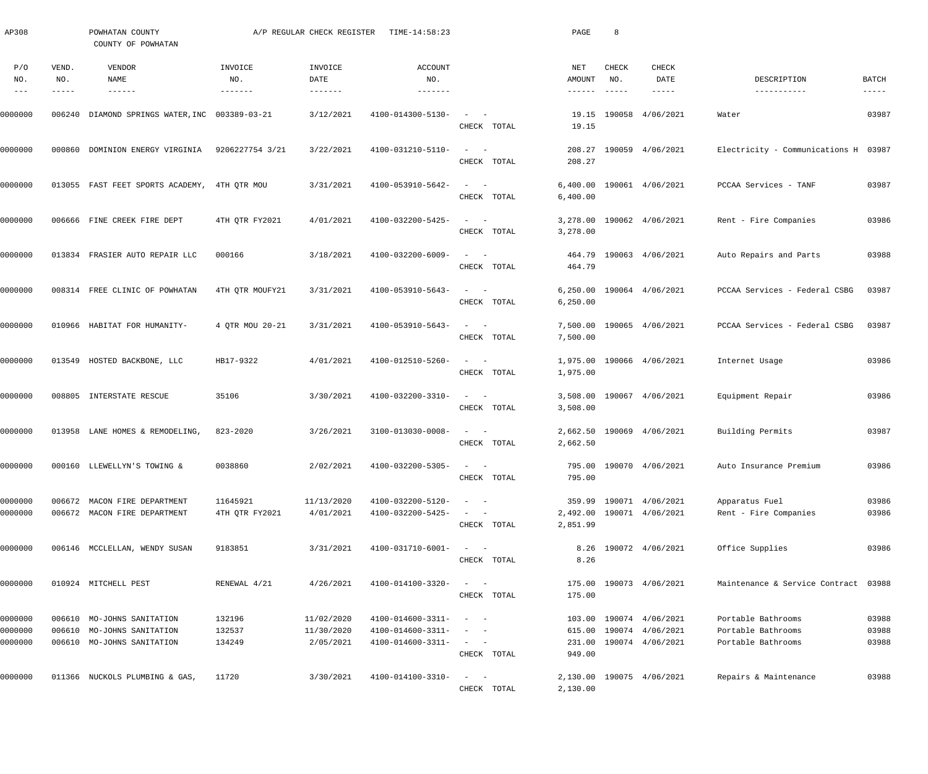| AP308                         |                       | POWHATAN COUNTY<br>COUNTY OF POWHATAN                                                  |                            | A/P REGULAR CHECK REGISTER            | TIME-14:58:23                                               |                                                                                                                                                                                                         | PAGE                     | 8                      |                                                                        |                                                                |                               |
|-------------------------------|-----------------------|----------------------------------------------------------------------------------------|----------------------------|---------------------------------------|-------------------------------------------------------------|---------------------------------------------------------------------------------------------------------------------------------------------------------------------------------------------------------|--------------------------|------------------------|------------------------------------------------------------------------|----------------------------------------------------------------|-------------------------------|
| P/O<br>NO.<br>$- - -$         | VEND.<br>NO.<br>----- | VENDOR<br>NAME<br>$- - - - - - -$                                                      | INVOICE<br>NO.             | INVOICE<br>DATE<br>$- - - - - - - -$  | ACCOUNT<br>NO.<br>$- - - - - - -$                           |                                                                                                                                                                                                         | NET<br>AMOUNT<br>------- | CHECK<br>NO.<br>------ | CHECK<br>DATE<br>-----                                                 | DESCRIPTION<br>-----------                                     | <b>BATCH</b><br>$- - - - - -$ |
| 0000000                       |                       | 006240 DIAMOND SPRINGS WATER, INC 003389-03-21                                         |                            | 3/12/2021                             | 4100-014300-5130-                                           | $\sim$<br>$\sim$ $-$<br>CHECK TOTAL                                                                                                                                                                     | 19.15                    |                        | 19.15 190058 4/06/2021                                                 | Water                                                          | 03987                         |
| 0000000                       | 000860                | DOMINION ENERGY VIRGINIA                                                               | 9206227754 3/21            | 3/22/2021                             | 4100-031210-5110-                                           | $\sim$ $  -$<br>CHECK TOTAL                                                                                                                                                                             | 208.27                   |                        | 208.27 190059 4/06/2021                                                | Electricity - Communications H 03987                           |                               |
| 0000000                       |                       | 013055 FAST FEET SPORTS ACADEMY, 4TH QTR MOU                                           |                            | 3/31/2021                             | 4100-053910-5642-                                           | $\sim$ $  -$<br>CHECK TOTAL                                                                                                                                                                             | 6,400.00<br>6,400.00     |                        | 190061 4/06/2021                                                       | PCCAA Services - TANF                                          | 03987                         |
| 0000000                       |                       | 006666 FINE CREEK FIRE DEPT                                                            | 4TH QTR FY2021             | 4/01/2021                             | 4100-032200-5425-                                           | $\sim$ $-$<br>$\sim$<br>CHECK TOTAL                                                                                                                                                                     | 3,278.00                 |                        | 3,278.00 190062 4/06/2021                                              | Rent - Fire Companies                                          | 03986                         |
| 0000000                       |                       | 013834 FRASIER AUTO REPAIR LLC                                                         | 000166                     | 3/18/2021                             | 4100-032200-6009-                                           | $\sim$ $-$<br>$\sim$<br>CHECK TOTAL                                                                                                                                                                     | 464.79                   |                        | 464.79 190063 4/06/2021                                                | Auto Repairs and Parts                                         | 03988                         |
| 0000000                       |                       | 008314 FREE CLINIC OF POWHATAN                                                         | 4TH QTR MOUFY21            | 3/31/2021                             | 4100-053910-5643-                                           | $\sim$ $-$<br>$\sim$<br>CHECK TOTAL                                                                                                                                                                     | 6,250.00<br>6, 250.00    |                        | 190064 4/06/2021                                                       | PCCAA Services - Federal CSBG                                  | 03987                         |
| 0000000                       |                       | 010966 HABITAT FOR HUMANITY-                                                           | 4 QTR MOU 20-21            | 3/31/2021                             | 4100-053910-5643-                                           | $\sim$<br>$\sim$ $-$<br>CHECK TOTAL                                                                                                                                                                     | 7,500.00<br>7,500.00     |                        | 190065 4/06/2021                                                       | PCCAA Services - Federal CSBG                                  | 03987                         |
| 0000000                       |                       | 013549 HOSTED BACKBONE, LLC                                                            | HB17-9322                  | 4/01/2021                             | 4100-012510-5260-                                           | $\sim$<br>$\sim$ $-$<br>CHECK TOTAL                                                                                                                                                                     | 1,975.00                 |                        | 1,975.00 190066 4/06/2021                                              | Internet Usage                                                 | 03986                         |
| 0000000                       |                       | 008805 INTERSTATE RESCUE                                                               | 35106                      | 3/30/2021                             | 4100-032200-3310-                                           | $\sim$ $  -$<br>CHECK TOTAL                                                                                                                                                                             | 3,508.00                 |                        | 3,508.00 190067 4/06/2021                                              | Equipment Repair                                               | 03986                         |
| 0000000                       |                       | 013958 LANE HOMES & REMODELING                                                         | 823-2020                   | 3/26/2021                             | 3100-013030-0008-                                           | $\sim$<br>$\sim$ $-$<br>CHECK TOTAL                                                                                                                                                                     | 2,662.50                 |                        | 2,662.50 190069 4/06/2021                                              | Building Permits                                               | 03987                         |
| 0000000                       |                       | 000160 LLEWELLYN'S TOWING &                                                            | 0038860                    | 2/02/2021                             | 4100-032200-5305-                                           | $\sim$ $  -$<br>CHECK TOTAL                                                                                                                                                                             | 795.00                   |                        | 795.00 190070 4/06/2021                                                | Auto Insurance Premium                                         | 03986                         |
| 0000000<br>0000000            | 006672                | MACON FIRE DEPARTMENT<br>006672 MACON FIRE DEPARTMENT                                  | 11645921<br>4TH QTR FY2021 | 11/13/2020<br>4/01/2021               | 4100-032200-5120-<br>4100-032200-5425-                      | $\sim$<br>$\sim$ $-$<br>$\sim$<br>CHECK TOTAL                                                                                                                                                           | 2,851.99                 |                        | 359.99 190071 4/06/2021<br>2,492.00 190071 4/06/2021                   | Apparatus Fuel<br>Rent - Fire Companies                        | 03986<br>03986                |
| 0000000                       |                       | 006146 MCCLELLAN, WENDY SUSAN                                                          | 9183851                    | 3/31/2021                             | 4100-031710-6001-                                           | $\frac{1}{2}$ and $\frac{1}{2}$ and $\frac{1}{2}$<br>CHECK TOTAL                                                                                                                                        | 8.26                     |                        | 8.26 190072 4/06/2021                                                  | Office Supplies                                                | 03986                         |
| 0000000                       |                       | 010924 MITCHELL PEST                                                                   | RENEWAL 4/21               | 4/26/2021                             | 4100-014100-3320-                                           | $\sim$ $  -$<br>CHECK TOTAL                                                                                                                                                                             | 175.00                   |                        | 175.00 190073 4/06/2021                                                | Maintenance & Service Contract 03988                           |                               |
| 0000000<br>0000000<br>0000000 |                       | 006610 MO-JOHNS SANITATION<br>006610 MO-JOHNS SANITATION<br>006610 MO-JOHNS SANITATION | 132196<br>132537<br>134249 | 11/02/2020<br>11/30/2020<br>2/05/2021 | 4100-014600-3311-<br>4100-014600-3311-<br>4100-014600-3311- | $\sim$ $ -$<br>$\frac{1}{2} \left( \frac{1}{2} \right) \left( \frac{1}{2} \right) = \frac{1}{2} \left( \frac{1}{2} \right)$<br>$\mathcal{L}_{\text{max}}$ and $\mathcal{L}_{\text{max}}$<br>CHECK TOTAL | 615.00<br>949.00         |                        | 103.00 190074 4/06/2021<br>190074 4/06/2021<br>231.00 190074 4/06/2021 | Portable Bathrooms<br>Portable Bathrooms<br>Portable Bathrooms | 03988<br>03988<br>03988       |
| 0000000                       |                       | 011366 NUCKOLS PLUMBING & GAS,                                                         | 11720                      | 3/30/2021                             | 4100-014100-3310-                                           | $\sim$<br>$\sim$ $-$<br>CHECK TOTAL                                                                                                                                                                     | 2,130.00                 |                        | 2,130.00 190075 4/06/2021                                              | Repairs & Maintenance                                          | 03988                         |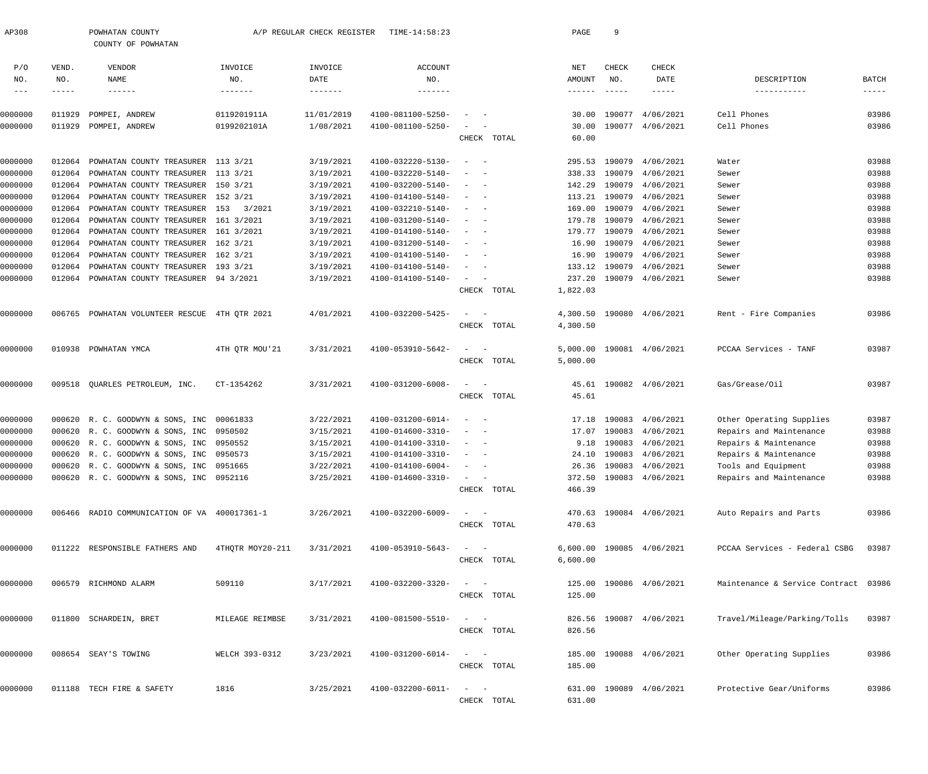| AP308                                    |                       | POWHATAN COUNTY<br>COUNTY OF POWHATAN        |                           | A/P REGULAR CHECK REGISTER | TIME-14:58:23                    |                                                      | PAGE                 | 9                             |                                |                                      |                               |
|------------------------------------------|-----------------------|----------------------------------------------|---------------------------|----------------------------|----------------------------------|------------------------------------------------------|----------------------|-------------------------------|--------------------------------|--------------------------------------|-------------------------------|
| P/O<br>NO.<br>$\qquad \qquad - \qquad -$ | VEND.<br>NO.<br>----- | VENDOR<br>NAME<br>$\cdots\cdots\cdots\cdots$ | INVOICE<br>NO.<br>------- | INVOICE<br>DATE<br>------- | <b>ACCOUNT</b><br>NO.<br>------- |                                                      | NET<br>AMOUNT        | CHECK<br>NO.<br>$- - - - - -$ | CHECK<br>DATE<br>$- - - - - -$ | DESCRIPTION<br>-----------           | <b>BATCH</b><br>$- - - - - -$ |
| 0000000                                  | 011929                | POMPEI, ANDREW                               | 0119201911A               | 11/01/2019                 | 4100-081100-5250-                |                                                      | 30.00                |                               | 190077 4/06/2021               | Cell Phones                          | 03986                         |
| 0000000                                  | 011929                | POMPEI, ANDREW                               | 0199202101A               | 1/08/2021                  | 4100-081100-5250-                | CHECK TOTAL                                          | 30.00<br>60.00       |                               | 190077 4/06/2021               | Cell Phones                          | 03986                         |
| 0000000                                  | 012064                | POWHATAN COUNTY TREASURER 113 3/21           |                           | 3/19/2021                  | 4100-032220-5130-                | $\sim$                                               |                      |                               | 295.53 190079 4/06/2021        | Water                                | 03988                         |
| 0000000                                  | 012064                | POWHATAN COUNTY TREASURER 113 3/21           |                           | 3/19/2021                  | 4100-032220-5140-                |                                                      |                      |                               | 338.33 190079 4/06/2021        | Sewer                                | 03988                         |
| 0000000                                  | 012064                | POWHATAN COUNTY TREASURER 150 3/21           |                           | 3/19/2021                  | 4100-032200-5140-                | $\overline{\phantom{0}}$                             | 142.29               |                               | 190079 4/06/2021               | Sewer                                | 03988                         |
| 0000000                                  | 012064                | POWHATAN COUNTY TREASURER 152 3/21           |                           | 3/19/2021                  | 4100-014100-5140-                |                                                      |                      |                               | 113.21 190079 4/06/2021        | Sewer                                | 03988                         |
| 0000000                                  | 012064                | POWHATAN COUNTY TREASURER 153 3/2021         |                           | 3/19/2021                  | 4100-032210-5140-                | $\overline{\phantom{0}}$                             | 169.00               |                               | 190079 4/06/2021               | Sewer                                | 03988                         |
| 0000000                                  | 012064                | POWHATAN COUNTY TREASURER 161 3/2021         |                           | 3/19/2021                  | 4100-031200-5140-                | $\overline{\phantom{0}}$                             | 179.78               |                               | 190079 4/06/2021               | Sewer                                | 03988                         |
| 0000000                                  | 012064                | POWHATAN COUNTY TREASURER 161 3/2021         |                           | 3/19/2021                  | 4100-014100-5140-                | $\overline{\phantom{a}}$                             | 179.77               |                               | 190079 4/06/2021               | Sewer                                | 03988                         |
| 0000000                                  | 012064                | POWHATAN COUNTY TREASURER 162 3/21           |                           | 3/19/2021                  | 4100-031200-5140-                | $\overline{\phantom{m}}$                             | 16.90                |                               | 190079 4/06/2021               | Sewer                                | 03988                         |
| 0000000                                  | 012064                | POWHATAN COUNTY TREASURER 162 3/21           |                           | 3/19/2021                  | 4100-014100-5140-                | - -                                                  | 16.90                |                               | 190079 4/06/2021               | Sewer                                | 03988                         |
| 0000000                                  | 012064                | POWHATAN COUNTY TREASURER 193 3/21           |                           | 3/19/2021                  | 4100-014100-5140-                | $\overline{\phantom{m}}$<br>$\overline{\phantom{0}}$ | 133.12               |                               | 190079 4/06/2021               | Sewer                                | 03988                         |
| 0000000                                  | 012064                | POWHATAN COUNTY TREASURER 94 3/2021          |                           | 3/19/2021                  | 4100-014100-5140-                | $\sim$<br>$\overline{\phantom{0}}$<br>CHECK TOTAL    | 237.20<br>1,822.03   |                               | 190079 4/06/2021               | Sewer                                | 03988                         |
| 0000000                                  | 006765                | POWHATAN VOLUNTEER RESCUE 4TH QTR 2021       |                           | 4/01/2021                  | 4100-032200-5425-                | $\sim$                                               | 4,300.50             |                               | 190080 4/06/2021               | Rent - Fire Companies                | 03986                         |
|                                          |                       |                                              |                           |                            |                                  | CHECK TOTAL                                          | 4,300.50             |                               |                                |                                      |                               |
| 0000000                                  |                       | 010938 POWHATAN YMCA                         | 4TH QTR MOU'21            | 3/31/2021                  | 4100-053910-5642-                | $\overline{\phantom{a}}$<br>CHECK TOTAL              | 5,000.00<br>5,000.00 |                               | 190081 4/06/2021               | PCCAA Services - TANF                | 03987                         |
| 0000000                                  |                       | 009518 QUARLES PETROLEUM, INC.               | CT-1354262                | 3/31/2021                  | 4100-031200-6008-                | $\sim$<br>$\sim$                                     | 45.61                |                               | 190082 4/06/2021               | Gas/Grease/Oil                       | 03987                         |
|                                          |                       |                                              |                           |                            |                                  | CHECK TOTAL                                          | 45.61                |                               |                                |                                      |                               |
| 0000000                                  |                       | 000620 R. C. GOODWYN & SONS, INC 00061833    |                           | 3/22/2021                  | 4100-031200-6014-                | $\sim$                                               | 17.18                |                               | 190083 4/06/2021               | Other Operating Supplies             | 03987                         |
| 0000000                                  |                       | 000620 R. C. GOODWYN & SONS, INC 0950502     |                           | 3/15/2021                  | 4100-014600-3310-                | $\sim$                                               | 17.07                |                               | 190083 4/06/2021               | Repairs and Maintenance              | 03988                         |
| 0000000                                  |                       | 000620 R. C. GOODWYN & SONS, INC 0950552     |                           | 3/15/2021                  | 4100-014100-3310-                | $\overline{\phantom{a}}$<br>$\overline{\phantom{0}}$ | 9.18                 |                               | 190083 4/06/2021               | Repairs & Maintenance                | 03988                         |
| 0000000                                  |                       | 000620 R. C. GOODWYN & SONS, INC 0950573     |                           | 3/15/2021                  | 4100-014100-3310-                | $\overline{\phantom{a}}$                             |                      |                               | 24.10 190083 4/06/2021         | Repairs & Maintenance                | 03988                         |
| 0000000                                  |                       | 000620 R. C. GOODWYN & SONS, INC 0951665     |                           | 3/22/2021                  | $4100 - 014100 - 6004 - - -$     |                                                      |                      |                               | 26.36 190083 4/06/2021         | Tools and Equipment                  | 03988                         |
| 0000000                                  |                       | 000620 R. C. GOODWYN & SONS, INC 0952116     |                           | 3/25/2021                  | 4100-014600-3310-                | CHECK TOTAL                                          | 466.39               |                               | 372.50 190083 4/06/2021        | Repairs and Maintenance              | 03988                         |
| 0000000                                  |                       | 006466 RADIO COMMUNICATION OF VA 400017361-1 |                           | 3/26/2021                  | 4100-032200-6009-                | $\alpha = 1, \ldots, \alpha$                         |                      |                               | 470.63 190084 4/06/2021        | Auto Repairs and Parts               | 03986                         |
|                                          |                       |                                              |                           |                            |                                  | CHECK TOTAL                                          | 470.63               |                               |                                |                                      |                               |
| 0000000                                  |                       | 011222 RESPONSIBLE FATHERS AND               | 4THQTR MOY20-211          | 3/31/2021                  | 4100-053910-5643-                | $\alpha = 1, \ldots, \alpha$<br>CHECK TOTAL          | 6,600.00             |                               | 6,600.00 190085 4/06/2021      | PCCAA Services - Federal CSBG 03987  |                               |
| 0000000                                  |                       | 006579 RICHMOND ALARM                        | 509110                    | 3/17/2021                  | 4100-032200-3320-                | $\alpha = 1, \ldots, \alpha$                         |                      |                               | 125.00 190086 4/06/2021        | Maintenance & Service Contract 03986 |                               |
|                                          |                       |                                              |                           |                            |                                  | CHECK TOTAL                                          | 125.00               |                               |                                |                                      |                               |
| 0000000                                  |                       | 011800 SCHARDEIN, BRET                       | MILEAGE REIMBSE           | 3/31/2021                  | 4100-081500-5510-                | $\alpha = 1, \ldots, \alpha$ .<br>CHECK TOTAL        | 826.56               |                               | 826.56 190087 4/06/2021        | Travel/Mileage/Parking/Tolls         | 03987                         |
| 0000000                                  |                       | 008654 SEAY'S TOWING                         | WELCH 393-0312            | 3/23/2021                  | 4100-031200-6014-                | $\alpha = 1, \ldots, \alpha$                         |                      |                               | 185.00 190088 4/06/2021        | Other Operating Supplies             | 03986                         |
|                                          |                       |                                              |                           |                            |                                  | CHECK TOTAL                                          | 185.00               |                               |                                |                                      |                               |
| 0000000                                  |                       | 011188 TECH FIRE & SAFETY                    | 1816                      | 3/25/2021                  | 4100-032200-6011-                | $\alpha = 1$ , $\alpha = 1$<br>CHECK TOTAL           | 631.00               |                               | 631.00 190089 4/06/2021        | Protective Gear/Uniforms             | 03986                         |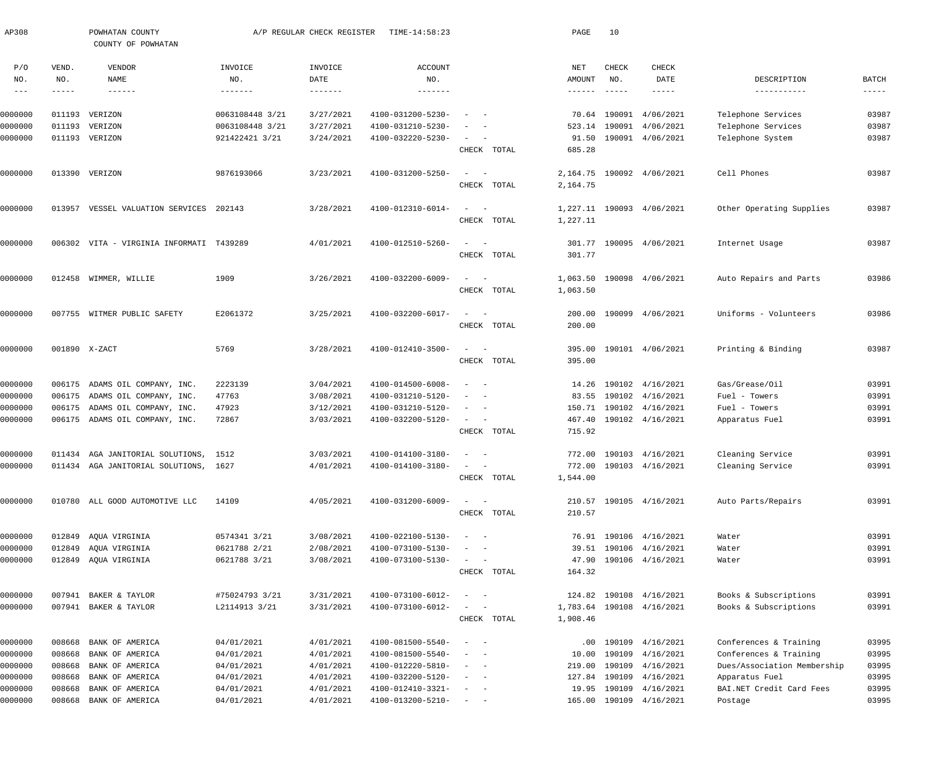| AP308   |        | POWHATAN COUNTY<br>COUNTY OF POWHATAN |                   | A/P REGULAR CHECK REGISTER | TIME-14:58:23                |                                                                                                                           |             | PAGE            | 10            |                           |                             |               |
|---------|--------|---------------------------------------|-------------------|----------------------------|------------------------------|---------------------------------------------------------------------------------------------------------------------------|-------------|-----------------|---------------|---------------------------|-----------------------------|---------------|
| P/O     | VEND.  | VENDOR                                | INVOICE           | INVOICE                    | <b>ACCOUNT</b>               |                                                                                                                           |             | NET             | <b>CHECK</b>  | CHECK                     |                             |               |
| NO.     | NO.    | NAME                                  | NO.               | DATE                       | NO.                          |                                                                                                                           |             | AMOUNT          | NO.           | DATE                      | DESCRIPTION                 | <b>BATCH</b>  |
| $--\,-$ | -----  |                                       | $- - - - - - - -$ | $- - - - - - -$            | -------                      |                                                                                                                           |             | $- - - - - - -$ | $- - - - - -$ | -----                     | -----------                 | $- - - - - -$ |
| 0000000 | 011193 | VERIZON                               | 0063108448 3/21   | 3/27/2021                  | 4100-031200-5230-            |                                                                                                                           |             |                 | 70.64 190091  | 4/06/2021                 | Telephone Services          | 03987         |
| 0000000 | 011193 | VERIZON                               | 0063108448 3/21   | 3/27/2021                  | 4100-031210-5230-            |                                                                                                                           |             | 523.14          | 190091        | 4/06/2021                 | Telephone Services          | 03987         |
| 0000000 |        | 011193 VERIZON                        | 921422421 3/21    | 3/24/2021                  | 4100-032220-5230-            | $\sim$<br>$\sim$                                                                                                          |             | 91.50           |               | 190091 4/06/2021          | Telephone System            | 03987         |
|         |        |                                       |                   |                            |                              |                                                                                                                           | CHECK TOTAL | 685.28          |               |                           |                             |               |
| 0000000 |        | 013390 VERIZON                        | 9876193066        | 3/23/2021                  | 4100-031200-5250-            | $\sim$<br>$\sim$ $-$                                                                                                      |             | 2,164.75        |               | 190092 4/06/2021          | Cell Phones                 | 03987         |
|         |        |                                       |                   |                            |                              |                                                                                                                           | CHECK TOTAL | 2,164.75        |               |                           |                             |               |
| 0000000 | 013957 | VESSEL VALUATION SERVICES             | 202143            | 3/28/2021                  | 4100-012310-6014-            | $\sim$<br>$\sim$ $-$                                                                                                      |             |                 |               | 1,227.11 190093 4/06/2021 | Other Operating Supplies    | 03987         |
|         |        |                                       |                   |                            |                              |                                                                                                                           | CHECK TOTAL | 1,227.11        |               |                           |                             |               |
|         |        |                                       |                   |                            |                              |                                                                                                                           |             |                 |               |                           |                             |               |
| 0000000 | 006302 | VITA - VIRGINIA INFORMATI T439289     |                   | 4/01/2021                  | 4100-012510-5260-            | $\sim$<br>$\sim$ $-$                                                                                                      |             | 301.77          |               | 190095 4/06/2021          | Internet Usage              | 03987         |
|         |        |                                       |                   |                            |                              |                                                                                                                           | CHECK TOTAL | 301.77          |               |                           |                             |               |
| 0000000 | 012458 | WIMMER, WILLIE                        | 1909              | 3/26/2021                  | 4100-032200-6009-            | $\sim$<br>$\sim$ $-$                                                                                                      |             | 1,063.50        |               | 190098 4/06/2021          | Auto Repairs and Parts      | 03986         |
|         |        |                                       |                   |                            |                              |                                                                                                                           | CHECK TOTAL | 1,063.50        |               |                           |                             |               |
|         |        |                                       |                   |                            |                              |                                                                                                                           |             |                 |               |                           |                             |               |
| 0000000 | 007755 | WITMER PUBLIC SAFETY                  | E2061372          | 3/25/2021                  | 4100-032200-6017-            | $\sim$ $  -$                                                                                                              |             | 200.00          |               | 190099 4/06/2021          | Uniforms - Volunteers       | 03986         |
|         |        |                                       |                   |                            |                              |                                                                                                                           | CHECK TOTAL | 200.00          |               |                           |                             |               |
| 0000000 |        | 001890 X-ZACT                         | 5769              | 3/28/2021                  | 4100-012410-3500-            | $\sim$<br>$\sim$ $-$                                                                                                      |             | 395.00          |               | 190101 4/06/2021          | Printing & Binding          | 03987         |
|         |        |                                       |                   |                            |                              |                                                                                                                           | CHECK TOTAL | 395.00          |               |                           |                             |               |
| 0000000 | 006175 | ADAMS OIL COMPANY, INC.               | 2223139           | 3/04/2021                  | 4100-014500-6008-            | $\sim$ $-$                                                                                                                |             | 14.26           |               | 190102 4/16/2021          | Gas/Grease/Oil              | 03991         |
| 0000000 | 006175 | ADAMS OIL COMPANY, INC.               | 47763             | 3/08/2021                  | 4100-031210-5120-            | - -                                                                                                                       |             | 83.55           |               | 190102 4/16/2021          | Fuel - Towers               | 03991         |
| 0000000 | 006175 | ADAMS OIL COMPANY, INC.               | 47923             | 3/12/2021                  | 4100-031210-5120-            | $\sim$                                                                                                                    |             |                 |               | 150.71 190102 4/16/2021   | Fuel - Towers               | 03991         |
| 0000000 |        | 006175 ADAMS OIL COMPANY, INC.        | 72867             | 3/03/2021                  | 4100-032200-5120-            | $\sim$ $  -$                                                                                                              |             | 467.40          |               | 190102 4/16/2021          | Apparatus Fuel              | 03991         |
|         |        |                                       |                   |                            |                              |                                                                                                                           | CHECK TOTAL | 715.92          |               |                           |                             |               |
| 0000000 |        | 011434 AGA JANITORIAL SOLUTIONS, 1512 |                   | 3/03/2021                  | 4100-014100-3180-            | $\sim$<br>$\sim$ $-$                                                                                                      |             |                 |               | 772.00 190103 4/16/2021   | Cleaning Service            | 03991         |
| 0000000 |        | 011434 AGA JANITORIAL SOLUTIONS, 1627 |                   | 4/01/2021                  | $4100 - 014100 - 3180 - - -$ |                                                                                                                           |             |                 |               | 772.00 190103 4/16/2021   | Cleaning Service            | 03991         |
|         |        |                                       |                   |                            |                              |                                                                                                                           | CHECK TOTAL | 1,544.00        |               |                           |                             |               |
| 0000000 |        | 010780 ALL GOOD AUTOMOTIVE LLC        | 14109             | 4/05/2021                  | 4100-031200-6009-            | $\sim$ $  -$                                                                                                              |             |                 |               | 210.57 190105 4/16/2021   | Auto Parts/Repairs          | 03991         |
|         |        |                                       |                   |                            |                              |                                                                                                                           | CHECK TOTAL | 210.57          |               |                           |                             |               |
| 0000000 |        | 012849 AQUA VIRGINIA                  | 0574341 3/21      | 3/08/2021                  | 4100-022100-5130-            | $\frac{1}{2} \left( \frac{1}{2} \right) \left( \frac{1}{2} \right) \left( \frac{1}{2} \right) \left( \frac{1}{2} \right)$ |             |                 |               | 76.91 190106 4/16/2021    | Water                       | 03991         |
| 0000000 | 012849 | AQUA VIRGINIA                         | 0621788 2/21      | 2/08/2021                  | 4100-073100-5130-            |                                                                                                                           |             |                 |               | 39.51 190106 4/16/2021    | Water                       | 03991         |
| 0000000 |        | 012849 AQUA VIRGINIA                  | 0621788 3/21      | 3/08/2021                  | 4100-073100-5130-            | $\sim$ $ -$                                                                                                               |             |                 |               | 47.90 190106 4/16/2021    | Water                       | 03991         |
|         |        |                                       |                   |                            |                              |                                                                                                                           | CHECK TOTAL | 164.32          |               |                           |                             |               |
| 0000000 |        | 007941 BAKER & TAYLOR                 | #75024793 3/21    | 3/31/2021                  | 4100-073100-6012-            | $\sim$ 100 $\sim$ 100 $\sim$                                                                                              |             |                 |               | 124.82 190108 4/16/2021   | Books & Subscriptions       | 03991         |
| 0000000 |        | 007941 BAKER & TAYLOR                 | L2114913 3/21     | 3/31/2021                  | 4100-073100-6012-            | $\sim$ 100 $\sim$ 100 $\sim$                                                                                              |             |                 |               | 1,783.64 190108 4/16/2021 | Books & Subscriptions       | 03991         |
|         |        |                                       |                   |                            |                              |                                                                                                                           | CHECK TOTAL | 1,908.46        |               |                           |                             |               |
| 0000000 | 008668 | BANK OF AMERICA                       | 04/01/2021        | 4/01/2021                  | 4100-081500-5540-            | $\sim$ 100 $\sim$ 100 $\sim$                                                                                              |             |                 |               | $.00$ 190109 $4/16/2021$  | Conferences & Training      | 03995         |
| 0000000 | 008668 | BANK OF AMERICA                       | 04/01/2021        | 4/01/2021                  | 4100-081500-5540-            | $\sim$ $-$                                                                                                                |             | 10.00           |               | 190109 4/16/2021          | Conferences & Training      | 03995         |
| 0000000 | 008668 | BANK OF AMERICA                       | 04/01/2021        | 4/01/2021                  | 4100-012220-5810-            | $\sim$ 100 $\sim$ 100 $\sim$                                                                                              |             | 219.00          |               | 190109 4/16/2021          | Dues/Association Membership | 03995         |
| 0000000 | 008668 | BANK OF AMERICA                       | 04/01/2021        | 4/01/2021                  | 4100-032200-5120-            | $\sim$ 100 $\sim$ 100 $\sim$                                                                                              |             |                 |               | 127.84 190109 4/16/2021   | Apparatus Fuel              | 03995         |
| 0000000 | 008668 | BANK OF AMERICA                       | 04/01/2021        | 4/01/2021                  | 4100-012410-3321-            |                                                                                                                           |             | 19.95           |               | 190109 4/16/2021          | BAI.NET Credit Card Fees    | 03995         |
| 0000000 | 008668 | BANK OF AMERICA                       | 04/01/2021        | 4/01/2021                  | 4100-013200-5210-            | $\sim$ $ -$                                                                                                               |             |                 |               | 165.00 190109 4/16/2021   | Postage                     | 03995         |
|         |        |                                       |                   |                            |                              |                                                                                                                           |             |                 |               |                           |                             |               |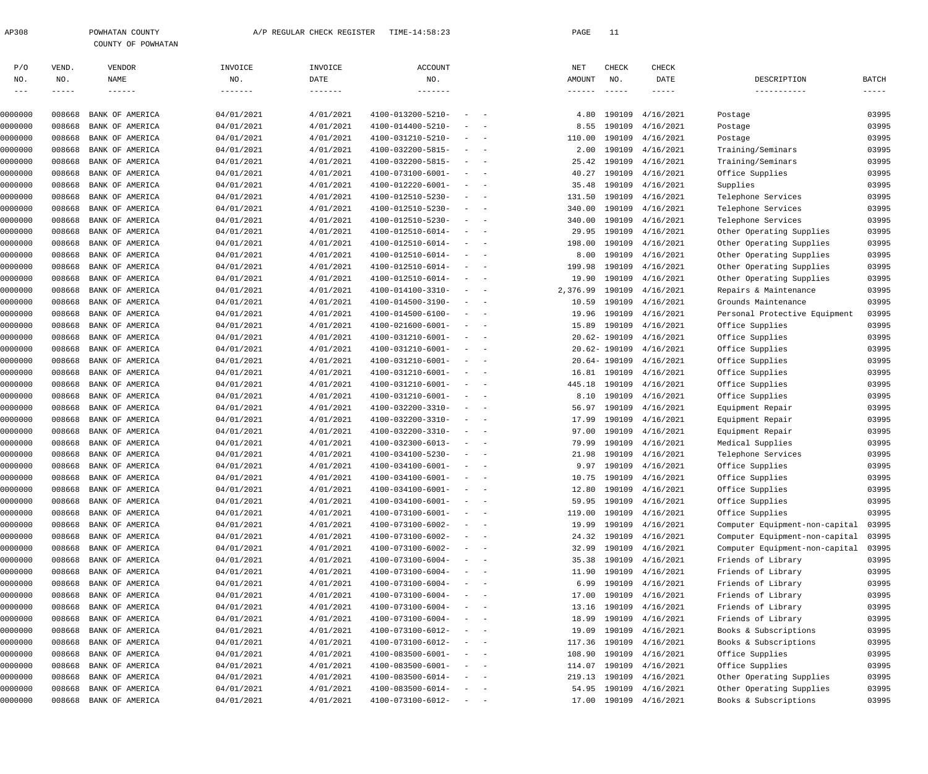| 308 | POWHATAN COUNTY |                    |
|-----|-----------------|--------------------|
|     |                 | COUNTY OF POWHATAN |

| P/O      | VEND.       | VENDOR                 | INVOICE         | INVOICE   | ACCOUNT                      |                                                                                    |                                                                                                                           | NET             | CHECK         | CHECK                   |                                |                                                                                                                                                                                                                                                                                                                                                                                                                                                                                        |
|----------|-------------|------------------------|-----------------|-----------|------------------------------|------------------------------------------------------------------------------------|---------------------------------------------------------------------------------------------------------------------------|-----------------|---------------|-------------------------|--------------------------------|----------------------------------------------------------------------------------------------------------------------------------------------------------------------------------------------------------------------------------------------------------------------------------------------------------------------------------------------------------------------------------------------------------------------------------------------------------------------------------------|
| NO.      | NO.         | NAME                   | NO.             | DATE      | NO.                          |                                                                                    |                                                                                                                           | AMOUNT          | NO.           | DATE                    | DESCRIPTION                    | <b>BATCH</b>                                                                                                                                                                                                                                                                                                                                                                                                                                                                           |
| $- -  -$ | $- - - - -$ |                        | $- - - - - - -$ |           |                              |                                                                                    |                                                                                                                           | $- - - - - - -$ | $- - - - -$   | $- - - - - -$           | -----------                    | $\begin{tabular}{cccccc} - & - & - & - & - \\ & - & - & - & - \\ & - & - & - & - \\ & - & - & - & - \\ & - & - & - & - \\ & - & - & - & - \\ & - & - & - & - \\ & - & - & - & - \\ & - & - & - & - \\ & - & - & - & - \\ & - & - & - & - \\ & - & - & - & - \\ & - & - & - & - \\ & - & - & - & - \\ & - & - & - & - \\ & - & - & - & - \\ & - & - & - & - \\ & - & - & - & - \\ & - & - & - & - \\ & - & - & - & - \\ & - & - & - & - \\ & - & - & - & - \\ & - & - & - & - & - \\ &$ |
|          |             |                        |                 |           |                              |                                                                                    |                                                                                                                           |                 |               |                         |                                |                                                                                                                                                                                                                                                                                                                                                                                                                                                                                        |
| 0000000  | 008668      | BANK OF AMERICA        | 04/01/2021      | 4/01/2021 | 4100-013200-5210-            | $\sim$                                                                             | $\sim$ $-$                                                                                                                | 4.80            | 190109        | 4/16/2021               | Postage                        | 03995                                                                                                                                                                                                                                                                                                                                                                                                                                                                                  |
| 0000000  | 008668      | BANK OF AMERICA        | 04/01/2021      | 4/01/2021 | 4100-014400-5210-            | $\sim$                                                                             | $\overline{\phantom{0}}$                                                                                                  | 8.55            | 190109        | 4/16/2021               | Postage                        | 03995                                                                                                                                                                                                                                                                                                                                                                                                                                                                                  |
| 0000000  | 008668      | BANK OF AMERICA        | 04/01/2021      | 4/01/2021 | 4100-031210-5210-            | $\sim$                                                                             | $\sim$                                                                                                                    | 110.00          | 190109        | 4/16/2021               | Postage                        | 03995                                                                                                                                                                                                                                                                                                                                                                                                                                                                                  |
| 0000000  | 008668      | BANK OF AMERICA        | 04/01/2021      | 4/01/2021 | 4100-032200-5815-            | $\sim$                                                                             | $\sim$                                                                                                                    | 2.00            | 190109        | 4/16/2021               | Training/Seminars              | 03995                                                                                                                                                                                                                                                                                                                                                                                                                                                                                  |
| 0000000  | 008668      | BANK OF AMERICA        | 04/01/2021      | 4/01/2021 | 4100-032200-5815-            |                                                                                    | $\frac{1}{2} \left( \frac{1}{2} \right) \left( \frac{1}{2} \right) \left( \frac{1}{2} \right) \left( \frac{1}{2} \right)$ | 25.42           | 190109        | 4/16/2021               | Training/Seminars              | 03995                                                                                                                                                                                                                                                                                                                                                                                                                                                                                  |
| 0000000  | 008668      | BANK OF AMERICA        | 04/01/2021      | 4/01/2021 | $4100 - 073100 - 6001 -$     | $\sim$                                                                             | $\sim$ $-$                                                                                                                | 40.27           | 190109        | 4/16/2021               | Office Supplies                | 03995                                                                                                                                                                                                                                                                                                                                                                                                                                                                                  |
| 0000000  | 008668      | BANK OF AMERICA        | 04/01/2021      | 4/01/2021 | 4100-012220-6001-            | $\sim$                                                                             | $\overline{\phantom{a}}$                                                                                                  | 35.48           | 190109        | 4/16/2021               | Supplies                       | 03995                                                                                                                                                                                                                                                                                                                                                                                                                                                                                  |
| 0000000  | 008668      | BANK OF AMERICA        | 04/01/2021      | 4/01/2021 | 4100-012510-5230-            | $\sim$                                                                             | $\sim$                                                                                                                    | 131.50          | 190109        | 4/16/2021               | Telephone Services             | 03995                                                                                                                                                                                                                                                                                                                                                                                                                                                                                  |
| 0000000  | 008668      | BANK OF AMERICA        | 04/01/2021      | 4/01/2021 | 4100-012510-5230-            | $\sim$                                                                             | $\overline{\phantom{a}}$                                                                                                  | 340.00          | 190109        | 4/16/2021               | Telephone Services             | 03995                                                                                                                                                                                                                                                                                                                                                                                                                                                                                  |
| 0000000  | 008668      | BANK OF AMERICA        | 04/01/2021      | 4/01/2021 | 4100-012510-5230-            | $\sim$                                                                             | $\sim$                                                                                                                    | 340.00          | 190109        | 4/16/2021               | Telephone Services             | 03995                                                                                                                                                                                                                                                                                                                                                                                                                                                                                  |
| 0000000  | 008668      | BANK OF AMERICA        | 04/01/2021      | 4/01/2021 | 4100-012510-6014-            | $\sim$                                                                             | $\sim$                                                                                                                    | 29.95           | 190109        | 4/16/2021               | Other Operating Supplies       | 03995                                                                                                                                                                                                                                                                                                                                                                                                                                                                                  |
| 0000000  | 008668      | BANK OF AMERICA        | 04/01/2021      | 4/01/2021 | 4100-012510-6014-            |                                                                                    | $\frac{1}{2} \left( \frac{1}{2} \right) \left( \frac{1}{2} \right) \left( \frac{1}{2} \right) \left( \frac{1}{2} \right)$ | 198.00          | 190109        | 4/16/2021               | Other Operating Supplies       | 03995                                                                                                                                                                                                                                                                                                                                                                                                                                                                                  |
| 0000000  | 008668      | BANK OF AMERICA        | 04/01/2021      | 4/01/2021 | 4100-012510-6014-            | $\sim$                                                                             | $\sim$                                                                                                                    | 8.00            | 190109        | 4/16/2021               | Other Operating Supplies       | 03995                                                                                                                                                                                                                                                                                                                                                                                                                                                                                  |
| 0000000  | 008668      | BANK OF AMERICA        | 04/01/2021      | 4/01/2021 | 4100-012510-6014-            | $\sim$                                                                             | $\overline{\phantom{a}}$                                                                                                  | 199.98          | 190109        | 4/16/2021               | Other Operating Supplies       | 03995                                                                                                                                                                                                                                                                                                                                                                                                                                                                                  |
| 0000000  | 008668      | BANK OF AMERICA        | 04/01/2021      | 4/01/2021 | 4100-012510-6014-            | $\sim$                                                                             | $\sim$                                                                                                                    | 19.90           | 190109        | 4/16/2021               | Other Operating Supplies       | 03995                                                                                                                                                                                                                                                                                                                                                                                                                                                                                  |
| 0000000  | 008668      | BANK OF AMERICA        | 04/01/2021      | 4/01/2021 | 4100-014100-3310-            | $\sim$                                                                             | $\overline{\phantom{a}}$                                                                                                  | 2,376.99        | 190109        | 4/16/2021               | Repairs & Maintenance          | 03995                                                                                                                                                                                                                                                                                                                                                                                                                                                                                  |
| 0000000  | 008668      | BANK OF AMERICA        | 04/01/2021      | 4/01/2021 | 4100-014500-3190-            |                                                                                    | $ -$                                                                                                                      | 10.59           | 190109        | 4/16/2021               | Grounds Maintenance            | 03995                                                                                                                                                                                                                                                                                                                                                                                                                                                                                  |
| 0000000  | 008668      | BANK OF AMERICA        | 04/01/2021      | 4/01/2021 | 4100-014500-6100-            | $\sim$                                                                             | $\sim$ $-$                                                                                                                | 19.96           | 190109        | 4/16/2021               | Personal Protective Equipment  | 03995                                                                                                                                                                                                                                                                                                                                                                                                                                                                                  |
| 0000000  | 008668      | BANK OF AMERICA        | 04/01/2021      | 4/01/2021 | $4100 - 021600 - 6001 -$     |                                                                                    | $\frac{1}{2} \left( \frac{1}{2} \right) \left( \frac{1}{2} \right) \left( \frac{1}{2} \right) \left( \frac{1}{2} \right)$ | 15.89           | 190109        | 4/16/2021               | Office Supplies                | 03995                                                                                                                                                                                                                                                                                                                                                                                                                                                                                  |
| 0000000  | 008668      | BANK OF AMERICA        | 04/01/2021      | 4/01/2021 | 4100-031210-6001-            | $\sim$                                                                             | $\sim$ $-$                                                                                                                |                 | 20.62- 190109 | 4/16/2021               | Office Supplies                | 03995                                                                                                                                                                                                                                                                                                                                                                                                                                                                                  |
| 0000000  | 008668      | BANK OF AMERICA        | 04/01/2021      | 4/01/2021 | 4100-031210-6001-            | $\sim$                                                                             | $\overline{\phantom{a}}$                                                                                                  |                 | 20.62- 190109 | 4/16/2021               | Office Supplies                | 03995                                                                                                                                                                                                                                                                                                                                                                                                                                                                                  |
| 0000000  | 008668      | BANK OF AMERICA        | 04/01/2021      | 4/01/2021 | 4100-031210-6001-            | $\sim$                                                                             | $\sim$                                                                                                                    |                 | 20.64- 190109 | 4/16/2021               | Office Supplies                | 03995                                                                                                                                                                                                                                                                                                                                                                                                                                                                                  |
| 0000000  | 008668      | BANK OF AMERICA        | 04/01/2021      | 4/01/2021 | 4100-031210-6001-            |                                                                                    | $\frac{1}{2} \left( \frac{1}{2} \right) \left( \frac{1}{2} \right) \left( \frac{1}{2} \right) \left( \frac{1}{2} \right)$ |                 | 16.81 190109  | 4/16/2021               | Office Supplies                | 03995                                                                                                                                                                                                                                                                                                                                                                                                                                                                                  |
| 0000000  | 008668      | BANK OF AMERICA        | 04/01/2021      | 4/01/2021 | 4100-031210-6001-            |                                                                                    | $\frac{1}{2} \left( \frac{1}{2} \right) \left( \frac{1}{2} \right) \left( \frac{1}{2} \right) \left( \frac{1}{2} \right)$ | 445.18          | 190109        | 4/16/2021               | Office Supplies                | 03995                                                                                                                                                                                                                                                                                                                                                                                                                                                                                  |
| 0000000  | 008668      | BANK OF AMERICA        | 04/01/2021      | 4/01/2021 | 4100-031210-6001-            |                                                                                    | $\frac{1}{2} \left( \frac{1}{2} \right) \left( \frac{1}{2} \right) \left( \frac{1}{2} \right) \left( \frac{1}{2} \right)$ | 8.10            | 190109        | 4/16/2021               | Office Supplies                | 03995                                                                                                                                                                                                                                                                                                                                                                                                                                                                                  |
| 0000000  | 008668      | BANK OF AMERICA        | 04/01/2021      | 4/01/2021 | 4100-032200-3310-            |                                                                                    | $\frac{1}{2} \left( \frac{1}{2} \right) \left( \frac{1}{2} \right) \left( \frac{1}{2} \right) \left( \frac{1}{2} \right)$ | 56.97           | 190109        | 4/16/2021               |                                | 03995                                                                                                                                                                                                                                                                                                                                                                                                                                                                                  |
| 0000000  | 008668      |                        | 04/01/2021      | 4/01/2021 | 4100-032200-3310-            | $\sim$                                                                             | $\sim$                                                                                                                    |                 | 190109        | 4/16/2021               | Equipment Repair               | 03995                                                                                                                                                                                                                                                                                                                                                                                                                                                                                  |
|          |             | BANK OF AMERICA        |                 | 4/01/2021 |                              |                                                                                    |                                                                                                                           | 17.99           |               |                         | Equipment Repair               |                                                                                                                                                                                                                                                                                                                                                                                                                                                                                        |
| 0000000  | 008668      | BANK OF AMERICA        | 04/01/2021      |           | 4100-032200-3310-            |                                                                                    | $\frac{1}{2} \left( \frac{1}{2} \right) \left( \frac{1}{2} \right) \left( \frac{1}{2} \right) \left( \frac{1}{2} \right)$ | 97.00           | 190109        | 4/16/2021               | Equipment Repair               | 03995                                                                                                                                                                                                                                                                                                                                                                                                                                                                                  |
| 0000000  | 008668      | BANK OF AMERICA        | 04/01/2021      | 4/01/2021 | 4100-032300-6013-            | $\sim$                                                                             | $\sim$ $-$                                                                                                                | 79.99           | 190109        | 4/16/2021               | Medical Supplies               | 03995                                                                                                                                                                                                                                                                                                                                                                                                                                                                                  |
| 0000000  | 008668      | BANK OF AMERICA        | 04/01/2021      | 4/01/2021 | 4100-034100-5230-            |                                                                                    | $\frac{1}{2} \left( \frac{1}{2} \right) \left( \frac{1}{2} \right) \left( \frac{1}{2} \right) \left( \frac{1}{2} \right)$ | 21.98           | 190109        | 4/16/2021               | Telephone Services             | 03995                                                                                                                                                                                                                                                                                                                                                                                                                                                                                  |
| 0000000  | 008668      | BANK OF AMERICA        | 04/01/2021      | 4/01/2021 | 4100-034100-6001-            |                                                                                    | $\frac{1}{2} \left( \frac{1}{2} \right) \left( \frac{1}{2} \right) \left( \frac{1}{2} \right) \left( \frac{1}{2} \right)$ | 9.97            | 190109        | 4/16/2021               | Office Supplies                | 03995                                                                                                                                                                                                                                                                                                                                                                                                                                                                                  |
| 0000000  | 008668      | BANK OF AMERICA        | 04/01/2021      | 4/01/2021 | $4100 - 034100 - 6001 -$     | $\sim$                                                                             | $\sim$                                                                                                                    | 10.75           | 190109        | 4/16/2021               | Office Supplies                | 03995                                                                                                                                                                                                                                                                                                                                                                                                                                                                                  |
| 0000000  | 008668      | BANK OF AMERICA        | 04/01/2021      | 4/01/2021 | 4100-034100-6001-            | $\sim$                                                                             |                                                                                                                           |                 |               | 12.80 190109 4/16/2021  | Office Supplies                | 03995                                                                                                                                                                                                                                                                                                                                                                                                                                                                                  |
| 0000000  | 008668      | BANK OF AMERICA        | 04/01/2021      | 4/01/2021 | $4100 - 034100 - 6001 - - -$ |                                                                                    |                                                                                                                           |                 |               | 59.95 190109 4/16/2021  | Office Supplies                | 03995                                                                                                                                                                                                                                                                                                                                                                                                                                                                                  |
| 0000000  | 008668      | BANK OF AMERICA        | 04/01/2021      | 4/01/2021 | $4100 - 073100 - 6001 -$     | $\sim$ $ -$                                                                        |                                                                                                                           |                 |               | 119.00 190109 4/16/2021 | Office Supplies                | 03995                                                                                                                                                                                                                                                                                                                                                                                                                                                                                  |
| 0000000  | 008668      | BANK OF AMERICA        | 04/01/2021      | 4/01/2021 | 4100-073100-6002-            |                                                                                    | $\sim$                                                                                                                    | 19.99           | 190109        | 4/16/2021               | Computer Equipment-non-capital | 03995                                                                                                                                                                                                                                                                                                                                                                                                                                                                                  |
| 0000000  | 008668      | BANK OF AMERICA        | 04/01/2021      | 4/01/2021 | 4100-073100-6002-            |                                                                                    | $\qquad \qquad -$                                                                                                         |                 |               | 24.32 190109 4/16/2021  | Computer Equipment-non-capital | 03995                                                                                                                                                                                                                                                                                                                                                                                                                                                                                  |
| 0000000  | 008668      | BANK OF AMERICA        | 04/01/2021      | 4/01/2021 | 4100-073100-6002-            |                                                                                    | $\frac{1}{2}$ and $\frac{1}{2}$ and $\frac{1}{2}$                                                                         | 32.99           |               | 190109 4/16/2021        | Computer Equipment-non-capital | 03995                                                                                                                                                                                                                                                                                                                                                                                                                                                                                  |
| 0000000  | 008668      | BANK OF AMERICA        | 04/01/2021      | 4/01/2021 | 4100-073100-6004-            |                                                                                    | $\qquad \qquad -$                                                                                                         | 35.38           |               | 190109 4/16/2021        | Friends of Library             | 03995                                                                                                                                                                                                                                                                                                                                                                                                                                                                                  |
| 0000000  | 008668      | BANK OF AMERICA        | 04/01/2021      | 4/01/2021 | 4100-073100-6004-            |                                                                                    | $\frac{1}{2}$ and $\frac{1}{2}$ and $\frac{1}{2}$                                                                         | 11.90           |               | 190109 4/16/2021        | Friends of Library             | 03995                                                                                                                                                                                                                                                                                                                                                                                                                                                                                  |
| 0000000  | 008668      | BANK OF AMERICA        | 04/01/2021      | 4/01/2021 | 4100-073100-6004-            |                                                                                    | $\qquad \qquad -$                                                                                                         | 6.99            |               | 190109 4/16/2021        | Friends of Library             | 03995                                                                                                                                                                                                                                                                                                                                                                                                                                                                                  |
| 0000000  | 008668      | BANK OF AMERICA        | 04/01/2021      | 4/01/2021 | 4100-073100-6004-            |                                                                                    | $\qquad \qquad -$                                                                                                         | 17.00           |               | 190109 4/16/2021        | Friends of Library             | 03995                                                                                                                                                                                                                                                                                                                                                                                                                                                                                  |
| 0000000  | 008668      | BANK OF AMERICA        | 04/01/2021      | 4/01/2021 | 4100-073100-6004-            |                                                                                    | $\frac{1}{2}$ and $\frac{1}{2}$ and $\frac{1}{2}$                                                                         | 13.16           |               | 190109 4/16/2021        | Friends of Library             | 03995                                                                                                                                                                                                                                                                                                                                                                                                                                                                                  |
| 0000000  | 008668      | BANK OF AMERICA        | 04/01/2021      | 4/01/2021 | 4100-073100-6004-            |                                                                                    | $\frac{1}{2}$ and $\frac{1}{2}$ and $\frac{1}{2}$                                                                         | 18.99           |               | 190109 4/16/2021        | Friends of Library             | 03995                                                                                                                                                                                                                                                                                                                                                                                                                                                                                  |
| 0000000  | 008668      | BANK OF AMERICA        | 04/01/2021      | 4/01/2021 | 4100-073100-6012-            |                                                                                    | $\frac{1}{2}$ and $\frac{1}{2}$ and $\frac{1}{2}$                                                                         | 19.09           |               | 190109 4/16/2021        | Books & Subscriptions          | 03995                                                                                                                                                                                                                                                                                                                                                                                                                                                                                  |
| 0000000  | 008668      | BANK OF AMERICA        | 04/01/2021      | 4/01/2021 | 4100-073100-6012-            |                                                                                    | $\frac{1}{2}$ and $\frac{1}{2}$ and $\frac{1}{2}$                                                                         | 117.36          |               | 190109 4/16/2021        | Books & Subscriptions          | 03995                                                                                                                                                                                                                                                                                                                                                                                                                                                                                  |
| 0000000  | 008668      | BANK OF AMERICA        | 04/01/2021      | 4/01/2021 | $4100 - 083500 - 6001 -$     |                                                                                    | $\frac{1}{2}$ and $\frac{1}{2}$ and $\frac{1}{2}$                                                                         | 108.90          |               | 190109 4/16/2021        | Office Supplies                | 03995                                                                                                                                                                                                                                                                                                                                                                                                                                                                                  |
| 0000000  | 008668      | BANK OF AMERICA        | 04/01/2021      | 4/01/2021 | $4100 - 083500 - 6001 -$     |                                                                                    | $\qquad \qquad -$                                                                                                         | 114.07          |               | 190109 4/16/2021        | Office Supplies                | 03995                                                                                                                                                                                                                                                                                                                                                                                                                                                                                  |
| 0000000  | 008668      | BANK OF AMERICA        | 04/01/2021      | 4/01/2021 | $4100 - 083500 - 6014 -$     |                                                                                    | $\frac{1}{2}$ and $\frac{1}{2}$ and $\frac{1}{2}$                                                                         |                 |               | 219.13 190109 4/16/2021 | Other Operating Supplies       | 03995                                                                                                                                                                                                                                                                                                                                                                                                                                                                                  |
| 0000000  | 008668      | BANK OF AMERICA        | 04/01/2021      | 4/01/2021 | $4100 - 083500 - 6014 -$     |                                                                                    | $\frac{1}{2}$ and $\frac{1}{2}$ and $\frac{1}{2}$                                                                         |                 |               | 54.95 190109 4/16/2021  | Other Operating Supplies       | 03995                                                                                                                                                                                                                                                                                                                                                                                                                                                                                  |
| 0000000  |             | 008668 BANK OF AMERICA | 04/01/2021      | 4/01/2021 | 4100-073100-6012-            | $\alpha \rightarrow \alpha \beta \gamma \gamma \gamma \gamma \gamma \gamma \gamma$ |                                                                                                                           |                 |               | 17.00 190109 4/16/2021  | Books & Subscriptions          | 03995                                                                                                                                                                                                                                                                                                                                                                                                                                                                                  |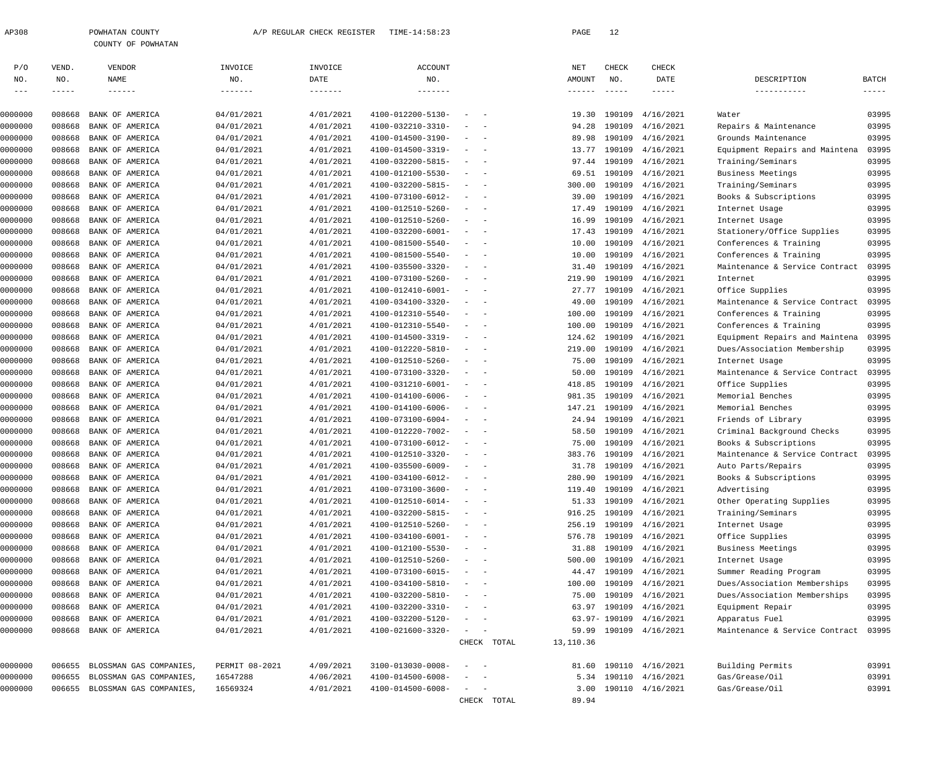| P/O     | VEND.       | VENDOR                  | INVOICE         | INVOICE   | ACCOUNT           |                                                      |             | NET             | CHECK         | CHECK                   |                                |              |
|---------|-------------|-------------------------|-----------------|-----------|-------------------|------------------------------------------------------|-------------|-----------------|---------------|-------------------------|--------------------------------|--------------|
| NO.     | NO.         | NAME                    | NO.             | DATE      | NO.               |                                                      |             | AMOUNT          | NO.           | DATE                    | DESCRIPTION                    | <b>BATCH</b> |
| $---$   | $- - - - -$ | $- - - - - - -$         | $- - - - - - -$ |           | -------           |                                                      |             | $- - - - - - -$ | $- - - - - -$ | $- - - - -$             | -----------                    | $- - - - -$  |
| 0000000 | 008668      | BANK OF AMERICA         | 04/01/2021      | 4/01/2021 | 4100-012200-5130- | $\overline{\phantom{a}}$                             |             | 19.30           | 190109        | 4/16/2021               | Water                          | 03995        |
| 0000000 | 008668      | BANK OF AMERICA         | 04/01/2021      | 4/01/2021 | 4100-032210-3310- | $\sim$<br>$\sim$                                     |             | 94.28           | 190109        | 4/16/2021               | Repairs & Maintenance          | 03995        |
| 0000000 | 008668      | BANK OF AMERICA         | 04/01/2021      | 4/01/2021 | 4100-014500-3190- | $\overline{\phantom{a}}$<br>$\sim$                   |             | 89.98           | 190109        | 4/16/2021               | Grounds Maintenance            | 03995        |
| 0000000 | 008668      | BANK OF AMERICA         | 04/01/2021      | 4/01/2021 | 4100-014500-3319- | $\sim$<br>$\sim$                                     |             | 13.77           | 190109        | 4/16/2021               | Equipment Repairs and Maintena | 03995        |
| 0000000 | 008668      | BANK OF AMERICA         | 04/01/2021      | 4/01/2021 | 4100-032200-5815- | $\sim$<br>$\sim$                                     |             | 97.44           | 190109        | 4/16/2021               | Training/Seminars              | 03995        |
| 0000000 | 008668      | BANK OF AMERICA         | 04/01/2021      | 4/01/2021 | 4100-012100-5530- | $\sim$<br>$\sim$                                     |             | 69.51           | 190109        | 4/16/2021               | Business Meetings              | 03995        |
| 0000000 | 008668      | BANK OF AMERICA         | 04/01/2021      | 4/01/2021 | 4100-032200-5815- | $\sim$<br>$\sim$                                     |             | 300.00          | 190109        | 4/16/2021               | Training/Seminars              | 03995        |
| 0000000 | 008668      | BANK OF AMERICA         | 04/01/2021      | 4/01/2021 | 4100-073100-6012- | $\sim$<br>$\sim$                                     |             | 39.00           | 190109        | 4/16/2021               | Books & Subscriptions          | 03995        |
| 0000000 | 008668      | BANK OF AMERICA         | 04/01/2021      | 4/01/2021 | 4100-012510-5260- | $\sim$<br>$\sim$                                     |             | 17.49           | 190109        | 4/16/2021               | Internet Usage                 | 03995        |
| 0000000 | 008668      | BANK OF AMERICA         | 04/01/2021      | 4/01/2021 | 4100-012510-5260- | $\overline{\phantom{a}}$<br>$\sim$                   |             | 16.99           | 190109        | 4/16/2021               | Internet Usage                 | 03995        |
| 0000000 | 008668      | BANK OF AMERICA         | 04/01/2021      | 4/01/2021 | 4100-032200-6001- | $\sim$<br>$\sim$                                     |             | 17.43           | 190109        | 4/16/2021               | Stationery/Office Supplies     | 03995        |
| 0000000 | 008668      | BANK OF AMERICA         | 04/01/2021      | 4/01/2021 | 4100-081500-5540- | $\overline{\phantom{a}}$<br>$\sim$                   |             | 10.00           | 190109        | 4/16/2021               | Conferences & Training         | 03995        |
| 0000000 | 008668      | BANK OF AMERICA         | 04/01/2021      | 4/01/2021 | 4100-081500-5540- | $\sim$<br>$\sim$ $-$                                 |             | 10.00           | 190109        | 4/16/2021               | Conferences & Training         | 03995        |
| 0000000 | 008668      | BANK OF AMERICA         | 04/01/2021      | 4/01/2021 | 4100-035500-3320- | $\overline{\phantom{a}}$<br>$\sim$                   |             | 31.40           | 190109        | 4/16/2021               | Maintenance & Service Contract | 03995        |
| 0000000 | 008668      | BANK OF AMERICA         | 04/01/2021      | 4/01/2021 | 4100-073100-5260- | $\sim$<br>$\sim$ $-$                                 |             | 219.90          | 190109        | 4/16/2021               | Internet                       | 03995        |
| 0000000 | 008668      | BANK OF AMERICA         | 04/01/2021      | 4/01/2021 | 4100-012410-6001- | $\sim$<br>$\sim$                                     |             | 27.77           | 190109        | 4/16/2021               | Office Supplies                | 03995        |
| 0000000 | 008668      | BANK OF AMERICA         | 04/01/2021      | 4/01/2021 | 4100-034100-3320- | $\sim$<br>$\sim$                                     |             | 49.00           | 190109        | 4/16/2021               | Maintenance & Service Contract | 03995        |
| 0000000 | 008668      | BANK OF AMERICA         | 04/01/2021      | 4/01/2021 | 4100-012310-5540- | $\sim$<br>$\sim$                                     |             | 100.00          | 190109        | 4/16/2021               | Conferences & Training         | 03995        |
| 0000000 | 008668      | BANK OF AMERICA         | 04/01/2021      | 4/01/2021 | 4100-012310-5540- | $\sim$<br>$\sim$                                     |             | 100.00          | 190109        | 4/16/2021               | Conferences & Training         | 03995        |
| 0000000 | 008668      | BANK OF AMERICA         | 04/01/2021      | 4/01/2021 | 4100-014500-3319- | $\sim$<br>$\sim$                                     |             | 124.62          | 190109        | 4/16/2021               | Equipment Repairs and Maintena | 03995        |
| 0000000 | 008668      | BANK OF AMERICA         | 04/01/2021      | 4/01/2021 | 4100-012220-5810- | $\overline{\phantom{a}}$<br>$\sim$                   |             | 219.00          | 190109        | 4/16/2021               | Dues/Association Membership    | 03995        |
| 0000000 | 008668      | BANK OF AMERICA         | 04/01/2021      | 4/01/2021 | 4100-012510-5260- | $\sim$<br>$\sim$                                     |             | 75.00           | 190109        | 4/16/2021               | Internet Usage                 | 03995        |
| 0000000 | 008668      | BANK OF AMERICA         | 04/01/2021      | 4/01/2021 | 4100-073100-3320- | $\overline{\phantom{a}}$<br>$\sim$                   |             | 50.00           | 190109        | 4/16/2021               | Maintenance & Service Contract | 03995        |
| 0000000 | 008668      | BANK OF AMERICA         | 04/01/2021      | 4/01/2021 | 4100-031210-6001- | $\sim$<br>$\sim$ $-$                                 |             | 418.85          | 190109        | 4/16/2021               | Office Supplies                | 03995        |
| 0000000 | 008668      | BANK OF AMERICA         | 04/01/2021      | 4/01/2021 | 4100-014100-6006- | $\overline{\phantom{a}}$<br>$\sim$                   |             | 981.35          | 190109        | 4/16/2021               | Memorial Benches               | 03995        |
| 0000000 | 008668      | BANK OF AMERICA         | 04/01/2021      | 4/01/2021 | 4100-014100-6006- | $\sim$<br>$\sim$ $-$                                 |             | 147.21          | 190109        | 4/16/2021               | Memorial Benches               | 03995        |
| 0000000 | 008668      | BANK OF AMERICA         | 04/01/2021      | 4/01/2021 | 4100-073100-6004- | $\overline{\phantom{a}}$<br>$\sim$                   |             | 24.94           | 190109        | 4/16/2021               | Friends of Library             | 03995        |
| 0000000 | 008668      | BANK OF AMERICA         | 04/01/2021      | 4/01/2021 | 4100-012220-7002- | $\sim$<br>$\sim$ $-$                                 |             | 58.50           | 190109        | 4/16/2021               | Criminal Background Checks     | 03995        |
| 0000000 | 008668      | BANK OF AMERICA         | 04/01/2021      | 4/01/2021 | 4100-073100-6012- | $\sim$<br>$\sim$                                     |             | 75.00           | 190109        | 4/16/2021               | Books & Subscriptions          | 03995        |
| 0000000 | 008668      | BANK OF AMERICA         | 04/01/2021      | 4/01/2021 | 4100-012510-3320- | $\sim$<br>$\sim$                                     |             | 383.76          | 190109        | 4/16/2021               | Maintenance & Service Contract | 03995        |
| 0000000 | 008668      | BANK OF AMERICA         | 04/01/2021      | 4/01/2021 | 4100-035500-6009- | $\sim$<br>$\sim$                                     |             | 31.78           | 190109        | 4/16/2021               | Auto Parts/Repairs             | 03995        |
| 0000000 | 008668      | BANK OF AMERICA         | 04/01/2021      | 4/01/2021 | 4100-034100-6012- |                                                      |             | 280.90          | 190109        | 4/16/2021               | Books & Subscriptions          | 03995        |
| 0000000 | 008668      | BANK OF AMERICA         | 04/01/2021      | 4/01/2021 | 4100-073100-3600- | $\sim$                                               |             |                 |               | 119.40 190109 4/16/2021 | Advertising                    | 03995        |
| 0000000 | 008668      | BANK OF AMERICA         | 04/01/2021      | 4/01/2021 | 4100-012510-6014- | $\sim$ $-$<br>$\overline{\phantom{a}}$               |             | 51.33           |               | 190109 4/16/2021        | Other Operating Supplies       | 03995        |
| 0000000 | 008668      | BANK OF AMERICA         | 04/01/2021      | 4/01/2021 | 4100-032200-5815- | $\sim$ $-$                                           |             | 916.25          | 190109        | 4/16/2021               | Training/Seminars              | 03995        |
| 0000000 | 008668      | BANK OF AMERICA         | 04/01/2021      | 4/01/2021 | 4100-012510-5260- | $\sim$<br>$\sim$ $-$                                 |             | 256.19          |               | 190109 4/16/2021        | Internet Usage                 | 03995        |
| 0000000 | 008668      | BANK OF AMERICA         | 04/01/2021      | 4/01/2021 | 4100-034100-6001- | $\sim$<br>$\sim$ $-$                                 |             | 576.78          |               | 190109 4/16/2021        | Office Supplies                | 03995        |
| 0000000 | 008668      | BANK OF AMERICA         | 04/01/2021      | 4/01/2021 | 4100-012100-5530- | $\overline{\phantom{a}}$<br>$\sim$                   |             | 31.88           | 190109        | 4/16/2021               | Business Meetings              | 03995        |
| 0000000 | 008668      | BANK OF AMERICA         | 04/01/2021      | 4/01/2021 | 4100-012510-5260- | $\overline{\phantom{a}}$<br>$\sim$ $-$               |             | 500.00          | 190109        | 4/16/2021               | Internet Usage                 | 03995        |
| 0000000 | 008668      | BANK OF AMERICA         | 04/01/2021      | 4/01/2021 | 4100-073100-6015- | $\overline{\phantom{a}}$<br>$\sim$                   |             | 44.47           | 190109        | 4/16/2021               | Summer Reading Program         | 03995        |
| 0000000 | 008668      | BANK OF AMERICA         | 04/01/2021      | 4/01/2021 | 4100-034100-5810- | $\sim$ $-$<br>$\overline{\phantom{a}}$               |             | 100.00          | 190109        | 4/16/2021               | Dues/Association Memberships   | 03995        |
| 0000000 | 008668      | BANK OF AMERICA         | 04/01/2021      | 4/01/2021 | 4100-032200-5810- | $\sim$ $-$<br>$\overline{\phantom{a}}$               |             | 75.00           |               | 190109 4/16/2021        | Dues/Association Memberships   | 03995        |
| 0000000 | 008668      | BANK OF AMERICA         | 04/01/2021      | 4/01/2021 | 4100-032200-3310- | $\overline{\phantom{a}}$<br>$\sim$                   |             | 63.97           |               | 190109 4/16/2021        | Equipment Repair               | 03995        |
| 0000000 | 008668      | BANK OF AMERICA         | 04/01/2021      | 4/01/2021 | 4100-032200-5120- | $\overline{\phantom{a}}$<br>$\sim$ $-$               |             |                 |               | 63.97-190109 4/16/2021  | Apparatus Fuel                 | 03995        |
| 0000000 | 008668      | BANK OF AMERICA         | 04/01/2021      | 4/01/2021 | 4100-021600-3320- | $\equiv$<br>$\overline{\phantom{a}}$                 |             |                 |               | 59.99 190109 4/16/2021  | Maintenance & Service Contract | 03995        |
|         |             |                         |                 |           |                   |                                                      | CHECK TOTAL | 13,110.36       |               |                         |                                |              |
| 0000000 | 006655      | BLOSSMAN GAS COMPANIES, | PERMIT 08-2021  | 4/09/2021 | 3100-013030-0008- | $\sim$<br>$\sim$ $-$                                 |             | 81.60           |               | 190110 4/16/2021        | Building Permits               | 03991        |
| 0000000 | 006655      | BLOSSMAN GAS COMPANIES, | 16547288        | 4/06/2021 | 4100-014500-6008- | $\overline{\phantom{a}}$<br>$\overline{\phantom{a}}$ |             |                 |               | 5.34 190110 4/16/2021   | Gas/Grease/Oil                 | 03991        |
| 0000000 | 006655      | BLOSSMAN GAS COMPANIES, | 16569324        | 4/01/2021 | 4100-014500-6008- | $\sim$<br>$\sim$ $-$                                 |             | 3.00            |               | 190110 4/16/2021        | Gas/Grease/Oil                 | 03991        |
|         |             |                         |                 |           |                   |                                                      | CHECK TOTAL | 89.94           |               |                         |                                |              |

AP308 POWHATAN COUNTY A/P REGULAR CHECK REGISTER TIME-14:58:23 PAGE 12

COUNTY OF POWHATAN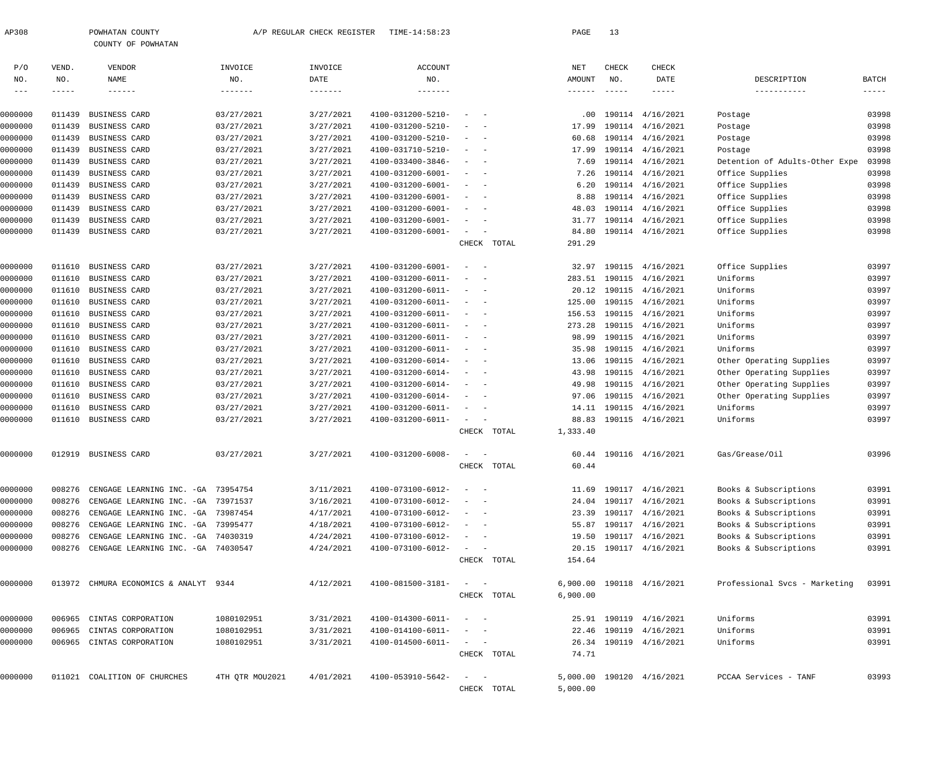| AP308          |              | POWHATAN COUNTY<br>COUNTY OF POWHATAN      |                 | A/P REGULAR CHECK REGISTER | TIME-14:58:23          |                                                      |             | PAGE                      | 13                   |                           |                                |                                      |
|----------------|--------------|--------------------------------------------|-----------------|----------------------------|------------------------|------------------------------------------------------|-------------|---------------------------|----------------------|---------------------------|--------------------------------|--------------------------------------|
| P/O            | VEND.        | VENDOR                                     | INVOICE         | INVOICE                    | <b>ACCOUNT</b>         |                                                      |             | NET                       | CHECK                | CHECK                     |                                |                                      |
| NO.<br>$- - -$ | NO.<br>----- | NAME<br>$- - - - - - -$                    | NO.<br>-------- | DATE                       | NO.<br>$- - - - - - -$ |                                                      |             | AMOUNT<br>$- - - - - - -$ | NO.<br>$- - - - - -$ | DATE<br>$- - - - - -$     | DESCRIPTION<br>-----------     | <b>BATCH</b><br>$\cdots\cdots\cdots$ |
|                |              |                                            |                 |                            |                        |                                                      |             |                           |                      |                           |                                |                                      |
| 0000000        | 011439       | BUSINESS CARD                              | 03/27/2021      | 3/27/2021                  | 4100-031200-5210-      |                                                      |             |                           |                      | .00 190114 4/16/2021      | Postage                        | 03998                                |
| 0000000        | 011439       | BUSINESS CARD                              | 03/27/2021      | 3/27/2021                  | 4100-031200-5210-      |                                                      |             | 17.99                     |                      | 190114 4/16/2021          | Postage                        | 03998                                |
| 0000000        | 011439       | BUSINESS CARD                              | 03/27/2021      | 3/27/2021                  | 4100-031200-5210-      | $\overline{\phantom{0}}$                             |             | 60.68                     |                      | 190114 4/16/2021          | Postage                        | 03998                                |
| 0000000        | 011439       | BUSINESS CARD                              | 03/27/2021      | 3/27/2021                  | 4100-031710-5210-      | $\overline{\phantom{a}}$                             |             | 17.99                     |                      | 190114 4/16/2021          | Postage                        | 03998                                |
| 0000000        | 011439       | BUSINESS CARD                              | 03/27/2021      | 3/27/2021                  | 4100-033400-3846-      | $\sim$                                               |             | 7.69                      |                      | 190114 4/16/2021          | Detention of Adults-Other Expe | 03998                                |
| 0000000        | 011439       | BUSINESS CARD                              | 03/27/2021      | 3/27/2021                  | 4100-031200-6001-      | $\sim$                                               |             | 7.26                      |                      | 190114 4/16/2021          | Office Supplies                | 03998                                |
| 0000000        | 011439       | BUSINESS CARD                              | 03/27/2021      | 3/27/2021                  | 4100-031200-6001-      | $\overline{\phantom{a}}$                             |             | 6.20                      |                      | 190114 4/16/2021          | Office Supplies                | 03998                                |
| 0000000        | 011439       | BUSINESS CARD                              | 03/27/2021      | 3/27/2021                  | 4100-031200-6001-      | $\sim$                                               |             | 8.88                      |                      | 190114 4/16/2021          | Office Supplies                | 03998                                |
| 0000000        | 011439       | BUSINESS CARD                              | 03/27/2021      | 3/27/2021                  | 4100-031200-6001-      | $\sim$                                               |             | 48.03                     |                      | 190114 4/16/2021          | Office Supplies                | 03998                                |
| 0000000        | 011439       | BUSINESS CARD                              | 03/27/2021      | 3/27/2021                  | 4100-031200-6001-      | $\sim$                                               |             | 31.77                     |                      | 190114 4/16/2021          | Office Supplies                | 03998                                |
| 0000000        |              | 011439 BUSINESS CARD                       | 03/27/2021      | 3/27/2021                  | 4100-031200-6001-      | $\sim$                                               |             | 84.80                     |                      | 190114 4/16/2021          | Office Supplies                | 03998                                |
|                |              |                                            |                 |                            |                        |                                                      | CHECK TOTAL | 291.29                    |                      |                           |                                |                                      |
| 0000000        |              | 011610 BUSINESS CARD                       | 03/27/2021      | 3/27/2021                  | 4100-031200-6001-      | $\overline{\phantom{a}}$<br>$\overline{\phantom{0}}$ |             | 32.97                     |                      | 190115 4/16/2021          | Office Supplies                | 03997                                |
| 0000000        |              | 011610 BUSINESS CARD                       | 03/27/2021      | 3/27/2021                  | 4100-031200-6011-      | $\hspace{0.1mm}-\hspace{0.1mm}$                      |             |                           |                      | 283.51 190115 4/16/2021   | Uniforms                       | 03997                                |
| 0000000        |              | 011610 BUSINESS CARD                       | 03/27/2021      | 3/27/2021                  | 4100-031200-6011-      | $\sim$                                               |             |                           |                      | 20.12 190115 4/16/2021    | Uniforms                       | 03997                                |
| 0000000        |              | 011610 BUSINESS CARD                       | 03/27/2021      | 3/27/2021                  | 4100-031200-6011-      | $\sim$                                               |             | 125.00                    |                      | 190115 4/16/2021          | Uniforms                       | 03997                                |
| 0000000        |              | 011610 BUSINESS CARD                       | 03/27/2021      | 3/27/2021                  | 4100-031200-6011-      | $\overline{\phantom{0}}$                             |             | 156.53                    |                      | 190115 4/16/2021          | Uniforms                       | 03997                                |
| 0000000        |              | 011610 BUSINESS CARD                       | 03/27/2021      | 3/27/2021                  | 4100-031200-6011-      | $\sim$                                               |             | 273.28                    |                      | 190115 4/16/2021          | Uniforms                       | 03997                                |
| 0000000        |              | 011610 BUSINESS CARD                       | 03/27/2021      | 3/27/2021                  | 4100-031200-6011-      | $\overline{\phantom{0}}$                             |             | 98.99                     |                      | 190115 4/16/2021          | Uniforms                       | 03997                                |
| 0000000        |              | 011610 BUSINESS CARD                       | 03/27/2021      | 3/27/2021                  | 4100-031200-6011-      | $\hspace{0.1mm}-\hspace{0.1mm}$                      |             | 35.98                     |                      | 190115 4/16/2021          | Uniforms                       | 03997                                |
| 0000000        |              | 011610 BUSINESS CARD                       | 03/27/2021      | 3/27/2021                  | 4100-031200-6014-      | $\overline{\phantom{a}}$                             |             |                           |                      | 13.06 190115 4/16/2021    | Other Operating Supplies       | 03997                                |
| 0000000        |              | 011610 BUSINESS CARD                       | 03/27/2021      | 3/27/2021                  | 4100-031200-6014-      | $\overline{\phantom{0}}$                             |             | 43.98                     |                      | 190115 4/16/2021          | Other Operating Supplies       | 03997                                |
| 0000000        |              | 011610 BUSINESS CARD                       | 03/27/2021      | 3/27/2021                  | 4100-031200-6014-      | $\sim$                                               |             | 49.98                     |                      | 190115 4/16/2021          | Other Operating Supplies       | 03997                                |
| 0000000        |              | 011610 BUSINESS CARD                       | 03/27/2021      | 3/27/2021                  | 4100-031200-6014-      | $\sim$                                               |             |                           |                      | 97.06 190115 4/16/2021    | Other Operating Supplies       | 03997                                |
| 0000000        | 011610       | BUSINESS CARD                              | 03/27/2021      | 3/27/2021                  | 4100-031200-6011-      | $\sim$                                               |             |                           |                      | 14.11 190115 4/16/2021    | Uniforms                       | 03997                                |
| 0000000        |              | 011610 BUSINESS CARD                       | 03/27/2021      | 3/27/2021                  | 4100-031200-6011-      | $\sim$                                               |             | 88.83                     |                      | 190115 4/16/2021          | Uniforms                       | 03997                                |
|                |              |                                            |                 |                            |                        |                                                      | CHECK TOTAL | 1,333.40                  |                      |                           |                                |                                      |
|                |              | 012919 BUSINESS CARD                       | 03/27/2021      | 3/27/2021                  | 4100-031200-6008-      |                                                      |             |                           |                      | 60.44 190116 4/16/2021    | Gas/Grease/Oil                 | 03996                                |
| 0000000        |              |                                            |                 |                            |                        | CHECK                                                | TOTAL       | 60.44                     |                      |                           |                                |                                      |
|                |              |                                            |                 |                            |                        |                                                      |             |                           |                      |                           |                                |                                      |
| 0000000        | 008276       | CENGAGE LEARNING INC. - GA 73954754        |                 | 3/11/2021                  | 4100-073100-6012-      | $\sim$                                               |             |                           |                      | 11.69 190117 4/16/2021    | Books & Subscriptions          | 03991                                |
| 0000000        | 008276       | CENGAGE LEARNING INC. - GA 73971537        |                 | 3/16/2021                  | 4100-073100-6012-      | $\overline{\phantom{a}}$                             |             |                           |                      | 24.04 190117 4/16/2021    | Books & Subscriptions          | 03991                                |
| 0000000        | 008276       | CENGAGE LEARNING INC. - GA 73987454        |                 | 4/17/2021                  | 4100-073100-6012-      | $\sim$                                               |             | 23.39                     |                      | 190117 4/16/2021          | Books & Subscriptions          | 03991                                |
| 0000000        | 008276       | CENGAGE LEARNING INC. - GA 73995477        |                 | 4/18/2021                  | 4100-073100-6012-      | $\overline{\phantom{a}}$                             |             | 55.87                     |                      | 190117 4/16/2021          | Books & Subscriptions          | 03991                                |
| 0000000        | 008276       | CENGAGE LEARNING INC. - GA 74030319        |                 | 4/24/2021                  | 4100-073100-6012-      | $\sim$<br>$\sim$ $-$                                 |             | 19.50                     |                      | 190117 4/16/2021          | Books & Subscriptions          | 03991                                |
| 0000000        |              | 008276 CENGAGE LEARNING INC. - GA 74030547 |                 | 4/24/2021                  | 4100-073100-6012-      | $\sim 100$                                           |             | 20.15                     |                      | 190117 4/16/2021          | Books & Subscriptions          | 03991                                |
|                |              |                                            |                 |                            |                        |                                                      | CHECK TOTAL | 154.64                    |                      |                           |                                |                                      |
| 0000000        |              | 013972 CHMURA ECONOMICS & ANALYT 9344      |                 | 4/12/2021                  | 4100-081500-3181-      | $\sim$ $  -$                                         |             |                           |                      | 6,900.00 190118 4/16/2021 | Professional Svcs - Marketing  | 03991                                |
|                |              |                                            |                 |                            |                        |                                                      | CHECK TOTAL | 6,900.00                  |                      |                           |                                |                                      |
|                |              |                                            |                 |                            |                        |                                                      |             |                           |                      |                           |                                |                                      |
| 0000000        |              | 006965 CINTAS CORPORATION                  | 1080102951      | 3/31/2021                  | 4100-014300-6011-      | $\alpha = 1$ , and $\alpha = 1$                      |             |                           |                      | 25.91 190119 4/16/2021    | Uniforms                       | 03991                                |
| 0000000        | 006965       | CINTAS CORPORATION                         | 1080102951      | 3/31/2021                  | 4100-014100-6011-      | $\sim$                                               |             |                           |                      | 22.46 190119 4/16/2021    | Uniforms                       | 03991                                |
| 0000000        |              | 006965 CINTAS CORPORATION                  | 1080102951      | 3/31/2021                  | 4100-014500-6011-      | $\sim$ $ -$                                          |             |                           |                      | 26.34 190119 4/16/2021    | Uniforms                       | 03991                                |
|                |              |                                            |                 |                            |                        |                                                      | CHECK TOTAL | 74.71                     |                      |                           |                                |                                      |
| 0000000        |              | 011021 COALITION OF CHURCHES               | 4TH QTR MOU2021 | 4/01/2021                  | 4100-053910-5642-      | $\mathcal{L}_{\text{max}}$ .                         |             |                           |                      | 5,000.00 190120 4/16/2021 | PCCAA Services - TANF          | 03993                                |
|                |              |                                            |                 |                            |                        |                                                      | CHECK TOTAL | 5,000.00                  |                      |                           |                                |                                      |
|                |              |                                            |                 |                            |                        |                                                      |             |                           |                      |                           |                                |                                      |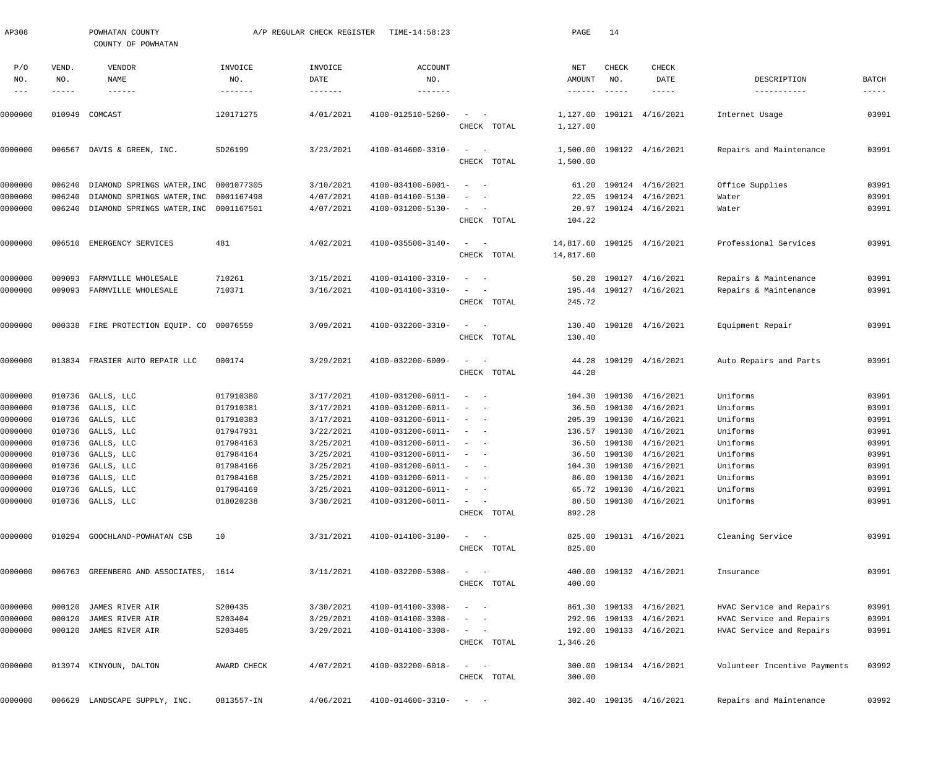| AP308                    |                             | POWHATAN COUNTY<br>COUNTY OF POWHATAN                                          |                                   | A/P REGULAR CHECK REGISTER | TIME-14:58:23                            |                                                                                                                           |             | PAGE                             | 14                            |                                      |                              |                      |
|--------------------------|-----------------------------|--------------------------------------------------------------------------------|-----------------------------------|----------------------------|------------------------------------------|---------------------------------------------------------------------------------------------------------------------------|-------------|----------------------------------|-------------------------------|--------------------------------------|------------------------------|----------------------|
| P/O<br>NO.<br>$--\,$ $-$ | VEND.<br>NO.<br>$- - - - -$ | VENDOR<br>NAME<br>$- - - - - - -$                                              | INVOICE<br>NO.<br>$- - - - - - -$ | INVOICE<br>DATE            | <b>ACCOUNT</b><br>NO.<br>$- - - - - - -$ |                                                                                                                           |             | NET<br>AMOUNT<br>$- - - - - - -$ | CHECK<br>NO.<br>$- - - - - -$ | CHECK<br>DATE<br>$- - - - - -$       | DESCRIPTION<br>-----------   | BATCH<br>$- - - - -$ |
| 0000000                  | 010949                      | COMCAST                                                                        | 120171275                         | 4/01/2021                  | 4100-012510-5260-                        | $\sim$                                                                                                                    |             | 1,127.00                         |                               | 190121 4/16/2021                     | Internet Usage               | 03991                |
|                          |                             |                                                                                |                                   |                            |                                          |                                                                                                                           | CHECK TOTAL | 1,127.00                         |                               |                                      |                              |                      |
| 0000000                  | 006567                      | DAVIS & GREEN, INC.                                                            | SD26199                           | 3/23/2021                  | 4100-014600-3310-                        | $\frac{1}{2}$ and $\frac{1}{2}$ and $\frac{1}{2}$                                                                         | CHECK TOTAL | 1,500.00<br>1,500.00             |                               | 190122 4/16/2021                     | Repairs and Maintenance      | 03991                |
|                          |                             |                                                                                |                                   |                            |                                          |                                                                                                                           |             |                                  |                               |                                      |                              |                      |
| 0000000<br>0000000       | 006240<br>006240            | DIAMOND SPRINGS WATER, INC 0001077305<br>DIAMOND SPRINGS WATER, INC 0001167498 |                                   | 3/10/2021<br>4/07/2021     | 4100-034100-6001-<br>4100-014100-5130-   | $\frac{1}{2}$ and $\frac{1}{2}$ and $\frac{1}{2}$<br>$\sim$                                                               |             | 61.20<br>22.05                   |                               | 190124 4/16/2021<br>190124 4/16/2021 | Office Supplies<br>Water     | 03991<br>03991       |
| 0000000                  | 006240                      | DIAMOND SPRINGS WATER, INC 0001167501                                          |                                   | 4/07/2021                  | 4100-031200-5130-                        | $\frac{1}{2}$ and $\frac{1}{2}$ and $\frac{1}{2}$                                                                         |             | 20.97                            |                               | 190124 4/16/2021                     | Water                        | 03991                |
|                          |                             |                                                                                |                                   |                            |                                          |                                                                                                                           | CHECK TOTAL | 104.22                           |                               |                                      |                              |                      |
| 0000000                  | 006510                      | EMERGENCY SERVICES                                                             | 481                               | 4/02/2021                  | 4100-035500-3140-                        | $\sim$<br>$\sim$ $-$                                                                                                      |             | 14,817.60                        |                               | 190125 4/16/2021                     | Professional Services        | 03991                |
|                          |                             |                                                                                |                                   |                            |                                          |                                                                                                                           | CHECK TOTAL | 14,817.60                        |                               |                                      |                              |                      |
| 0000000                  | 009093                      | FARMVILLE WHOLESALE                                                            | 710261                            | 3/15/2021                  | 4100-014100-3310-                        | $\sim$<br>$\sim$ $-$                                                                                                      |             | 50.28                            |                               | 190127 4/16/2021                     | Repairs & Maintenance        | 03991                |
| 0000000                  | 009093                      | FARMVILLE WHOLESALE                                                            | 710371                            | 3/16/2021                  | 4100-014100-3310-                        | $\frac{1}{2}$ and $\frac{1}{2}$ and $\frac{1}{2}$                                                                         |             | 195.44                           |                               | 190127 4/16/2021                     | Repairs & Maintenance        | 03991                |
|                          |                             |                                                                                |                                   |                            |                                          |                                                                                                                           | CHECK TOTAL | 245.72                           |                               |                                      |                              |                      |
| 0000000                  |                             | 000338 FIRE PROTECTION EQUIP. CO 00076559                                      |                                   | 3/09/2021                  | 4100-032200-3310-                        | $\frac{1}{2}$ and $\frac{1}{2}$ and $\frac{1}{2}$                                                                         |             | 130.40                           |                               | 190128 4/16/2021                     | Equipment Repair             | 03991                |
|                          |                             |                                                                                |                                   |                            |                                          |                                                                                                                           | CHECK TOTAL | 130.40                           |                               |                                      |                              |                      |
| 0000000                  |                             | 013834 FRASIER AUTO REPAIR LLC                                                 | 000174                            | 3/29/2021                  | 4100-032200-6009-                        | $\qquad \qquad -$                                                                                                         |             | 44.28                            |                               | 190129 4/16/2021                     | Auto Repairs and Parts       | 03991                |
|                          |                             |                                                                                |                                   |                            |                                          |                                                                                                                           | CHECK TOTAL | 44.28                            |                               |                                      |                              |                      |
| 0000000                  | 010736                      | GALLS, LLC                                                                     | 017910380                         | 3/17/2021                  | 4100-031200-6011-                        | $\frac{1}{2}$ and $\frac{1}{2}$ and $\frac{1}{2}$                                                                         |             |                                  |                               | 104.30 190130 4/16/2021              | Uniforms                     | 03991                |
| 0000000                  | 010736                      | GALLS, LLC                                                                     | 017910381                         | 3/17/2021                  | 4100-031200-6011-                        | $\frac{1}{2} \left( \frac{1}{2} \right) \left( \frac{1}{2} \right) \left( \frac{1}{2} \right) \left( \frac{1}{2} \right)$ |             |                                  |                               | 36.50 190130 4/16/2021               | Uniforms                     | 03991                |
| 0000000                  | 010736                      | GALLS, LLC                                                                     | 017910383                         | 3/17/2021                  | 4100-031200-6011-                        | $\frac{1}{2}$ and $\frac{1}{2}$ and $\frac{1}{2}$                                                                         |             | 205.39                           |                               | 190130 4/16/2021                     | Uniforms                     | 03991                |
| 0000000                  | 010736                      | GALLS, LLC                                                                     | 017947931                         | 3/22/2021                  | 4100-031200-6011-                        | $\frac{1}{2}$ and $\frac{1}{2}$ and $\frac{1}{2}$                                                                         |             |                                  |                               | 136.57 190130 4/16/2021              | Uniforms                     | 03991                |
| 0000000                  | 010736                      | GALLS, LLC                                                                     | 017984163                         | 3/25/2021                  | 4100-031200-6011-                        | $\sim$ $ -$                                                                                                               |             |                                  |                               | 36.50 190130 4/16/2021               | Uniforms                     | 03991                |
| 0000000                  |                             | 010736 GALLS, LLC                                                              | 017984164                         | 3/25/2021                  | 4100-031200-6011-                        |                                                                                                                           |             |                                  |                               | 36.50 190130 4/16/2021               | Uniforms                     | 03991                |
| 0000000                  |                             | 010736 GALLS, LLC                                                              | 017984166                         | 3/25/2021                  | $4100 - 031200 - 6011 - - -$             |                                                                                                                           |             |                                  |                               | 104.30 190130 4/16/2021              | Uniforms                     | 03991                |
| 0000000                  |                             | 010736 GALLS, LLC                                                              | 017984168                         | 3/25/2021                  | 4100-031200-6011-                        | $\alpha\rightarrow\alpha\gamma$ , and $\alpha\rightarrow\alpha\gamma$                                                     |             |                                  |                               | 86.00 190130 4/16/2021               | Uniforms                     | 03991                |
| 0000000                  |                             | 010736 GALLS, LLC                                                              | 017984169                         | 3/25/2021                  | 4100-031200-6011-                        | $\frac{1}{2}$ and $\frac{1}{2}$ and $\frac{1}{2}$                                                                         |             |                                  |                               | 65.72 190130 4/16/2021               | Uniforms                     | 03991                |
| 0000000                  |                             | 010736 GALLS, LLC                                                              | 018020238                         | 3/30/2021                  | 4100-031200-6011-                        | $\sim$ $ -$                                                                                                               |             |                                  |                               | 80.50 190130 4/16/2021               | Uniforms                     | 03991                |
|                          |                             |                                                                                |                                   |                            |                                          |                                                                                                                           | CHECK TOTAL | 892.28                           |                               |                                      |                              |                      |
| 0000000                  |                             | 010294 GOOCHLAND-POWHATAN CSB                                                  | 10                                | 3/31/2021                  | 4100-014100-3180-                        | $\sim$ 100 $\sim$                                                                                                         |             |                                  |                               | 825.00 190131 4/16/2021              | Cleaning Service             | 03991                |
|                          |                             |                                                                                |                                   |                            |                                          |                                                                                                                           | CHECK TOTAL | 825.00                           |                               |                                      |                              |                      |
| 0000000                  |                             | 006763 GREENBERG AND ASSOCIATES, 1614                                          |                                   | 3/11/2021                  | 4100-032200-5308-                        | $\qquad \qquad -$                                                                                                         |             |                                  |                               | 400.00 190132 4/16/2021              | Insurance                    | 03991                |
|                          |                             |                                                                                |                                   |                            |                                          |                                                                                                                           | CHECK TOTAL | 400.00                           |                               |                                      |                              |                      |
| 0000000                  |                             | 000120 JAMES RIVER AIR                                                         | S200435                           | 3/30/2021                  | 4100-014100-3308-                        | $\frac{1}{2}$ and $\frac{1}{2}$ and $\frac{1}{2}$                                                                         |             |                                  |                               | 861.30 190133 4/16/2021              | HVAC Service and Repairs     | 03991                |
| 0000000                  | 000120                      | JAMES RIVER AIR                                                                | S203404                           | 3/29/2021                  | 4100-014100-3308-                        | $\qquad \qquad -$                                                                                                         |             |                                  |                               | 292.96 190133 4/16/2021              | HVAC Service and Repairs     | 03991                |
| 0000000                  |                             | 000120 JAMES RIVER AIR                                                         | S203405                           | 3/29/2021                  | 4100-014100-3308-                        | $\frac{1}{2}$ and $\frac{1}{2}$ and $\frac{1}{2}$                                                                         |             |                                  |                               | 192.00 190133 4/16/2021              | HVAC Service and Repairs     | 03991                |
|                          |                             |                                                                                |                                   |                            |                                          |                                                                                                                           | CHECK TOTAL | 1,346.26                         |                               |                                      |                              |                      |
| 0000000                  |                             | 013974 KINYOUN, DALTON                                                         | AWARD CHECK                       | 4/07/2021                  | 4100-032200-6018-                        | $\frac{1}{2}$ and $\frac{1}{2}$ and $\frac{1}{2}$                                                                         |             |                                  |                               | 300.00 190134 4/16/2021              | Volunteer Incentive Payments | 03992                |
|                          |                             |                                                                                |                                   |                            |                                          |                                                                                                                           | CHECK TOTAL | 300.00                           |                               |                                      |                              |                      |
| 0000000                  |                             | 006629 LANDSCAPE SUPPLY, INC.                                                  | 0813557-IN                        | 4/06/2021                  | $4100 - 014600 - 3310 - - -$             |                                                                                                                           |             |                                  |                               | 302.40 190135 4/16/2021              | Repairs and Maintenance      | 03992                |
|                          |                             |                                                                                |                                   |                            |                                          |                                                                                                                           |             |                                  |                               |                                      |                              |                      |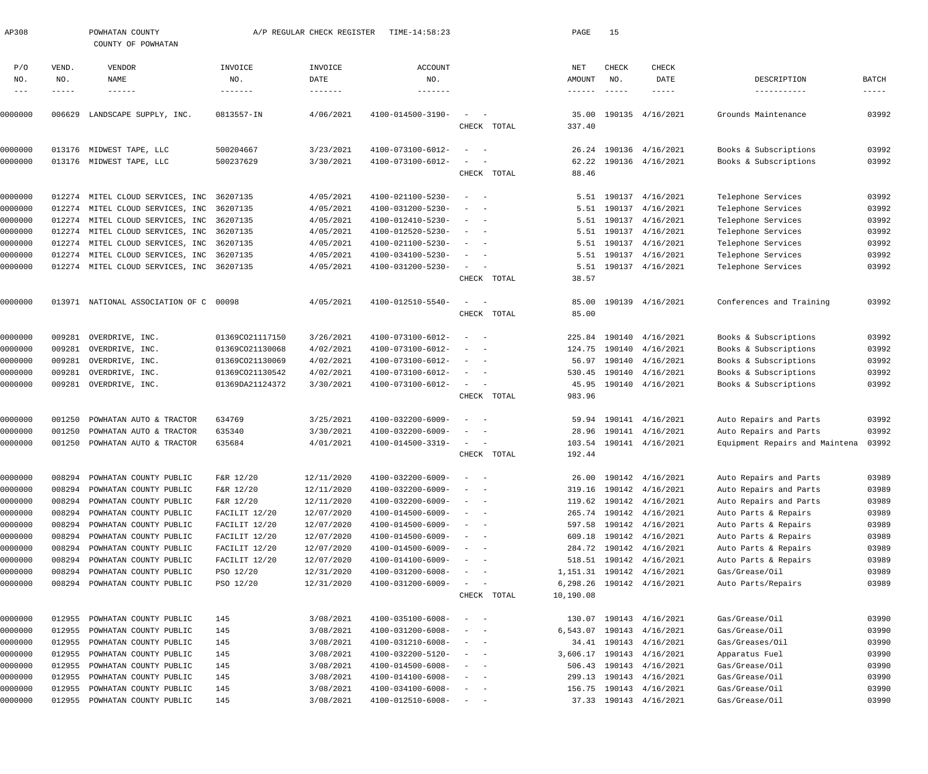| AP308        |                    | POWHATAN COUNTY                           |                 | A/P REGULAR CHECK REGISTER | TIME-14:58:23     |                                                      |             | PAGE                      | 15                   |                              |                                |                        |
|--------------|--------------------|-------------------------------------------|-----------------|----------------------------|-------------------|------------------------------------------------------|-------------|---------------------------|----------------------|------------------------------|--------------------------------|------------------------|
|              |                    | COUNTY OF POWHATAN                        |                 |                            |                   |                                                      |             |                           |                      |                              |                                |                        |
| P/O          | VEND.              | VENDOR                                    | INVOICE         | INVOICE                    | <b>ACCOUNT</b>    |                                                      |             | NET                       | CHECK                | CHECK                        |                                |                        |
| NO.<br>$---$ | NO.<br>$- - - - -$ | <b>NAME</b><br>$- - - - - - -$            | NO.<br>-------  | DATE<br>-------            | NO.<br>-------    |                                                      |             | AMOUNT<br>$- - - - - - -$ | NO.<br>$\frac{1}{2}$ | DATE<br>$- - - - - -$        | DESCRIPTION<br>-----------     | BATCH<br>$- - - - - -$ |
|              |                    |                                           |                 |                            |                   |                                                      |             |                           |                      |                              |                                |                        |
| 0000000      | 006629             | LANDSCAPE SUPPLY, INC.                    | 0813557-IN      | 4/06/2021                  | 4100-014500-3190- | $\sim$                                               |             | 35.00                     |                      | 190135 4/16/2021             | Grounds Maintenance            | 03992                  |
|              |                    |                                           |                 |                            |                   |                                                      | CHECK TOTAL | 337.40                    |                      |                              |                                |                        |
| 0000000      |                    | 013176 MIDWEST TAPE, LLC                  | 500204667       | 3/23/2021                  | 4100-073100-6012- |                                                      |             | 26.24                     |                      | 190136 4/16/2021             | Books & Subscriptions          | 03992                  |
| 0000000      |                    | 013176 MIDWEST TAPE, LLC                  | 500237629       | 3/30/2021                  | 4100-073100-6012- |                                                      |             | 62.22                     |                      | 190136 4/16/2021             | Books & Subscriptions          | 03992                  |
|              |                    |                                           |                 |                            |                   |                                                      | CHECK TOTAL | 88.46                     |                      |                              |                                |                        |
| 0000000      | 012274             | MITEL CLOUD SERVICES, INC 36207135        |                 | 4/05/2021                  | 4100-021100-5230- |                                                      |             | 5.51                      | 190137               | 4/16/2021                    | Telephone Services             | 03992                  |
| 0000000      | 012274             | MITEL CLOUD SERVICES, INC 36207135        |                 | 4/05/2021                  | 4100-031200-5230- | $\overline{\phantom{0}}$                             |             | 5.51                      | 190137               | 4/16/2021                    | Telephone Services             | 03992                  |
| 0000000      | 012274             | MITEL CLOUD SERVICES, INC 36207135        |                 | 4/05/2021                  | 4100-012410-5230- | $\sim$<br>$\sim$                                     |             | 5.51                      | 190137               | 4/16/2021                    | Telephone Services             | 03992                  |
| 0000000      |                    | 012274 MITEL CLOUD SERVICES, INC 36207135 |                 | 4/05/2021                  | 4100-012520-5230- | $\sim$<br>$\sim$ $-$                                 |             | 5.51                      | 190137               | 4/16/2021                    | Telephone Services             | 03992                  |
| 0000000      | 012274             | MITEL CLOUD SERVICES, INC 36207135        |                 | 4/05/2021                  | 4100-021100-5230- |                                                      |             | 5.51                      | 190137               | 4/16/2021                    | Telephone Services             | 03992                  |
| 0000000      | 012274             | MITEL CLOUD SERVICES, INC 36207135        |                 | 4/05/2021                  | 4100-034100-5230- | $\overline{\phantom{0}}$                             |             | 5.51                      | 190137               | 4/16/2021                    | Telephone Services             | 03992                  |
| 0000000      |                    | 012274 MITEL CLOUD SERVICES, INC 36207135 |                 | 4/05/2021                  | 4100-031200-5230- | $\sim$<br>$\overline{\phantom{a}}$                   |             | 5.51                      |                      | 190137 4/16/2021             | Telephone Services             | 03992                  |
|              |                    |                                           |                 |                            |                   |                                                      | CHECK TOTAL | 38.57                     |                      |                              |                                |                        |
| 0000000      |                    | 013971 NATIONAL ASSOCIATION OF C 00098    |                 | 4/05/2021                  | 4100-012510-5540- | $\sim$<br>$\overline{\phantom{0}}$                   |             | 85.00                     |                      | 190139 4/16/2021             | Conferences and Training       | 03992                  |
|              |                    |                                           |                 |                            |                   |                                                      | CHECK TOTAL | 85.00                     |                      |                              |                                |                        |
| 0000000      | 009281             | OVERDRIVE, INC.                           | 01369CO21117150 | 3/26/2021                  | 4100-073100-6012- | $\overline{\phantom{0}}$                             |             | 225.84                    | 190140               | 4/16/2021                    | Books & Subscriptions          | 03992                  |
| 0000000      | 009281             | OVERDRIVE, INC.                           | 01369CO21130068 | 4/02/2021                  | 4100-073100-6012- | $\overline{\phantom{0}}$                             |             | 124.75                    | 190140               | 4/16/2021                    | Books & Subscriptions          | 03992                  |
| )000000      | 009281             | OVERDRIVE, INC.                           | 01369CO21130069 | 4/02/2021                  | 4100-073100-6012- |                                                      |             | 56.97                     | 190140               | 4/16/2021                    | Books & Subscriptions          | 03992                  |
| 0000000      | 009281             | OVERDRIVE, INC.                           | 01369CO21130542 | 4/02/2021                  | 4100-073100-6012- | $\sim$ $-$                                           |             | 530.45                    | 190140               | 4/16/2021                    | Books & Subscriptions          | 03992                  |
| 0000000      | 009281             | OVERDRIVE, INC.                           | 01369DA21124372 | 3/30/2021                  | 4100-073100-6012- | $\sim$<br>$\overline{\phantom{0}}$                   |             | 45.95                     |                      | 190140 4/16/2021             | Books & Subscriptions          | 03992                  |
|              |                    |                                           |                 |                            |                   |                                                      | CHECK TOTAL | 983.96                    |                      |                              |                                |                        |
| 0000000      | 001250             | POWHATAN AUTO & TRACTOR                   | 634769          | 3/25/2021                  | 4100-032200-6009- | $\overline{\phantom{0}}$                             |             | 59.94                     |                      | 190141 4/16/2021             | Auto Repairs and Parts         | 03992                  |
| 0000000      | 001250             | POWHATAN AUTO & TRACTOR                   | 635340          | 3/30/2021                  | 4100-032200-6009- | $\sim$                                               |             | 28.96                     |                      | 190141 4/16/2021             | Auto Repairs and Parts         | 03992                  |
| 0000000      | 001250             | POWHATAN AUTO & TRACTOR                   | 635684          | 4/01/2021                  | 4100-014500-3319- | $\overline{\phantom{a}}$                             |             | 103.54                    |                      | 190141 4/16/2021             | Equipment Repairs and Maintena | 03992                  |
|              |                    |                                           |                 |                            |                   | CHECK                                                | TOTAL       | 192.44                    |                      |                              |                                |                        |
| 0000000      | 008294             | POWHATAN COUNTY PUBLIC                    | F&R 12/20       | 12/11/2020                 | 4100-032200-6009- |                                                      |             | 26.00                     |                      | 190142 4/16/2021             | Auto Repairs and Parts         | 03989                  |
| 0000000      | 008294             | POWHATAN COUNTY PUBLIC                    | F&R 12/20       | 12/11/2020                 | 4100-032200-6009- | $\overline{\phantom{a}}$<br>$\overline{\phantom{a}}$ |             | 319.16                    |                      | 190142 4/16/2021             | Auto Repairs and Parts         | 03989                  |
| 0000000      | 008294             | POWHATAN COUNTY PUBLIC                    | F&R 12/20       | 12/11/2020                 | 4100-032200-6009- | $\sim$<br>$\overline{\phantom{a}}$                   |             |                           |                      | 119.62 190142 4/16/2021      | Auto Repairs and Parts         | 03989                  |
| 0000000      | 008294             | POWHATAN COUNTY PUBLIC                    | FACILIT 12/20   | 12/07/2020                 | 4100-014500-6009- | $\sim$<br>$\overline{\phantom{a}}$                   |             |                           |                      | 265.74 190142 4/16/2021      | Auto Parts & Repairs           | 03989                  |
| 0000000      | 008294             | POWHATAN COUNTY PUBLIC                    | FACILIT 12/20   | 12/07/2020                 | 4100-014500-6009- | $\sim$<br>$\overline{\phantom{a}}$                   |             | 597.58                    |                      | 190142 4/16/2021             | Auto Parts & Repairs           | 03989                  |
| 0000000      | 008294             | POWHATAN COUNTY PUBLIC                    | FACILIT 12/20   | 12/07/2020                 | 4100-014500-6009- | $\overline{\phantom{a}}$<br>$\overline{\phantom{a}}$ |             | 609.18                    |                      | 190142 4/16/2021             | Auto Parts & Repairs           | 03989                  |
| 0000000      | 008294             | POWHATAN COUNTY PUBLIC                    | FACILIT 12/20   | 12/07/2020                 | 4100-014500-6009- | $\overline{\phantom{a}}$<br>$\overline{\phantom{a}}$ |             |                           |                      | 284.72 190142 4/16/2021      | Auto Parts & Repairs           | 03989                  |
| 0000000      | 008294             | POWHATAN COUNTY PUBLIC                    | FACILIT 12/20   | 12/07/2020                 | 4100-014100-6009- |                                                      |             |                           |                      | 518.51 190142 4/16/2021      | Auto Parts & Repairs           | 03989                  |
| 0000000      | 008294             | POWHATAN COUNTY PUBLIC                    | PSO 12/20       | 12/31/2020                 | 4100-031200-6008- |                                                      |             |                           |                      | 1, 151.31  190142  4/16/2021 | Gas/Grease/Oil                 | 03989                  |
| 0000000      | 008294             | POWHATAN COUNTY PUBLIC                    | PSO 12/20       | 12/31/2020                 | 4100-031200-6009- | $\overline{\phantom{a}}$                             |             | 6,298.26                  |                      | 190142 4/16/2021             | Auto Parts/Repairs             | 03989                  |
|              |                    |                                           |                 |                            |                   |                                                      | CHECK TOTAL | 10,190.08                 |                      |                              |                                |                        |
| 0000000      | 012955             | POWHATAN COUNTY PUBLIC                    | 145             | 3/08/2021                  | 4100-035100-6008- | $\sim$ $-$                                           |             | 130.07                    |                      | 190143 4/16/2021             | Gas/Grease/Oil                 | 03990                  |
| 0000000      | 012955             | POWHATAN COUNTY PUBLIC                    | 145             | 3/08/2021                  | 4100-031200-6008- | $\overline{\phantom{a}}$<br>$\overline{\phantom{a}}$ |             | 6,543.07                  |                      | 190143 4/16/2021             | Gas/Grease/Oil                 | 03990                  |
| 0000000      | 012955             | POWHATAN COUNTY PUBLIC                    | 145             | 3/08/2021                  | 4100-031210-6008- | $\sim$<br>$\overline{\phantom{a}}$                   |             | 34.41                     | 190143               | 4/16/2021                    | Gas/Greases/Oil                | 03990                  |
| 0000000      | 012955             | POWHATAN COUNTY PUBLIC                    | 145             | 3/08/2021                  | 4100-032200-5120- | $\overline{\phantom{a}}$<br>$\overline{\phantom{0}}$ |             | 3,606.17                  | 190143               | 4/16/2021                    | Apparatus Fuel                 | 03990                  |
| 0000000      | 012955             | POWHATAN COUNTY PUBLIC                    | 145             | 3/08/2021                  | 4100-014500-6008- | $\sim$<br>$\overline{\phantom{a}}$                   |             |                           | 506.43 190143        | 4/16/2021                    | Gas/Grease/Oil                 | 03990                  |
| 0000000      | 012955             | POWHATAN COUNTY PUBLIC                    | 145             | 3/08/2021                  | 4100-014100-6008- | $\overline{\phantom{a}}$<br>$\overline{\phantom{a}}$ |             |                           |                      | 299.13 190143 4/16/2021      | Gas/Grease/Oil                 | 03990                  |
| 0000000      | 012955             | POWHATAN COUNTY PUBLIC                    | 145             | 3/08/2021                  | 4100-034100-6008- | $\sim$<br>$\sim$                                     |             | 156.75                    | 190143               | 4/16/2021                    | Gas/Grease/Oil                 | 03990                  |
| 0000000      | 012955             | POWHATAN COUNTY PUBLIC                    | 145             | 3/08/2021                  | 4100-012510-6008- | $\sim$<br>$\sim$ $-$                                 |             |                           |                      | 37.33 190143 4/16/2021       | Gas/Grease/Oil                 | 03990                  |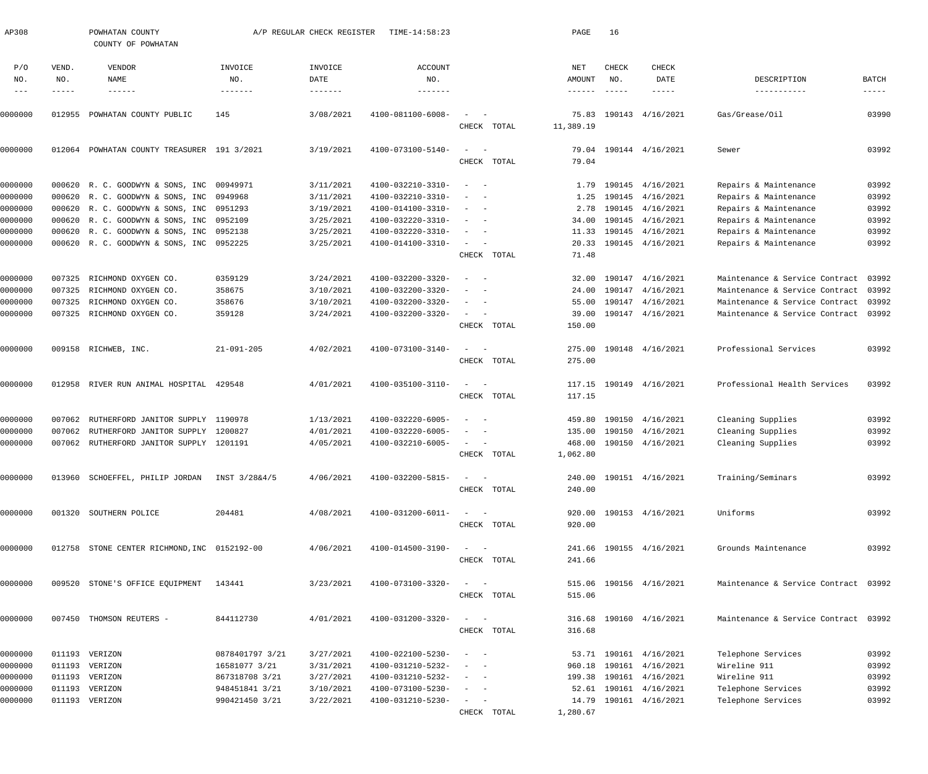| AP308              |              | POWHATAN COUNTY<br>COUNTY OF POWHATAN                                                 |                  | A/P REGULAR CHECK REGISTER | TIME-14:58:23                          |                                                           | PAGE               | 16            |                                      |                                                |                |
|--------------------|--------------|---------------------------------------------------------------------------------------|------------------|----------------------------|----------------------------------------|-----------------------------------------------------------|--------------------|---------------|--------------------------------------|------------------------------------------------|----------------|
| P/O<br>NO.         | VEND.<br>NO. | <b>VENDOR</b><br>NAME                                                                 | INVOICE<br>NO.   | INVOICE<br>DATE            | <b>ACCOUNT</b><br>NO.                  |                                                           | NET<br>AMOUNT      | CHECK<br>NO.  | <b>CHECK</b><br>DATE                 | DESCRIPTION                                    | BATCH          |
| $\frac{1}{2}$      | -----        | $- - - - - - -$                                                                       | -------          |                            |                                        |                                                           | $- - - - - - -$    | $\frac{1}{2}$ | $- - - - -$                          | -----------                                    | $- - - - - -$  |
| 0000000            | 012955       | POWHATAN COUNTY PUBLIC                                                                | 145              | 3/08/2021                  | 4100-081100-6008-                      | $\sim$<br>CHECK TOTAL                                     | 75.83<br>11,389.19 |               | 190143 4/16/2021                     | Gas/Grease/Oil                                 | 03990          |
| 0000000            |              | 012064 POWHATAN COUNTY TREASURER 191 3/2021                                           |                  | 3/19/2021                  | 4100-073100-5140-                      | $\sim$<br>$\hspace{0.1mm}$<br>CHECK TOTAL                 | 79.04              |               | 79.04 190144 4/16/2021               | Sewer                                          | 03992          |
|                    |              |                                                                                       |                  |                            |                                        |                                                           |                    |               |                                      |                                                |                |
| 0000000<br>0000000 |              | 000620 R. C. GOODWYN & SONS, INC 00949971<br>000620 R. C. GOODWYN & SONS, INC 0949968 |                  | 3/11/2021<br>3/11/2021     | 4100-032210-3310-<br>4100-032210-3310- | $\overline{\phantom{a}}$                                  | 1.79<br>1.25       |               | 190145 4/16/2021<br>190145 4/16/2021 | Repairs & Maintenance<br>Repairs & Maintenance | 03992<br>03992 |
| 0000000            |              | 000620 R. C. GOODWYN & SONS, INC 0951293                                              |                  | 3/19/2021                  | 4100-014100-3310-                      | $\sim$                                                    | 2.78               |               | 190145 4/16/2021                     | Repairs & Maintenance                          | 03992          |
| 0000000            |              | 000620 R. C. GOODWYN & SONS, INC 0952109                                              |                  | 3/25/2021                  | 4100-032220-3310-                      | $\overline{\phantom{a}}$<br>$\overline{\phantom{a}}$      | 34.00              |               | 190145 4/16/2021                     | Repairs & Maintenance                          | 03992          |
| 0000000            |              | 000620 R. C. GOODWYN & SONS, INC 0952138                                              |                  | 3/25/2021                  | 4100-032220-3310-                      | $\sim$<br>$\overline{\phantom{0}}$                        |                    |               | 11.33 190145 4/16/2021               | Repairs & Maintenance                          | 03992          |
| 0000000            |              | 000620 R. C. GOODWYN & SONS, INC 0952225                                              |                  | 3/25/2021                  | 4100-014100-3310-                      | $\sim$ 100 $\mu$                                          |                    |               | 20.33 190145 4/16/2021               | Repairs & Maintenance                          | 03992          |
|                    |              |                                                                                       |                  |                            |                                        | CHECK TOTAL                                               | 71.48              |               |                                      |                                                |                |
| 0000000            | 007325       | RICHMOND OXYGEN CO.                                                                   | 0359129          | 3/24/2021                  | 4100-032200-3320-                      | $\sim$ $-$                                                | 32.00              |               | 190147 4/16/2021                     | Maintenance & Service Contract                 | 03992          |
| 0000000            | 007325       | RICHMOND OXYGEN CO.                                                                   | 358675           | 3/10/2021                  | 4100-032200-3320-                      |                                                           | 24.00              |               | 190147 4/16/2021                     | Maintenance & Service Contract                 | 03992          |
| 0000000            | 007325       | RICHMOND OXYGEN CO.                                                                   | 358676           | 3/10/2021                  | 4100-032200-3320-                      | $\overline{\phantom{a}}$                                  | 55.00              |               | 190147 4/16/2021                     | Maintenance & Service Contract                 | 03992          |
| 0000000            |              | 007325 RICHMOND OXYGEN CO.                                                            | 359128           | 3/24/2021                  | 4100-032200-3320-                      | $\sim$                                                    | 39.00              |               | 190147 4/16/2021                     | Maintenance & Service Contract                 | 03992          |
|                    |              |                                                                                       |                  |                            |                                        | CHECK TOTAL                                               | 150.00             |               |                                      |                                                |                |
| 0000000            |              | 009158 RICHWEB, INC.                                                                  | $21 - 091 - 205$ | 4/02/2021                  | 4100-073100-3140-                      | $\sim$                                                    | 275.00             |               | 190148 4/16/2021                     | Professional Services                          | 03992          |
|                    |              |                                                                                       |                  |                            |                                        | CHECK TOTAL                                               | 275.00             |               |                                      |                                                |                |
| 0000000            |              | 012958 RIVER RUN ANIMAL HOSPITAL 429548                                               |                  | 4/01/2021                  | 4100-035100-3110-                      | $\sim$                                                    |                    |               | 117.15 190149 4/16/2021              | Professional Health Services                   | 03992          |
|                    |              |                                                                                       |                  |                            |                                        | CHECK TOTAL                                               | 117.15             |               |                                      |                                                |                |
| 0000000            | 007062       | RUTHERFORD JANITOR SUPPLY 1190978                                                     |                  | 1/13/2021                  | 4100-032220-6005-                      | $\overline{\phantom{0}}$                                  | 459.80             |               | 190150 4/16/2021                     | Cleaning Supplies                              | 03992          |
| 0000000            | 007062       | RUTHERFORD JANITOR SUPPLY 1200827                                                     |                  | 4/01/2021                  | 4100-032220-6005-                      | $\overline{\phantom{a}}$                                  | 135.00             |               | 190150 4/16/2021                     | Cleaning Supplies                              | 03992          |
| 0000000            | 007062       | RUTHERFORD JANITOR SUPPLY 1201191                                                     |                  | 4/05/2021                  | 4100-032210-6005-                      | $\sim$ 100 $\mu$<br>$\overline{\phantom{a}}$              | 468.00             |               | 190150 4/16/2021                     | Cleaning Supplies                              | 03992          |
|                    |              |                                                                                       |                  |                            |                                        | CHECK TOTAL                                               | 1,062.80           |               |                                      |                                                |                |
| 0000000            |              | 013960 SCHOEFFEL, PHILIP JORDAN INST 3/28&4/5                                         |                  | 4/06/2021                  | 4100-032200-5815-                      | $\sim$ $  -$                                              |                    |               | 240.00 190151 4/16/2021              | Training/Seminars                              | 03992          |
|                    |              |                                                                                       |                  |                            |                                        | CHECK TOTAL                                               | 240.00             |               |                                      |                                                |                |
| 0000000            |              | 001320 SOUTHERN POLICE                                                                | 204481           | 4/08/2021                  | 4100-031200-6011-                      | $\frac{1}{2}$ and $\frac{1}{2}$ and $\frac{1}{2}$         |                    |               | 920.00 190153 4/16/2021              | Uniforms                                       | 03992          |
|                    |              |                                                                                       |                  |                            |                                        | CHECK TOTAL                                               | 920.00             |               |                                      |                                                |                |
| 0000000            |              | 012758 STONE CENTER RICHMOND, INC 0152192-00                                          |                  | 4/06/2021                  | 4100-014500-3190-                      | $\frac{1}{2}$ and $\frac{1}{2}$ and $\frac{1}{2}$         |                    |               | 241.66 190155 4/16/2021              | Grounds Maintenance                            | 03992          |
|                    |              |                                                                                       |                  |                            |                                        | CHECK TOTAL                                               | 241.66             |               |                                      |                                                |                |
| 0000000            |              | 009520 STONE'S OFFICE EQUIPMENT 143441                                                |                  | 3/23/2021                  | 4100-073100-3320-                      | $\frac{1}{2}$ and $\frac{1}{2}$ and $\frac{1}{2}$         |                    |               | 515.06 190156 4/16/2021              | Maintenance & Service Contract 03992           |                |
|                    |              |                                                                                       |                  |                            |                                        | CHECK TOTAL                                               | 515.06             |               |                                      |                                                |                |
| 0000000            |              | 007450 THOMSON REUTERS -                                                              | 844112730        | 4/01/2021                  | 4100-031200-3320-                      | $\frac{1}{2}$ and $\frac{1}{2}$ and $\frac{1}{2}$         |                    |               | 316.68 190160 4/16/2021              | Maintenance & Service Contract 03992           |                |
|                    |              |                                                                                       |                  |                            |                                        | CHECK TOTAL                                               | 316.68             |               |                                      |                                                |                |
| 0000000            |              | 011193 VERIZON                                                                        | 0878401797 3/21  | 3/27/2021                  | 4100-022100-5230-                      | $\begin{array}{cccccccccc} - & & & & & & & - \end{array}$ |                    |               | 53.71 190161 4/16/2021               | Telephone Services                             | 03992          |
| 0000000            |              | 011193 VERIZON                                                                        | 16581077 3/21    | 3/31/2021                  | 4100-031210-5232-                      | $\qquad \qquad -$                                         |                    |               | 960.18 190161 4/16/2021              | Wireline 911                                   | 03992          |
| 0000000            |              | 011193 VERIZON                                                                        | 867318708 3/21   | 3/27/2021                  | 4100-031210-5232-                      | $\begin{array}{cccccccccc} - & & & & & & & - \end{array}$ |                    |               | 199.38 190161 4/16/2021              | Wireline 911                                   | 03992          |
| 0000000            |              | 011193 VERIZON                                                                        | 948451841 3/21   | 3/10/2021                  | 4100-073100-5230-                      | $\sim$ $  -$                                              |                    |               | 52.61 190161 4/16/2021               | Telephone Services                             | 03992          |
| 0000000            |              | 011193 VERIZON                                                                        | 990421450 3/21   | 3/22/2021                  | 4100-031210-5230-                      | $\frac{1}{2}$ and $\frac{1}{2}$ and $\frac{1}{2}$         |                    |               | 14.79 190161 4/16/2021               | Telephone Services                             | 03992          |
|                    |              |                                                                                       |                  |                            |                                        | CHECK TOTAL                                               | 1,280.67           |               |                                      |                                                |                |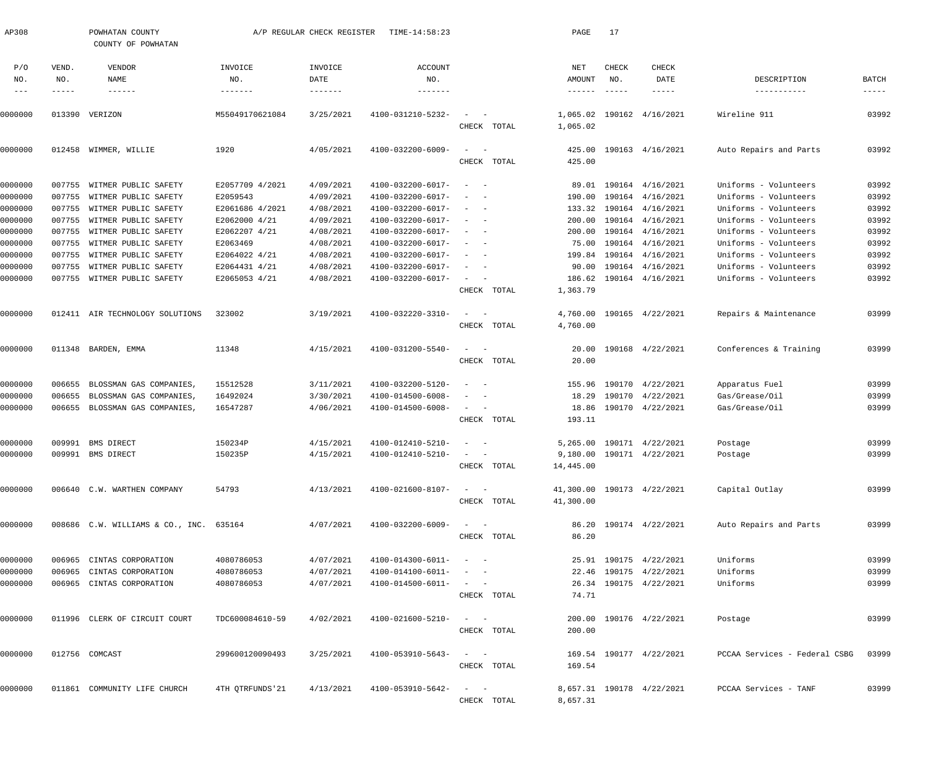| AP308      |               | POWHATAN COUNTY<br>COUNTY OF POWHATAN   |                 | A/P REGULAR CHECK REGISTER | TIME-14:58:23     |                                                      | PAGE                 | 17            |                            |                               |             |
|------------|---------------|-----------------------------------------|-----------------|----------------------------|-------------------|------------------------------------------------------|----------------------|---------------|----------------------------|-------------------------------|-------------|
| P/O        | VEND.         | VENDOR                                  | INVOICE         | INVOICE                    | ACCOUNT           |                                                      | NET                  | CHECK         | CHECK                      |                               |             |
| NO.        | NO.           | NAME                                    | NO.             | DATE                       | NO.               |                                                      | AMOUNT               | NO.           | DATE                       | DESCRIPTION                   | BATCH       |
| $--\,$ $-$ | $- - - - - -$ | $- - - - - - -$                         | -------         | $- - - - - - - -$          | -------           |                                                      | $- - - - - - -$      | $- - - - - -$ | $- - - - - -$              | -----------                   | $- - - - -$ |
| 0000000    | 013390        | VERIZON                                 | M55049170621084 | 3/25/2021                  | 4100-031210-5232- | CHECK TOTAL                                          | 1,065.02<br>1,065.02 | 190162        | 4/16/2021                  | Wireline 911                  | 03992       |
| 0000000    | 012458        | WIMMER, WILLIE                          | 1920            | 4/05/2021                  | 4100-032200-6009- | $\sim$<br>$\hspace{0.1mm}$<br>CHECK TOTAL            | 425.00<br>425.00     |               | 190163 4/16/2021           | Auto Repairs and Parts        | 03992       |
| 0000000    | 007755        | WITMER PUBLIC SAFETY                    | E2057709 4/2021 | 4/09/2021                  | 4100-032200-6017- | $\overline{\phantom{a}}$                             | 89.01                |               | 190164 4/16/2021           | Uniforms - Volunteers         | 03992       |
| 0000000    | 007755        | WITMER PUBLIC SAFETY                    | E2059543        | 4/09/2021                  | 4100-032200-6017- |                                                      | 190.00               |               | 190164 4/16/2021           | Uniforms - Volunteers         | 03992       |
| 0000000    | 007755        | WITMER PUBLIC SAFETY                    | E2061686 4/2021 | 4/08/2021                  | 4100-032200-6017- | $\overline{\phantom{a}}$                             | 133.32               |               | 190164 4/16/2021           | Uniforms - Volunteers         | 03992       |
| 0000000    | 007755        | WITMER PUBLIC SAFETY                    | E2062000 4/21   | 4/09/2021                  | 4100-032200-6017- | $\overline{\phantom{a}}$                             | 200.00               |               | 190164 4/16/2021           | Uniforms - Volunteers         | 03992       |
| 0000000    | 007755        | WITMER PUBLIC SAFETY                    | E2062207 4/21   | 4/08/2021                  | 4100-032200-6017- |                                                      | 200.00               |               | 190164 4/16/2021           | Uniforms - Volunteers         | 03992       |
| 0000000    | 007755        | WITMER PUBLIC SAFETY                    | E2063469        | 4/08/2021                  | 4100-032200-6017- | $\overline{\phantom{a}}$                             | 75.00                |               | 190164 4/16/2021           | Uniforms - Volunteers         | 03992       |
| 0000000    | 007755        | WITMER PUBLIC SAFETY                    | E2064022 4/21   | 4/08/2021                  | 4100-032200-6017- | $\overline{\phantom{a}}$                             | 199.84               |               | 190164 4/16/2021           | Uniforms - Volunteers         | 03992       |
| 0000000    | 007755        | WITMER PUBLIC SAFETY                    | E2064431 4/21   | 4/08/2021                  | 4100-032200-6017- |                                                      | 90.00                |               | 190164 4/16/2021           | Uniforms - Volunteers         | 03992       |
| 0000000    |               | 007755 WITMER PUBLIC SAFETY             | E2065053 4/21   | 4/08/2021                  | 4100-032200-6017- | $\overline{\phantom{a}}$<br>$\overline{\phantom{a}}$ | 186.62               |               | 190164 4/16/2021           | Uniforms - Volunteers         | 03992       |
|            |               |                                         |                 |                            |                   | CHECK TOTAL                                          | 1,363.79             |               |                            |                               |             |
| 0000000    |               | 012411 AIR TECHNOLOGY SOLUTIONS         | 323002          | 3/19/2021                  | 4100-032220-3310- | $\sim$<br>$\sim$                                     | 4,760.00             |               | 190165 4/22/2021           | Repairs & Maintenance         | 03999       |
|            |               |                                         |                 |                            |                   | CHECK TOTAL                                          | 4,760.00             |               |                            |                               |             |
| 0000000    |               | 011348 BARDEN, EMMA                     | 11348           | 4/15/2021                  | 4100-031200-5540- | $\sim$<br>$\sim$                                     | 20.00                |               | 190168 4/22/2021           | Conferences & Training        | 03999       |
|            |               |                                         |                 |                            |                   | CHECK TOTAL                                          | 20.00                |               |                            |                               |             |
| 0000000    | 006655        | BLOSSMAN GAS COMPANIES,                 | 15512528        | 3/11/2021                  | 4100-032200-5120- | $\overline{\phantom{a}}$                             | 155.96               | 190170        | 4/22/2021                  | Apparatus Fuel                | 03999       |
| 0000000    | 006655        | BLOSSMAN GAS COMPANIES,                 | 16492024        | 3/30/2021                  | 4100-014500-6008- |                                                      | 18.29                | 190170        | 4/22/2021                  | Gas/Grease/Oil                | 03999       |
| 0000000    | 006655        | BLOSSMAN GAS COMPANIES,                 | 16547287        | 4/06/2021                  | 4100-014500-6008- | $\sim$<br>$\overline{\phantom{a}}$                   | 18.86                |               | 190170 4/22/2021           | Gas/Grease/Oil                | 03999       |
|            |               |                                         |                 |                            |                   | CHECK TOTAL                                          | 193.11               |               |                            |                               |             |
| 0000000    | 009991        | BMS DIRECT                              | 150234P         | 4/15/2021                  | 4100-012410-5210- |                                                      | 5,265.00             |               | 190171 4/22/2021           | Postage                       | 03999       |
| 0000000    |               | 009991 BMS DIRECT                       | 150235P         | 4/15/2021                  | 4100-012410-5210- |                                                      |                      |               | 9,180.00 190171 4/22/2021  | Postage                       | 03999       |
|            |               |                                         |                 |                            |                   | CHECK TOTAL                                          | 14,445.00            |               |                            |                               |             |
| 0000000    |               | 006640 C.W. WARTHEN COMPANY             | 54793           | 4/13/2021                  | 4100-021600-8107- | $\alpha = 1, \ldots, \alpha$ .                       |                      |               | 41,300.00 190173 4/22/2021 | Capital Outlay                | 03999       |
|            |               |                                         |                 |                            |                   | CHECK TOTAL                                          | 41,300.00            |               |                            |                               |             |
| 0000000    |               | 008686 C.W. WILLIAMS & CO., INC. 635164 |                 | 4/07/2021                  | 4100-032200-6009- | $\mathcal{L} = \{ \mathcal{L} \}$ , and              |                      |               | 86.20 190174 4/22/2021     | Auto Repairs and Parts        | 03999       |
|            |               |                                         |                 |                            |                   | CHECK TOTAL                                          | 86.20                |               |                            |                               |             |
| 0000000    |               | 006965 CINTAS CORPORATION               | 4080786053      | 4/07/2021                  | 4100-014300-6011- | $\sim$ $ \sim$ $ -$                                  |                      |               | 25.91 190175 4/22/2021     | Uniforms                      | 03999       |
| 0000000    | 006965        | CINTAS CORPORATION                      | 4080786053      | 4/07/2021                  | 4100-014100-6011- | $\sim$ $  -$                                         |                      |               | 22.46 190175 4/22/2021     | Uniforms                      | 03999       |
| 0000000    |               | 006965 CINTAS CORPORATION               | 4080786053      | 4/07/2021                  | 4100-014500-6011- | $\alpha = 1, \ldots, n-1$                            |                      |               | 26.34 190175 4/22/2021     | Uniforms                      | 03999       |
|            |               |                                         |                 |                            |                   | CHECK TOTAL                                          | 74.71                |               |                            |                               |             |
| 0000000    |               | 011996 CLERK OF CIRCUIT COURT           | TDC600084610-59 | 4/02/2021                  | 4100-021600-5210- | $\mathcal{L} = \{ \mathcal{L} \}$ , where            |                      |               | 200.00 190176 4/22/2021    | Postage                       | 03999       |
|            |               |                                         |                 |                            |                   | CHECK TOTAL                                          | 200.00               |               |                            |                               |             |
| 0000000    |               | 012756 COMCAST                          | 299600120090493 | 3/25/2021                  | 4100-053910-5643- | $\sim$ $ -$                                          |                      |               | 169.54 190177 4/22/2021    | PCCAA Services - Federal CSBG | 03999       |
|            |               |                                         |                 |                            |                   | CHECK TOTAL                                          | 169.54               |               |                            |                               |             |
| 0000000    |               | 011861 COMMUNITY LIFE CHURCH            | 4TH QTRFUNDS'21 | 4/13/2021                  | 4100-053910-5642- | $\sim$ $  -$                                         |                      |               | 8,657.31 190178 4/22/2021  | PCCAA Services - TANF         | 03999       |
|            |               |                                         |                 |                            |                   | CHECK TOTAL                                          | 8,657.31             |               |                            |                               |             |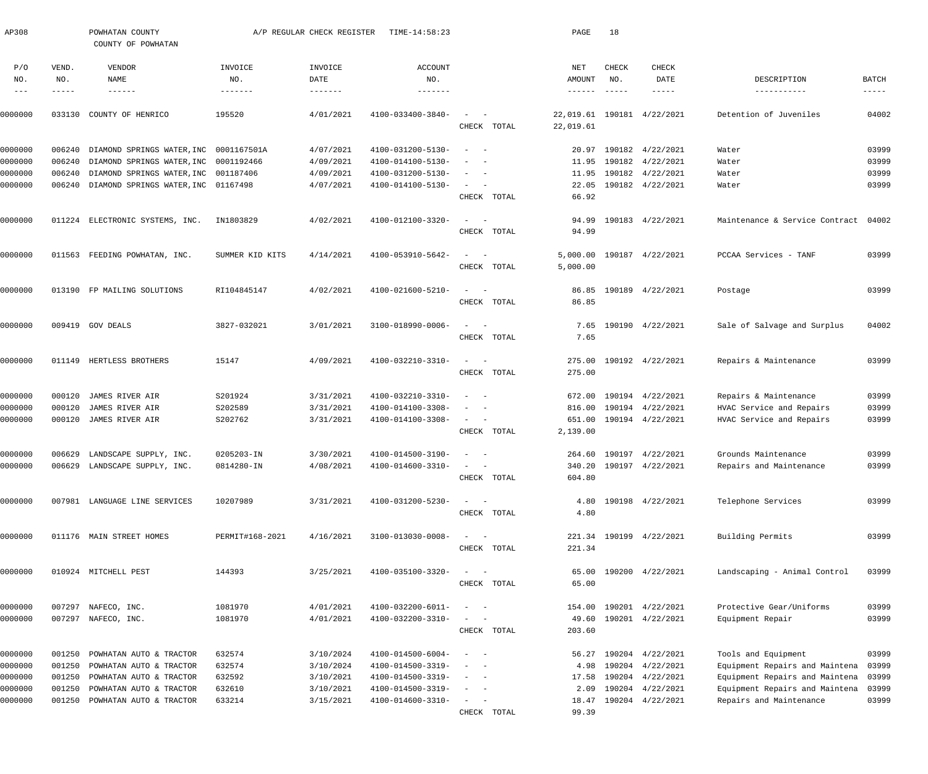| AP308              |                      | POWHATAN COUNTY<br>COUNTY OF POWHATAN                          |                          | A/P REGULAR CHECK REGISTER | TIME-14:58:23                          |                                                   | PAGE                      | 18                   |                                                    |                                                           |                      |
|--------------------|----------------------|----------------------------------------------------------------|--------------------------|----------------------------|----------------------------------------|---------------------------------------------------|---------------------------|----------------------|----------------------------------------------------|-----------------------------------------------------------|----------------------|
| P/O                | VEND.                | VENDOR                                                         | INVOICE                  | INVOICE                    | ACCOUNT                                |                                                   | NET                       | CHECK                | CHECK                                              |                                                           |                      |
| NO.<br>$---$       | NO.<br>$- - - - - -$ | NAME<br>$- - - - - - -$                                        | NO.<br>--------          | DATE                       | NO.<br>-------                         |                                                   | AMOUNT<br>$- - - - - - -$ | NO.<br>$- - - - - -$ | DATE<br>-----                                      | DESCRIPTION<br>-----------                                | BATCH<br>$- - - - -$ |
|                    |                      |                                                                |                          |                            |                                        |                                                   |                           |                      |                                                    |                                                           |                      |
| 0000000            | 033130               | COUNTY OF HENRICO                                              | 195520                   | 4/01/2021                  | 4100-033400-3840-                      | $\sim$<br>$\sim$<br>CHECK TOTAL                   | 22,019.61<br>22,019.61    |                      | 190181 4/22/2021                                   | Detention of Juveniles                                    | 04002                |
| 0000000            | 006240               | DIAMOND SPRINGS WATER, INC                                     | 0001167501A              | 4/07/2021                  | 4100-031200-5130-                      | $\sim$<br>$\sim$                                  | 20.97                     |                      | 190182 4/22/2021                                   | Water                                                     | 03999                |
| 0000000            | 006240               | DIAMOND SPRINGS WATER, INC 0001192466                          |                          | 4/09/2021                  | 4100-014100-5130-                      | $\overline{\phantom{a}}$<br>- -                   | 11.95                     |                      | 190182 4/22/2021                                   | Water                                                     | 03999                |
| 0000000            | 006240               | DIAMOND SPRINGS WATER, INC 001187406                           |                          | 4/09/2021                  | 4100-031200-5130-                      | $\sim$<br>$\sim$ $-$                              | 11.95                     |                      | 190182 4/22/2021                                   | Water                                                     | 03999                |
| 0000000            | 006240               | DIAMOND SPRINGS WATER, INC 01167498                            |                          | 4/07/2021                  | 4100-014100-5130-                      | $\sim$ $ -$<br>CHECK TOTAL                        | 22.05<br>66.92            |                      | 190182 4/22/2021                                   | Water                                                     | 03999                |
| 0000000            |                      | 011224 ELECTRONIC SYSTEMS, INC.                                | IN1803829                | 4/02/2021                  | 4100-012100-3320-                      | $\sim$ .<br>$\sim$ $-$                            | 94.99                     |                      | 190183 4/22/2021                                   | Maintenance & Service Contract                            | 04002                |
|                    |                      |                                                                |                          |                            |                                        | CHECK TOTAL                                       | 94.99                     |                      |                                                    |                                                           |                      |
| 0000000            |                      | 011563 FEEDING POWHATAN, INC.                                  | SUMMER KID KITS          | 4/14/2021                  | 4100-053910-5642-                      | $\sim$<br>$\sim$ $-$                              | 5,000.00                  |                      | 190187 4/22/2021                                   | PCCAA Services - TANF                                     | 03999                |
|                    |                      |                                                                |                          |                            |                                        | CHECK TOTAL                                       | 5,000.00                  |                      |                                                    |                                                           |                      |
| 0000000            |                      | 013190 FP MAILING SOLUTIONS                                    | RI104845147              | 4/02/2021                  | 4100-021600-5210-                      | $\sim$<br>$\sim$ $-$                              | 86.85                     |                      | 190189 4/22/2021                                   | Postage                                                   | 03999                |
|                    |                      |                                                                |                          |                            |                                        | CHECK TOTAL                                       | 86.85                     |                      |                                                    |                                                           |                      |
| 0000000            |                      | 009419 GOV DEALS                                               | 3827-032021              | 3/01/2021                  | 3100-018990-0006-                      | $\sim$<br>$\sim$ $-$                              | 7.65                      |                      | 190190 4/22/2021                                   | Sale of Salvage and Surplus                               | 04002                |
|                    |                      |                                                                |                          |                            |                                        | CHECK TOTAL                                       | 7.65                      |                      |                                                    |                                                           |                      |
| 0000000            |                      | 011149 HERTLESS BROTHERS                                       | 15147                    | 4/09/2021                  | 4100-032210-3310-                      | $\sim$<br>$\sim$ $-$                              | 275.00                    |                      | 190192 4/22/2021                                   | Repairs & Maintenance                                     | 03999                |
|                    |                      |                                                                |                          |                            |                                        | CHECK TOTAL                                       | 275.00                    |                      |                                                    |                                                           |                      |
| 0000000            | 000120               | JAMES RIVER AIR                                                | S201924                  | 3/31/2021                  | 4100-032210-3310-                      | $\sim$<br>$\sim$                                  | 672.00                    |                      | 190194 4/22/2021                                   | Repairs & Maintenance                                     | 03999                |
| 0000000            | 000120               | JAMES RIVER AIR                                                | S202589                  | 3/31/2021                  | 4100-014100-3308-                      | $\sim$<br>$\sim$                                  | 816.00                    |                      | 190194 4/22/2021                                   | HVAC Service and Repairs                                  | 03999                |
| 0000000            | 000120               | JAMES RIVER AIR                                                | S202762                  | 3/31/2021                  | 4100-014100-3308-                      | $\sim$ $ -$<br>CHECK TOTAL                        | 651.00<br>2,139.00        |                      | 190194 4/22/2021                                   | HVAC Service and Repairs                                  | 03999                |
|                    |                      |                                                                |                          |                            |                                        | $\sim$ $  -$                                      |                           |                      |                                                    |                                                           | 03999                |
| 0000000<br>0000000 |                      | 006629 LANDSCAPE SUPPLY, INC.<br>006629 LANDSCAPE SUPPLY, INC. | 0205203-IN<br>0814280-IN | 3/30/2021<br>4/08/2021     | 4100-014500-3190-<br>4100-014600-3310- |                                                   |                           |                      | 264.60 190197 4/22/2021<br>340.20 190197 4/22/2021 | Grounds Maintenance<br>Repairs and Maintenance            | 03999                |
|                    |                      |                                                                |                          |                            |                                        | CHECK TOTAL                                       | 604.80                    |                      |                                                    |                                                           |                      |
| 0000000            |                      | 007981 LANGUAGE LINE SERVICES                                  | 10207989                 | 3/31/2021                  | 4100-031200-5230-                      | $\sim$<br>$\sim$ $-$                              | 4.80                      |                      | 190198 4/22/2021                                   | Telephone Services                                        | 03999                |
|                    |                      |                                                                |                          |                            |                                        | CHECK TOTAL                                       | 4.80                      |                      |                                                    |                                                           |                      |
| 0000000            |                      | 011176 MAIN STREET HOMES                                       | PERMIT#168-2021          | 4/16/2021                  | 3100-013030-0008-                      | $\frac{1}{2}$ and $\frac{1}{2}$ and $\frac{1}{2}$ |                           |                      | 221.34 190199 4/22/2021                            | Building Permits                                          | 03999                |
|                    |                      |                                                                |                          |                            |                                        | CHECK TOTAL                                       | 221.34                    |                      |                                                    |                                                           |                      |
| 0000000            |                      | 010924 MITCHELL PEST                                           | 144393                   | 3/25/2021                  | 4100-035100-3320-                      | $\sim$<br>$\sim$ $-$                              | 65.00                     |                      | 190200 4/22/2021                                   | Landscaping - Animal Control                              | 03999                |
|                    |                      |                                                                |                          |                            |                                        | CHECK TOTAL                                       | 65.00                     |                      |                                                    |                                                           |                      |
| 0000000            |                      | 007297 NAFECO, INC.                                            | 1081970                  | 4/01/2021                  | 4100-032200-6011-                      | $\overline{\phantom{0}}$<br>$\sim$ $-$            | 154.00                    |                      | 190201 4/22/2021                                   | Protective Gear/Uniforms                                  | 03999                |
| 0000000            |                      | 007297 NAFECO, INC.                                            | 1081970                  | 4/01/2021                  | 4100-032200-3310-                      |                                                   | 49.60                     |                      | 190201 4/22/2021                                   | Equipment Repair                                          | 03999                |
|                    |                      |                                                                |                          |                            |                                        | CHECK TOTAL                                       | 203.60                    |                      |                                                    |                                                           |                      |
| 0000000            | 001250               | POWHATAN AUTO & TRACTOR                                        | 632574                   | 3/10/2024                  | 4100-014500-6004-                      | $\frac{1}{2}$ and $\frac{1}{2}$ and $\frac{1}{2}$ | 56.27                     |                      | 190204 4/22/2021                                   | Tools and Equipment                                       | 03999                |
| 0000000            | 001250               | POWHATAN AUTO & TRACTOR                                        | 632574                   | 3/10/2024                  | 4100-014500-3319-                      | $\sim$                                            | 4.98                      |                      | 190204 4/22/2021                                   | Equipment Repairs and Maintena                            | 03999                |
| 0000000            | 001250               | POWHATAN AUTO & TRACTOR                                        | 632592                   | 3/10/2021                  | 4100-014500-3319-                      | $\sim$ 100 $\sim$ 100 $\sim$                      | 17.58                     |                      | 190204 4/22/2021                                   | Equipment Repairs and Maintena                            | 03999                |
| 0000000<br>0000000 | 001250<br>001250     | POWHATAN AUTO & TRACTOR<br>POWHATAN AUTO & TRACTOR             | 632610<br>633214         | 3/10/2021<br>3/15/2021     | 4100-014500-3319-<br>4100-014600-3310- | $\sim$ $  -$<br>$\sim$ $ -$                       | 2.09<br>18.47             |                      | 190204 4/22/2021<br>190204 4/22/2021               | Equipment Repairs and Maintena<br>Repairs and Maintenance | 03999<br>03999       |
|                    |                      |                                                                |                          |                            |                                        | CHECK TOTAL                                       | 99.39                     |                      |                                                    |                                                           |                      |
|                    |                      |                                                                |                          |                            |                                        |                                                   |                           |                      |                                                    |                                                           |                      |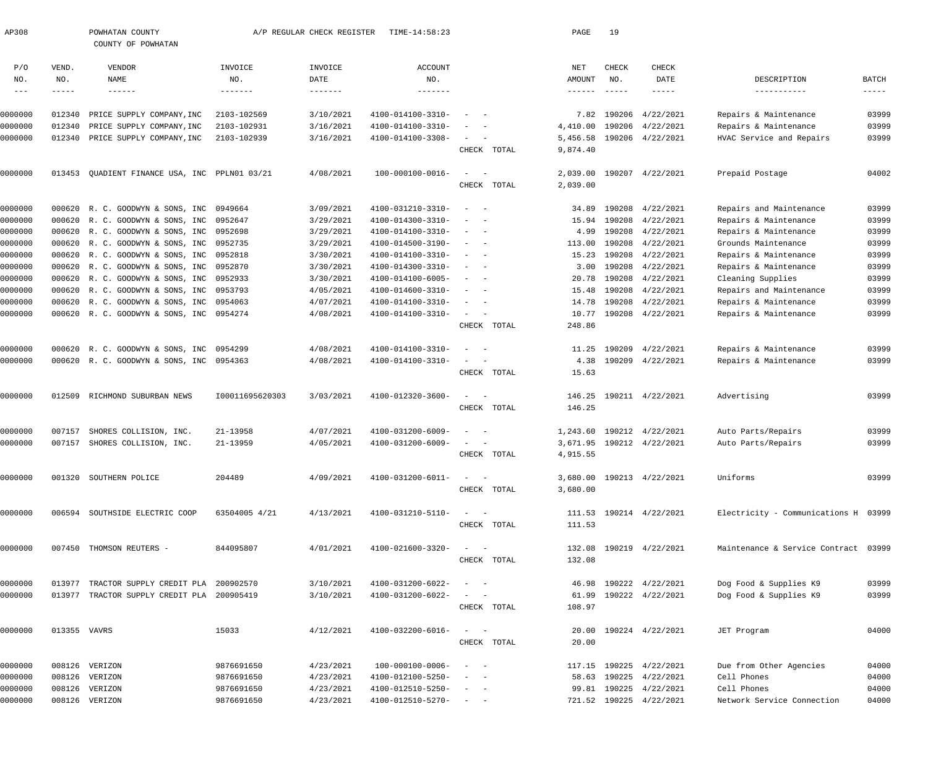| AP308              |              | POWHATAN COUNTY<br>COUNTY OF POWHATAN                                                    |                 | A/P REGULAR CHECK REGISTER | TIME-14:58:23                |                                                                                                                              | PAGE                             | 19                 |                                            |                                                  |                               |
|--------------------|--------------|------------------------------------------------------------------------------------------|-----------------|----------------------------|------------------------------|------------------------------------------------------------------------------------------------------------------------------|----------------------------------|--------------------|--------------------------------------------|--------------------------------------------------|-------------------------------|
| P/O                | VEND.        | VENDOR                                                                                   | INVOICE         | INVOICE                    | <b>ACCOUNT</b>               |                                                                                                                              | NET                              | <b>CHECK</b>       | CHECK                                      |                                                  |                               |
| NO.<br>$- - -$     | NO.<br>----- | NAME<br>$- - - - - - -$                                                                  | NO.<br>-------- | DATE                       | NO.<br>-------               |                                                                                                                              | <b>AMOUNT</b><br>$- - - - - - -$ | NO.<br>$- - - - -$ | DATE<br>$- - - - -$                        | DESCRIPTION<br>-----------                       | BATCH<br>$\cdots\cdots\cdots$ |
|                    |              |                                                                                          |                 |                            |                              |                                                                                                                              |                                  |                    |                                            |                                                  |                               |
| 0000000            | 012340       | PRICE SUPPLY COMPANY, INC                                                                | 2103-102569     | 3/10/2021                  | 4100-014100-3310-            |                                                                                                                              | 7.82                             |                    | 190206 4/22/2021                           | Repairs & Maintenance                            | 03999                         |
| 0000000            | 012340       | PRICE SUPPLY COMPANY, INC                                                                | 2103-102931     | 3/16/2021                  | 4100-014100-3310-            |                                                                                                                              | 4,410.00                         |                    | 190206 4/22/2021                           | Repairs & Maintenance                            | 03999                         |
| 0000000            | 012340       | PRICE SUPPLY COMPANY, INC                                                                | 2103-102939     | 3/16/2021                  | 4100-014100-3308-            | $\sim$                                                                                                                       | 5,456.58                         |                    | 190206 4/22/2021                           | HVAC Service and Repairs                         | 03999                         |
|                    |              |                                                                                          |                 |                            |                              | CHECK TOTAL                                                                                                                  | 9,874.40                         |                    |                                            |                                                  |                               |
| 0000000            | 013453       | QUADIENT FINANCE USA, INC PPLN01 03/21                                                   |                 | 4/08/2021                  | 100-000100-0016-             | $\equiv$                                                                                                                     | 2,039.00                         |                    | 190207 4/22/2021                           | Prepaid Postage                                  | 04002                         |
|                    |              |                                                                                          |                 |                            |                              | CHECK TOTAL                                                                                                                  | 2,039.00                         |                    |                                            |                                                  |                               |
| 0000000            |              | 000620 R. C. GOODWYN & SONS, INC 0949664                                                 |                 | 3/09/2021                  | 4100-031210-3310-            | $\sim$                                                                                                                       | 34.89                            |                    | 190208 4/22/2021                           | Repairs and Maintenance                          | 03999                         |
| 0000000            |              | 000620 R. C. GOODWYN & SONS, INC                                                         | 0952647         | 3/29/2021                  | 4100-014300-3310-            | $\overline{\phantom{a}}$                                                                                                     | 15.94                            |                    | 190208 4/22/2021                           | Repairs & Maintenance                            | 03999                         |
| 0000000            |              | 000620 R. C. GOODWYN & SONS, INC                                                         | 0952698         | 3/29/2021                  | 4100-014100-3310-            | $\sim$<br>$\sim$                                                                                                             | 4.99                             | 190208             | 4/22/2021                                  | Repairs & Maintenance                            | 03999                         |
| 0000000            |              | 000620 R. C. GOODWYN & SONS, INC 0952735                                                 |                 | 3/29/2021                  | 4100-014500-3190-            | $\overline{\phantom{a}}$                                                                                                     | 113.00                           | 190208             | 4/22/2021                                  | Grounds Maintenance                              | 03999                         |
| 0000000            |              | 000620 R. C. GOODWYN & SONS, INC 0952818                                                 |                 | 3/30/2021                  | 4100-014100-3310-            | $\overline{\phantom{a}}$                                                                                                     | 15.23                            |                    | 190208 4/22/2021                           | Repairs & Maintenance                            | 03999                         |
| 0000000            |              | 000620 R. C. GOODWYN & SONS, INC                                                         | 0952870         | 3/30/2021                  | 4100-014300-3310-            | $\sim$<br>$\overline{\phantom{a}}$                                                                                           | 3.00                             |                    | 190208 4/22/2021                           | Repairs & Maintenance                            | 03999                         |
| 0000000            |              | 000620 R. C. GOODWYN & SONS, INC                                                         | 0952933         | 3/30/2021                  | 4100-014100-6005-            | $\sim$                                                                                                                       | 20.78                            | 190208             | 4/22/2021                                  | Cleaning Supplies                                | 03999                         |
| 0000000            |              | 000620 R. C. GOODWYN & SONS, INC 0953793                                                 |                 | 4/05/2021                  | 4100-014600-3310-            | $\overline{\phantom{a}}$                                                                                                     | 15.48                            | 190208             | 4/22/2021                                  | Repairs and Maintenance                          | 03999                         |
| 0000000            |              | 000620 R. C. GOODWYN & SONS, INC 0954063                                                 |                 | 4/07/2021                  | 4100-014100-3310-            | $\overline{\phantom{a}}$<br>$\overline{\phantom{a}}$                                                                         | 14.78                            |                    | 190208 4/22/2021                           | Repairs & Maintenance                            | 03999                         |
| 0000000            |              | 000620 R. C. GOODWYN & SONS, INC 0954274                                                 |                 | 4/08/2021                  | 4100-014100-3310-            | $\sim$                                                                                                                       | 10.77                            |                    | 190208 4/22/2021                           | Repairs & Maintenance                            | 03999                         |
|                    |              |                                                                                          |                 |                            |                              | CHECK TOTAL                                                                                                                  | 248.86                           |                    |                                            |                                                  |                               |
| 0000000            | 000620       | R. C. GOODWYN & SONS, INC 0954299                                                        |                 | 4/08/2021                  | 4100-014100-3310-            | $\overline{\phantom{a}}$                                                                                                     | 11.25                            | 190209             | 4/22/2021                                  | Repairs & Maintenance                            | 03999                         |
| 0000000            |              | 000620 R. C. GOODWYN & SONS, INC 0954363                                                 |                 | 4/08/2021                  | 4100-014100-3310-            | $\sim$                                                                                                                       | 4.38                             |                    | 190209 4/22/2021                           | Repairs & Maintenance                            | 03999                         |
|                    |              |                                                                                          |                 |                            |                              | CHECK TOTAL                                                                                                                  | 15.63                            |                    |                                            |                                                  |                               |
| 0000000            | 012509       | RICHMOND SUBURBAN NEWS                                                                   | 100011695620303 | 3/03/2021                  | 4100-012320-3600-            | $\sim$ .<br>$\hspace{0.1mm}$                                                                                                 | 146.25                           |                    | 190211 4/22/2021                           | Advertising                                      | 03999                         |
|                    |              |                                                                                          |                 |                            |                              | CHECK TOTAL                                                                                                                  | 146.25                           |                    |                                            |                                                  |                               |
| 0000000            | 007157       | SHORES COLLISION, INC.                                                                   | 21-13958        | 4/07/2021                  | 4100-031200-6009-            | $\overline{\phantom{a}}$                                                                                                     | 1,243.60                         |                    | 190212 4/22/2021                           | Auto Parts/Repairs                               | 03999                         |
| 0000000            | 007157       | SHORES COLLISION, INC.                                                                   | 21-13959        | 4/05/2021                  | 4100-031200-6009-            | $\sim$                                                                                                                       |                                  |                    | 3,671.95 190212 4/22/2021                  | Auto Parts/Repairs                               | 03999                         |
|                    |              |                                                                                          |                 |                            |                              | CHECK TOTAL                                                                                                                  | 4,915.55                         |                    |                                            |                                                  |                               |
| 0000000            |              | 001320 SOUTHERN POLICE                                                                   | 204489          | 4/09/2021                  | 4100-031200-6011-            | $\sim$ $  -$                                                                                                                 |                                  |                    | 3,680.00 190213 4/22/2021                  | Uniforms                                         | 03999                         |
|                    |              |                                                                                          |                 |                            |                              | CHECK TOTAL                                                                                                                  | 3,680.00                         |                    |                                            |                                                  |                               |
| 0000000            |              | 006594 SOUTHSIDE ELECTRIC COOP                                                           | 63504005 4/21   | 4/13/2021                  | 4100-031210-5110-            | $\sim$ $  -$                                                                                                                 |                                  |                    | 111.53 190214 4/22/2021                    | Electricity - Communications H 03999             |                               |
|                    |              |                                                                                          |                 |                            |                              | CHECK TOTAL                                                                                                                  | 111.53                           |                    |                                            |                                                  |                               |
| 0000000            |              | 007450 THOMSON REUTERS -                                                                 | 844095807       | 4/01/2021                  | 4100-021600-3320-            | $\frac{1}{2}$ and $\frac{1}{2}$ and $\frac{1}{2}$                                                                            |                                  |                    | 132.08 190219 4/22/2021                    | Maintenance & Service Contract 03999             |                               |
|                    |              |                                                                                          |                 |                            |                              | CHECK TOTAL                                                                                                                  | 132.08                           |                    |                                            |                                                  |                               |
|                    |              |                                                                                          |                 |                            |                              |                                                                                                                              |                                  |                    |                                            |                                                  |                               |
| 0000000<br>0000000 |              | 013977 TRACTOR SUPPLY CREDIT PLA 200902570<br>013977 TRACTOR SUPPLY CREDIT PLA 200905419 |                 | 3/10/2021<br>3/10/2021     | 4100-031200-6022-            | $\sim$ $  -$<br>$\frac{1}{2} \left( \frac{1}{2} \right) \left( \frac{1}{2} \right) = \frac{1}{2} \left( \frac{1}{2} \right)$ | 61.99                            |                    | 46.98 190222 4/22/2021<br>190222 4/22/2021 | Dog Food & Supplies K9<br>Dog Food & Supplies K9 | 03999<br>03999                |
|                    |              |                                                                                          |                 |                            | 4100-031200-6022-            | CHECK TOTAL                                                                                                                  | 108.97                           |                    |                                            |                                                  |                               |
|                    |              |                                                                                          |                 |                            |                              |                                                                                                                              |                                  |                    |                                            |                                                  |                               |
| 0000000            | 013355 VAVRS |                                                                                          | 15033           | 4/12/2021                  | 4100-032200-6016-            | $\frac{1}{2}$ and $\frac{1}{2}$ and $\frac{1}{2}$                                                                            |                                  |                    | 20.00 190224 4/22/2021                     | JET Program                                      | 04000                         |
|                    |              |                                                                                          |                 |                            |                              | CHECK TOTAL                                                                                                                  | 20.00                            |                    |                                            |                                                  |                               |
| 0000000            |              | 008126 VERIZON                                                                           | 9876691650      | 4/23/2021                  | $100 - 000100 - 0006 -$      | $\sim$ $  -$                                                                                                                 |                                  |                    | 117.15 190225 4/22/2021                    | Due from Other Agencies                          | 04000                         |
| 0000000            |              | 008126 VERIZON                                                                           | 9876691650      | 4/23/2021                  | 4100-012100-5250-            | $\sim$ $  -$                                                                                                                 |                                  |                    | 58.63 190225 4/22/2021                     | Cell Phones                                      | 04000                         |
| 0000000            |              | 008126 VERIZON                                                                           | 9876691650      | 4/23/2021                  | 4100-012510-5250-            | $\qquad \qquad -$                                                                                                            |                                  |                    | 99.81 190225 4/22/2021                     | Cell Phones                                      | 04000                         |
| 0000000            |              | 008126 VERIZON                                                                           | 9876691650      | 4/23/2021                  | $4100 - 012510 - 5270 - - -$ |                                                                                                                              |                                  |                    | 721.52 190225 4/22/2021                    | Network Service Connection                       | 04000                         |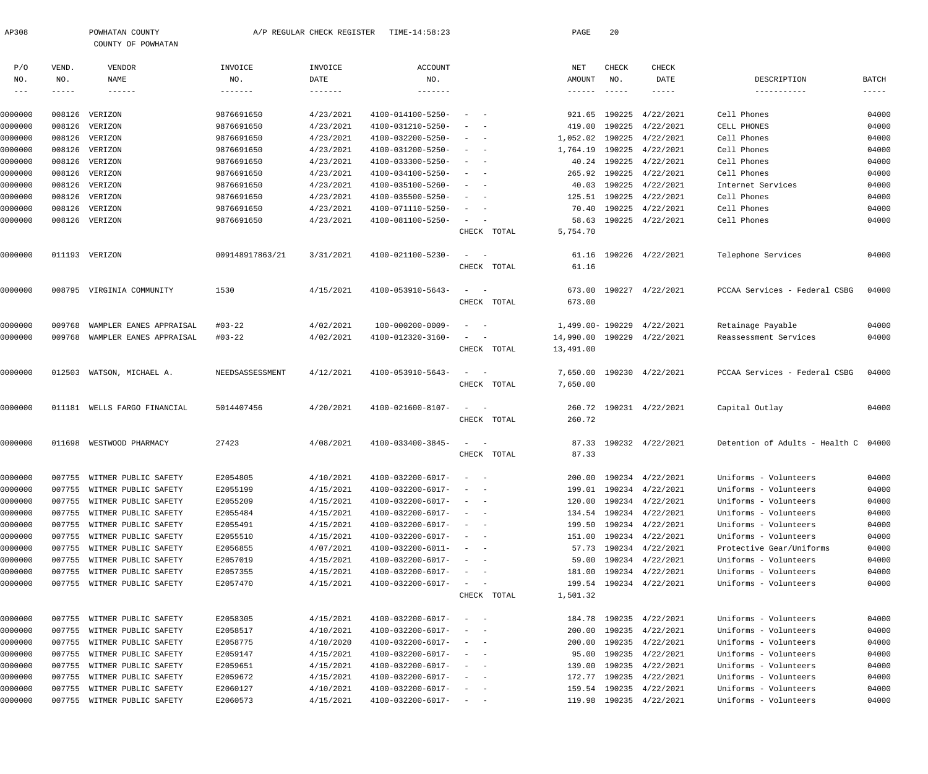| AP308              |        | POWHATAN COUNTY<br>COUNTY OF POWHATAN                      |                      | A/P REGULAR CHECK REGISTER | TIME-14:58:23                          |                                                         |             | PAGE             | 20            |                                      |                                                |                |
|--------------------|--------|------------------------------------------------------------|----------------------|----------------------------|----------------------------------------|---------------------------------------------------------|-------------|------------------|---------------|--------------------------------------|------------------------------------------------|----------------|
| P/O                | VEND.  | <b>VENDOR</b>                                              | INVOICE              | INVOICE                    | <b>ACCOUNT</b>                         |                                                         |             | NET              | CHECK         | CHECK                                |                                                |                |
| NO.                | NO.    | NAME                                                       | NO.                  | DATE                       | NO.                                    |                                                         |             | AMOUNT           | NO.           | DATE                                 | DESCRIPTION                                    | BATCH          |
| $--\,$ $-$         | -----  | $- - - - - - -$                                            | $- - - - - - -$      | -------                    | --------                               |                                                         |             |                  | $- - - - - -$ | $- - - - - -$                        | -----------                                    | $- - - - -$    |
| 0000000            | 008126 | VERIZON                                                    | 9876691650           | 4/23/2021                  | 4100-014100-5250-                      |                                                         |             | 921.65           | 190225        | 4/22/2021                            | Cell Phones                                    | 04000          |
| 0000000            | 008126 | VERIZON                                                    | 9876691650           | 4/23/2021                  | 4100-031210-5250-                      |                                                         |             | 419.00           | 190225        | 4/22/2021                            | CELL PHONES                                    | 04000          |
| 0000000            | 008126 | VERIZON                                                    | 9876691650           | 4/23/2021                  | 4100-032200-5250-                      |                                                         |             | 1,052.02         | 190225        | 4/22/2021                            | Cell Phones                                    | 04000          |
| 0000000            | 008126 | VERIZON                                                    | 9876691650           | 4/23/2021                  | 4100-031200-5250-                      |                                                         |             | 1,764.19         | 190225        | 4/22/2021                            | Cell Phones                                    | 04000          |
| 0000000            | 008126 | VERIZON                                                    | 9876691650           | 4/23/2021                  | 4100-033300-5250-                      |                                                         |             | 40.24            | 190225        | 4/22/2021                            | Cell Phones                                    | 04000          |
| 0000000            | 008126 | VERIZON                                                    | 9876691650           | 4/23/2021                  | 4100-034100-5250-                      |                                                         |             | 265.92           | 190225        | 4/22/2021                            | Cell Phones                                    | 04000          |
| 0000000            | 008126 | VERIZON                                                    | 9876691650           | 4/23/2021                  | 4100-035100-5260-                      |                                                         |             | 40.03            | 190225        | 4/22/2021                            | Internet Services                              | 04000          |
| 0000000            | 008126 | VERIZON                                                    | 9876691650           | 4/23/2021                  | 4100-035500-5250-                      |                                                         |             | 125.51           | 190225        | 4/22/2021                            | Cell Phones                                    | 04000          |
| 0000000            | 008126 | VERIZON                                                    | 9876691650           | 4/23/2021                  | 4100-071110-5250-                      |                                                         |             | 70.40            | 190225        | 4/22/2021                            | Cell Phones                                    | 04000          |
| 0000000            |        | 008126 VERIZON                                             | 9876691650           | 4/23/2021                  | 4100-081100-5250-                      |                                                         |             | 58.63            | 190225        | 4/22/2021                            | Cell Phones                                    | 04000          |
|                    |        |                                                            |                      |                            |                                        |                                                         | CHECK TOTAL | 5,754.70         |               |                                      |                                                |                |
|                    |        |                                                            |                      |                            |                                        |                                                         |             |                  |               |                                      |                                                |                |
| 0000000            |        | 011193 VERIZON                                             | 009148917863/21      | 3/31/2021                  | 4100-021100-5230-                      | $\overline{\phantom{a}}$                                |             | 61.16            |               | 190226 4/22/2021                     | Telephone Services                             | 04000          |
|                    |        |                                                            |                      |                            |                                        |                                                         | CHECK TOTAL | 61.16            |               |                                      |                                                |                |
| 0000000            |        | 008795 VIRGINIA COMMUNITY                                  | 1530                 | 4/15/2021                  | 4100-053910-5643-                      |                                                         |             | 673.00           |               | 190227 4/22/2021                     | PCCAA Services - Federal CSBG                  | 04000          |
|                    |        |                                                            |                      |                            |                                        |                                                         | CHECK TOTAL | 673.00           |               |                                      |                                                |                |
| 0000000            | 009768 | WAMPLER EANES APPRAISAL                                    | $#03 - 22$           | 4/02/2021                  | 100-000200-0009-                       |                                                         |             | 1,499.00- 190229 |               | 4/22/2021                            | Retainage Payable                              | 04000          |
| 0000000            | 009768 | WAMPLER EANES APPRAISAL                                    | $#03 - 22$           | 4/02/2021                  | 4100-012320-3160-                      |                                                         |             | 14,990.00        | 190229        | 4/22/2021                            | Reassessment Services                          | 04000          |
|                    |        |                                                            |                      |                            |                                        |                                                         | CHECK TOTAL | 13,491.00        |               |                                      |                                                |                |
| 0000000            | 012503 | WATSON, MICHAEL A.                                         | NEEDSASSESSMENT      | 4/12/2021                  | 4100-053910-5643-                      | $\sim$                                                  |             | 7,650.00         |               | 190230 4/22/2021                     | PCCAA Services - Federal CSBG                  | 04000          |
|                    |        |                                                            |                      |                            |                                        |                                                         | CHECK TOTAL | 7,650.00         |               |                                      |                                                |                |
|                    |        |                                                            |                      |                            |                                        |                                                         |             |                  |               |                                      |                                                |                |
| 0000000            | 011181 | WELLS FARGO FINANCIAL                                      | 5014407456           | 4/20/2021                  | 4100-021600-8107-                      | $\sim$                                                  |             | 260.72           |               | 190231 4/22/2021                     | Capital Outlay                                 | 04000          |
|                    |        |                                                            |                      |                            |                                        |                                                         | CHECK TOTAL | 260.72           |               |                                      |                                                |                |
| 0000000            | 011698 | WESTWOOD PHARMACY                                          | 27423                | 4/08/2021                  | 4100-033400-3845-                      |                                                         |             | 87.33            |               | 190232 4/22/2021                     | Detention of Adults - Health C 04000           |                |
|                    |        |                                                            |                      |                            |                                        |                                                         | CHECK TOTAL | 87.33            |               |                                      |                                                |                |
|                    |        |                                                            |                      |                            |                                        |                                                         |             |                  |               |                                      |                                                |                |
| 0000000            |        | 007755 WITMER PUBLIC SAFETY                                | E2054805             | 4/10/2021                  | 4100-032200-6017-                      | and the state of the                                    |             | 200.00           |               | 190234 4/22/2021                     | Uniforms - Volunteers                          | 04000          |
| 0000000            |        | 007755 WITMER PUBLIC SAFETY                                | E2055199             | 4/15/2021                  | 4100-032200-6017-<br>4100-032200-6017- |                                                         |             | 199.01           |               | 190234 4/22/2021                     | Uniforms - Volunteers<br>Uniforms - Volunteers | 04000          |
| 0000000            |        | 007755 WITMER PUBLIC SAFETY<br>007755 WITMER PUBLIC SAFETY | E2055209             | 4/15/2021<br>4/15/2021     | 4100-032200-6017-                      | $\sim$<br>$\sim$                                        |             | 120.00           |               | 190234 4/22/2021                     | Uniforms - Volunteers                          | 04000<br>04000 |
| 0000000<br>0000000 |        | 007755 WITMER PUBLIC SAFETY                                | E2055484             | 4/15/2021                  | 4100-032200-6017-                      | $\overline{\phantom{a}}$<br>$\sim$                      |             | 134.54<br>199.50 |               | 190234 4/22/2021<br>190234 4/22/2021 | Uniforms - Volunteers                          | 04000          |
| 0000000            |        | 007755 WITMER PUBLIC SAFETY                                | E2055491<br>E2055510 | 4/15/2021                  | 4100-032200-6017-                      | $\overline{\phantom{a}}$                                |             | 151.00           |               | 190234 4/22/2021                     | Uniforms - Volunteers                          | 04000          |
| 0000000            |        | 007755 WITMER PUBLIC SAFETY                                | E2056855             | 4/07/2021                  | 4100-032200-6011-                      |                                                         |             | 57.73            |               | 190234 4/22/2021                     | Protective Gear/Uniforms                       | 04000          |
| 0000000            |        | 007755 WITMER PUBLIC SAFETY                                | E2057019             | 4/15/2021                  | 4100-032200-6017-                      | $\overline{\phantom{a}}$                                |             | 59.00            |               | 190234 4/22/2021                     | Uniforms - Volunteers                          | 04000          |
| 0000000            |        | 007755 WITMER PUBLIC SAFETY                                | E2057355             | 4/15/2021                  | 4100-032200-6017-                      | $\sim$<br>$\sim$                                        |             | 181.00           |               | 190234 4/22/2021                     | Uniforms - Volunteers                          | 04000          |
| 0000000            |        | 007755 WITMER PUBLIC SAFETY                                | E2057470             | 4/15/2021                  | 4100-032200-6017-                      | $\sim$ $  -$                                            |             | 199.54           |               | 190234 4/22/2021                     | Uniforms - Volunteers                          | 04000          |
|                    |        |                                                            |                      |                            |                                        |                                                         | CHECK TOTAL | 1,501.32         |               |                                      |                                                |                |
|                    |        |                                                            |                      |                            |                                        |                                                         |             |                  |               |                                      |                                                |                |
| 0000000            |        | 007755 WITMER PUBLIC SAFETY                                | E2058305             | 4/15/2021                  | 4100-032200-6017-                      | $\sim$ $ -$                                             |             | 184.78           |               | 190235 4/22/2021                     | Uniforms - Volunteers                          | 04000          |
| 0000000            |        | 007755 WITMER PUBLIC SAFETY                                | E2058517             | 4/10/2021                  | 4100-032200-6017-                      |                                                         |             | 200.00           | 190235        | 4/22/2021                            | Uniforms - Volunteers                          | 04000          |
| 0000000            |        | 007755 WITMER PUBLIC SAFETY                                | E2058775             | 4/10/2020                  | 4100-032200-6017-                      | $\sim$<br>$\sim$                                        |             | 200.00           | 190235        | 4/22/2021                            | Uniforms - Volunteers                          | 04000          |
| 0000000            |        | 007755 WITMER PUBLIC SAFETY                                | E2059147             | 4/15/2021                  | 4100-032200-6017-                      | $\sim$<br>$\sim$ $-$                                    |             | 95.00            | 190235        | 4/22/2021                            | Uniforms - Volunteers                          | 04000          |
| 0000000            |        | 007755 WITMER PUBLIC SAFETY                                | E2059651             | 4/15/2021                  | 4100-032200-6017-                      | $\sim$                                                  |             | 139.00           | 190235        | 4/22/2021                            | Uniforms - Volunteers                          | 04000          |
| 0000000            |        | 007755 WITMER PUBLIC SAFETY                                | E2059672             | 4/15/2021                  | 4100-032200-6017-                      | $\sim$<br>$\sim$                                        |             | 172.77           | 190235        | 4/22/2021                            | Uniforms - Volunteers                          | 04000          |
| 0000000            |        | 007755 WITMER PUBLIC SAFETY                                | E2060127             | 4/10/2021                  | 4100-032200-6017-                      | $\sim$ $  -$                                            |             | 159.54           | 190235        | 4/22/2021                            | Uniforms - Volunteers                          | 04000          |
| 0000000            |        | 007755 WITMER PUBLIC SAFETY                                | E2060573             | 4/15/2021                  | 4100-032200-6017-                      | $\alpha_{\rm{max}}=1.000$ and $\alpha_{\rm{max}}=1.000$ |             | 119.98           |               | 190235 4/22/2021                     | Uniforms - Volunteers                          | 04000          |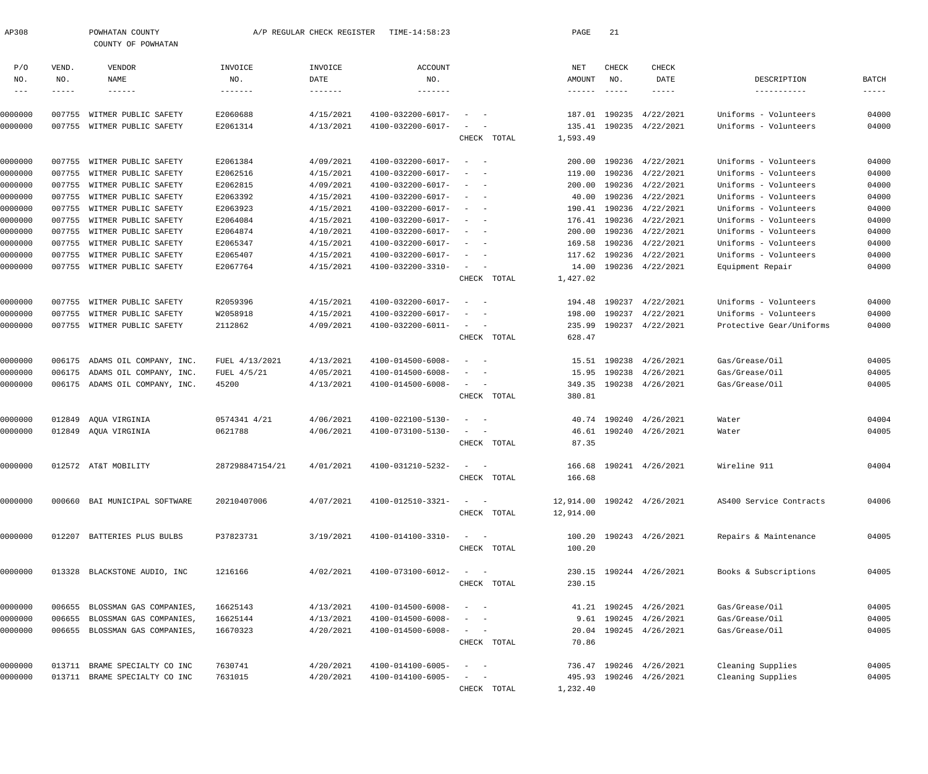| AP308                      |              | POWHATAN COUNTY<br>COUNTY OF POWHATAN |                 | A/P REGULAR CHECK REGISTER | TIME-14:58:23          |                                                   |             | PAGE               | 21                               |                            |                            |                      |
|----------------------------|--------------|---------------------------------------|-----------------|----------------------------|------------------------|---------------------------------------------------|-------------|--------------------|----------------------------------|----------------------------|----------------------------|----------------------|
| P/O                        | VEND.        | VENDOR                                | INVOICE         | INVOICE                    | ACCOUNT                |                                                   |             | NET                | CHECK                            | CHECK                      |                            |                      |
| NO.<br>$\qquad \qquad - -$ | NO.<br>----- | NAME<br>$- - - - - - -$               | NO.<br>-------  | DATE<br>$- - - - - - - -$  | NO.<br>$- - - - - - -$ |                                                   |             | AMOUNT             | NO.<br>$\qquad \qquad - - - - -$ | DATE<br>$- - - - - -$      | DESCRIPTION<br>----------- | BATCH<br>$- - - - -$ |
| 0000000                    | 007755       | WITMER PUBLIC SAFETY                  | E2060688        | 4/15/2021                  | 4100-032200-6017-      |                                                   |             | 187.01             | 190235                           | 4/22/2021                  | Uniforms - Volunteers      | 04000                |
| 0000000                    |              | 007755 WITMER PUBLIC SAFETY           | E2061314        | 4/13/2021                  | 4100-032200-6017-      |                                                   | CHECK TOTAL | 135.41<br>1,593.49 |                                  | 190235 4/22/2021           | Uniforms - Volunteers      | 04000                |
|                            |              |                                       |                 |                            |                        |                                                   |             |                    |                                  |                            |                            |                      |
| 0000000                    |              | 007755 WITMER PUBLIC SAFETY           | E2061384        | 4/09/2021                  | 4100-032200-6017-      | $\sim$                                            |             | 200.00             |                                  | 190236 4/22/2021           | Uniforms - Volunteers      | 04000                |
| 0000000                    | 007755       | WITMER PUBLIC SAFETY                  | E2062516        | 4/15/2021                  | 4100-032200-6017-      |                                                   |             | 119.00             |                                  | 190236 4/22/2021           | Uniforms - Volunteers      | 04000                |
| 0000000                    | 007755       | WITMER PUBLIC SAFETY                  | E2062815        | 4/09/2021                  | 4100-032200-6017-      |                                                   |             | 200.00             |                                  | 190236 4/22/2021           | Uniforms - Volunteers      | 04000                |
| 0000000                    |              | 007755 WITMER PUBLIC SAFETY           | E2063392        | 4/15/2021                  | 4100-032200-6017-      |                                                   |             | 40.00              |                                  | 190236 4/22/2021           | Uniforms - Volunteers      | 04000                |
| 0000000                    | 007755       | WITMER PUBLIC SAFETY                  | E2063923        | 4/15/2021                  | 4100-032200-6017-      |                                                   |             | 190.41             |                                  | 190236 4/22/2021           | Uniforms - Volunteers      | 04000                |
| 0000000                    | 007755       | WITMER PUBLIC SAFETY                  | E2064084        | 4/15/2021                  | 4100-032200-6017-      |                                                   |             | 176.41             |                                  | 190236 4/22/2021           | Uniforms - Volunteers      | 04000                |
| 0000000                    |              | 007755 WITMER PUBLIC SAFETY           | E2064874        | 4/10/2021                  | 4100-032200-6017-      |                                                   |             | 200.00             |                                  | 190236 4/22/2021           | Uniforms - Volunteers      | 04000                |
| 0000000                    | 007755       | WITMER PUBLIC SAFETY                  | E2065347        | 4/15/2021                  | 4100-032200-6017-      |                                                   |             | 169.58             |                                  | 190236 4/22/2021           | Uniforms - Volunteers      | 04000                |
| 0000000                    | 007755       | WITMER PUBLIC SAFETY                  | E2065407        | 4/15/2021                  | 4100-032200-6017-      | $\sim$ $-$                                        |             | 117.62             |                                  | 190236 4/22/2021           | Uniforms - Volunteers      | 04000                |
| 0000000                    |              | 007755 WITMER PUBLIC SAFETY           | E2067764        | 4/15/2021                  | 4100-032200-3310-      | $\sim$                                            |             | 14.00              |                                  | 190236 4/22/2021           | Equipment Repair           | 04000                |
|                            |              |                                       |                 |                            |                        |                                                   | CHECK TOTAL | 1,427.02           |                                  |                            |                            |                      |
| 0000000                    | 007755       | WITMER PUBLIC SAFETY                  | R2059396        | 4/15/2021                  | 4100-032200-6017-      | $\overline{\phantom{a}}$                          |             | 194.48             |                                  | 190237 4/22/2021           | Uniforms - Volunteers      | 04000                |
| 0000000                    | 007755       | WITMER PUBLIC SAFETY                  | W2058918        | 4/15/2021                  | 4100-032200-6017-      |                                                   |             | 198.00             |                                  | 190237 4/22/2021           | Uniforms - Volunteers      | 04000                |
| 0000000                    |              | 007755 WITMER PUBLIC SAFETY           | 2112862         | 4/09/2021                  | 4100-032200-6011-      | $\sim$<br>$\sim$ $-$                              |             | 235.99             |                                  | 190237 4/22/2021           | Protective Gear/Uniforms   | 04000                |
|                            |              |                                       |                 |                            |                        |                                                   | CHECK TOTAL | 628.47             |                                  |                            |                            |                      |
| 0000000                    | 006175       | ADAMS OIL COMPANY, INC.               | FUEL 4/13/2021  | 4/13/2021                  | 4100-014500-6008-      | $\overline{\phantom{a}}$                          |             | 15.51              |                                  | 190238 4/26/2021           | Gas/Grease/Oil             | 04005                |
| 0000000                    | 006175       | ADAMS OIL COMPANY, INC.               | FUEL $4/5/21$   | 4/05/2021                  | 4100-014500-6008-      |                                                   |             | 15.95              |                                  | 190238 4/26/2021           | Gas/Grease/Oil             | 04005                |
| 0000000                    |              | 006175 ADAMS OIL COMPANY, INC.        | 45200           | 4/13/2021                  | 4100-014500-6008-      | $\sim$ $-$                                        |             |                    |                                  | 349.35 190238 4/26/2021    | Gas/Grease/Oil             | 04005                |
|                            |              |                                       |                 |                            |                        |                                                   | CHECK TOTAL | 380.81             |                                  |                            |                            |                      |
| 0000000                    | 012849       | AQUA VIRGINIA                         | 0574341 4/21    | 4/06/2021                  | 4100-022100-5130-      |                                                   |             |                    |                                  | 40.74 190240 4/26/2021     | Water                      | 04004                |
| 0000000                    |              | 012849 AQUA VIRGINIA                  | 0621788         | 4/06/2021                  | 4100-073100-5130-      |                                                   |             | 46.61              |                                  | 190240 4/26/2021           | Water                      | 04005                |
|                            |              |                                       |                 |                            |                        |                                                   | CHECK TOTAL | 87.35              |                                  |                            |                            |                      |
| 0000000                    |              | 012572 AT&T MOBILITY                  | 287298847154/21 | 4/01/2021                  | 4100-031210-5232-      |                                                   |             |                    |                                  | 166.68 190241 4/26/2021    | Wireline 911               | 04004                |
|                            |              |                                       |                 |                            |                        |                                                   | CHECK TOTAL | 166.68             |                                  |                            |                            |                      |
| 0000000                    |              | 000660 BAI MUNICIPAL SOFTWARE         | 20210407006     | 4/07/2021                  | 4100-012510-3321-      |                                                   |             |                    |                                  | 12,914.00 190242 4/26/2021 | AS400 Service Contracts    | 04006                |
|                            |              |                                       |                 |                            |                        |                                                   | CHECK TOTAL | 12,914.00          |                                  |                            |                            |                      |
|                            |              |                                       |                 |                            |                        |                                                   |             |                    |                                  |                            |                            |                      |
| 0000000                    |              | 012207 BATTERIES PLUS BULBS           | P37823731       | 3/19/2021                  | 4100-014100-3310-      | $\sim$ $ -$                                       |             |                    |                                  | 100.20 190243 4/26/2021    | Repairs & Maintenance      | 04005                |
|                            |              |                                       |                 |                            |                        |                                                   | CHECK TOTAL | 100.20             |                                  |                            |                            |                      |
| 0000000                    |              | 013328 BLACKSTONE AUDIO, INC          | 1216166         | 4/02/2021                  | 4100-073100-6012-      | $\frac{1}{2}$ and $\frac{1}{2}$ and $\frac{1}{2}$ |             |                    |                                  | 230.15 190244 4/26/2021    | Books & Subscriptions      | 04005                |
|                            |              |                                       |                 |                            |                        |                                                   | CHECK TOTAL | 230.15             |                                  |                            |                            |                      |
|                            |              |                                       |                 |                            |                        |                                                   |             |                    |                                  |                            |                            |                      |
| 0000000                    |              | 006655 BLOSSMAN GAS COMPANIES,        | 16625143        | 4/13/2021                  | 4100-014500-6008-      |                                                   |             |                    |                                  | 41.21 190245 4/26/2021     | Gas/Grease/Oil             | 04005                |
| 0000000                    | 006655       | BLOSSMAN GAS COMPANIES,               | 16625144        | 4/13/2021                  | 4100-014500-6008-      |                                                   |             |                    |                                  | 9.61 190245 4/26/2021      | Gas/Grease/Oil             | 04005                |
| 0000000                    |              | 006655 BLOSSMAN GAS COMPANIES,        | 16670323        | 4/20/2021                  | 4100-014500-6008-      | $\frac{1}{2}$ and $\frac{1}{2}$ and $\frac{1}{2}$ | CHECK TOTAL | 20.04<br>70.86     |                                  | 190245 4/26/2021           | Gas/Grease/Oil             | 04005                |
|                            |              |                                       |                 |                            |                        |                                                   |             |                    |                                  |                            |                            |                      |
| 0000000                    |              | 013711 BRAME SPECIALTY CO INC         | 7630741         | 4/20/2021                  | 4100-014100-6005-      |                                                   |             |                    |                                  | 736.47 190246 4/26/2021    | Cleaning Supplies          | 04005                |
| 0000000                    |              | 013711 BRAME SPECIALTY CO INC         | 7631015         | 4/20/2021                  | 4100-014100-6005-      |                                                   |             |                    |                                  | 495.93 190246 4/26/2021    | Cleaning Supplies          | 04005                |
|                            |              |                                       |                 |                            |                        |                                                   | CHECK TOTAL | 1,232.40           |                                  |                            |                            |                      |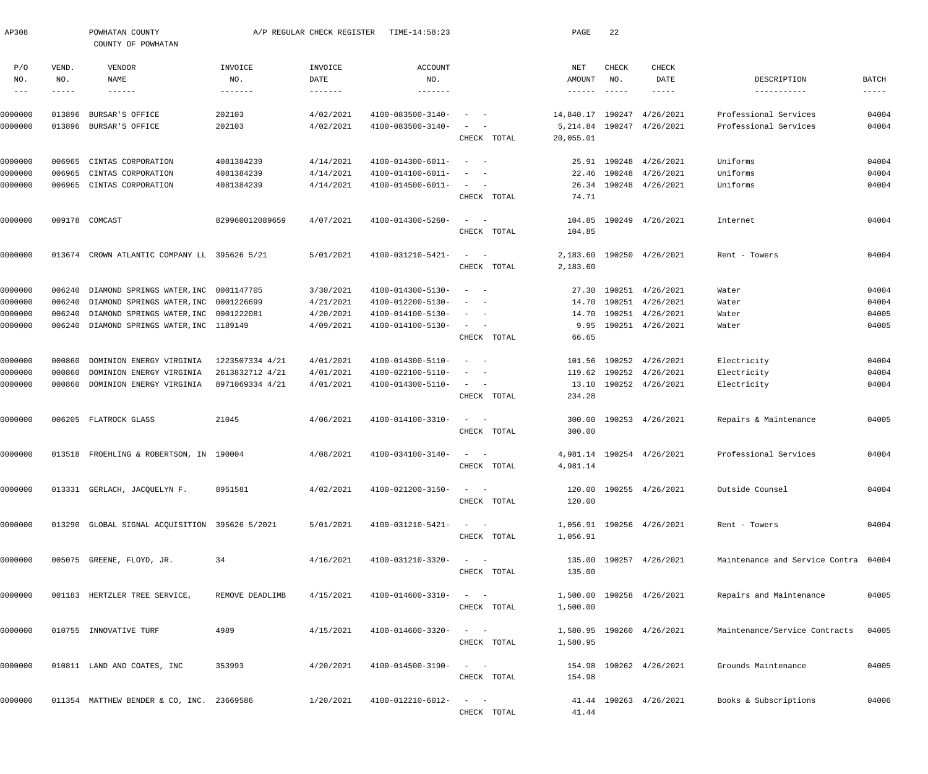| AP308                    |                       | POWHATAN COUNTY<br>COUNTY OF POWHATAN          |                 | A/P REGULAR CHECK REGISTER         | TIME-14:58:23                            |                                                                  | PAGE                             | 22                            |                           |                                      |                   |
|--------------------------|-----------------------|------------------------------------------------|-----------------|------------------------------------|------------------------------------------|------------------------------------------------------------------|----------------------------------|-------------------------------|---------------------------|--------------------------------------|-------------------|
| P/O<br>NO.<br>$--\,$ $-$ | VEND.<br>NO.<br>----- | VENDOR<br>NAME<br>$- - - - - - -$              | INVOICE<br>NO.  | INVOICE<br>DATE<br>$- - - - - - -$ | <b>ACCOUNT</b><br>NO.<br>$- - - - - - -$ |                                                                  | NET<br>AMOUNT<br>$- - - - - - -$ | CHECK<br>NO.<br>$- - - - - -$ | CHECK<br>DATE<br>-----    | DESCRIPTION<br>-----------           | BATCH<br>$------$ |
|                          |                       |                                                |                 |                                    |                                          |                                                                  |                                  |                               |                           |                                      |                   |
| 0000000                  | 013896                | BURSAR'S OFFICE                                | 202103          | 4/02/2021                          | 4100-083500-3140-                        |                                                                  | 14,840.17                        | 190247                        | 4/26/2021                 | Professional Services                | 04004             |
| 0000000                  | 013896                | BURSAR'S OFFICE                                | 202103          | 4/02/2021                          | 4100-083500-3140-                        | CHECK TOTAL                                                      | 5,214.84<br>20,055.01            |                               | 190247 4/26/2021          | Professional Services                | 04004             |
| 0000000                  | 006965                | CINTAS CORPORATION                             | 4081384239      | 4/14/2021                          | 4100-014300-6011-                        | $\sim$<br>$\overline{\phantom{0}}$                               | 25.91                            |                               | 190248 4/26/2021          | Uniforms                             | 04004             |
| 0000000                  | 006965                | CINTAS CORPORATION                             | 4081384239      | 4/14/2021                          | 4100-014100-6011-                        |                                                                  | 22.46                            |                               | 190248 4/26/2021          | Uniforms                             | 04004             |
| 0000000                  | 006965                | CINTAS CORPORATION                             | 4081384239      | 4/14/2021                          | 4100-014500-6011-                        | $\frac{1}{2}$ and $\frac{1}{2}$ and $\frac{1}{2}$<br>CHECK TOTAL | 74.71                            |                               | 26.34 190248 4/26/2021    | Uniforms                             | 04004             |
| 0000000                  |                       | 009178 COMCAST                                 | 829960012089659 | 4/07/2021                          | 4100-014300-5260-                        | $\sim$<br>$\sim$ $-$                                             | 104.85                           |                               | 190249 4/26/2021          | Internet                             | 04004             |
|                          |                       |                                                |                 |                                    |                                          | CHECK TOTAL                                                      | 104.85                           |                               |                           |                                      |                   |
| 0000000                  |                       | 013674 CROWN ATLANTIC COMPANY LL 395626 5/21   |                 | 5/01/2021                          | 4100-031210-5421-                        | $\sim$<br>$\sim$ $-$                                             | 2,183.60                         |                               | 190250 4/26/2021          | Rent - Towers                        | 04004             |
|                          |                       |                                                |                 |                                    |                                          | CHECK TOTAL                                                      | 2,183.60                         |                               |                           |                                      |                   |
| 0000000                  | 006240                | DIAMOND SPRINGS WATER, INC                     | 0001147705      | 3/30/2021                          | 4100-014300-5130-                        | $\overline{\phantom{a}}$<br>$\sim$                               | 27.30                            |                               | 190251 4/26/2021          | Water                                | 04004             |
| 0000000                  | 006240                | DIAMOND SPRINGS WATER, INC                     | 0001226699      | 4/21/2021                          | 4100-012200-5130-                        |                                                                  | 14.70                            |                               | 190251 4/26/2021          | Water                                | 04004             |
| 0000000                  | 006240                | DIAMOND SPRINGS WATER, INC 0001222081          |                 | 4/20/2021                          | 4100-014100-5130-                        | $ \,$<br>$\sim$                                                  | 14.70                            |                               | 190251 4/26/2021          | Water                                | 04005             |
| 0000000                  | 006240                | DIAMOND SPRINGS WATER, INC 1189149             |                 | 4/09/2021                          | 4100-014100-5130-                        | $\sim$<br>$\sim$<br>CHECK TOTAL                                  | 9.95<br>66.65                    |                               | 190251 4/26/2021          | Water                                | 04005             |
| 0000000                  | 000860                | DOMINION ENERGY VIRGINIA                       | 1223507334 4/21 | 4/01/2021                          | 4100-014300-5110-                        | $\equiv$<br>$\overline{\phantom{0}}$                             | 101.56                           |                               | 190252 4/26/2021          | Electricity                          | 04004             |
| 0000000                  | 000860                | DOMINION ENERGY VIRGINIA                       | 2613832712 4/21 | 4/01/2021                          | 4100-022100-5110-                        | $\sim$                                                           | 119.62                           |                               | 190252 4/26/2021          | Electricity                          | 04004             |
| 0000000                  | 000860                | DOMINION ENERGY VIRGINIA                       | 8971069334 4/21 | 4/01/2021                          | 4100-014300-5110-                        | $\frac{1}{2}$ and $\frac{1}{2}$ and $\frac{1}{2}$                | 13.10                            |                               | 190252 4/26/2021          | Electricity                          | 04004             |
|                          |                       |                                                |                 |                                    |                                          | CHECK TOTAL                                                      | 234.28                           |                               |                           |                                      |                   |
| 0000000                  |                       | 006205 FLATROCK GLASS                          | 21045           | 4/06/2021                          | 4100-014100-3310-                        | $\sim$ $-$<br>$\overline{\phantom{0}}$                           | 300.00                           |                               | 190253 4/26/2021          | Repairs & Maintenance                | 04005             |
|                          |                       |                                                |                 |                                    |                                          | CHECK TOTAL                                                      | 300.00                           |                               |                           |                                      |                   |
| 0000000                  |                       | 013518 FROEHLING & ROBERTSON, IN 190004        |                 | 4/08/2021                          | 4100-034100-3140-                        | $\hspace{0.1mm}-\hspace{0.1mm}$                                  |                                  |                               | 4,981.14 190254 4/26/2021 | Professional Services                | 04004             |
|                          |                       |                                                |                 |                                    |                                          | CHECK TOTAL                                                      | 4,981.14                         |                               |                           |                                      |                   |
| 0000000                  |                       | 013331 GERLACH, JACQUELYN F.                   | 8951581         | 4/02/2021                          | 4100-021200-3150-                        | $\sim$ $  -$                                                     |                                  |                               | 120.00 190255 4/26/2021   | Outside Counsel                      | 04004             |
|                          |                       |                                                |                 |                                    |                                          | CHECK TOTAL                                                      | 120.00                           |                               |                           |                                      |                   |
| 0000000                  |                       | 013290 GLOBAL SIGNAL ACQUISITION 395626 5/2021 |                 | 5/01/2021                          | 4100-031210-5421-                        | $\alpha = 1, \ldots, \alpha$                                     |                                  |                               | 1,056.91 190256 4/26/2021 | Rent - Towers                        | 04004             |
|                          |                       |                                                |                 |                                    |                                          | CHECK TOTAL                                                      | 1,056.91                         |                               |                           |                                      |                   |
| 0000000                  |                       | 005075 GREENE, FLOYD, JR.                      | 34              | 4/16/2021                          | 4100-031210-3320-                        | $\frac{1}{2}$ and $\frac{1}{2}$ and $\frac{1}{2}$                |                                  |                               | 135.00 190257 4/26/2021   | Maintenance and Service Contra 04004 |                   |
|                          |                       |                                                |                 |                                    |                                          | CHECK TOTAL                                                      | 135.00                           |                               |                           |                                      |                   |
| 0000000                  |                       | 001183 HERTZLER TREE SERVICE,                  | REMOVE DEADLIMB | 4/15/2021                          | 4100-014600-3310-                        | $\sigma_{\rm{max}}=0.5$                                          |                                  |                               | 1,500.00 190258 4/26/2021 | Repairs and Maintenance              | 04005             |
|                          |                       |                                                |                 |                                    |                                          | CHECK TOTAL                                                      | 1,500.00                         |                               |                           |                                      |                   |
| 0000000                  |                       | 010755 INNOVATIVE TURF                         | 4989            | 4/15/2021                          | 4100-014600-3320-                        | $\qquad \qquad -$                                                |                                  |                               | 1,580.95 190260 4/26/2021 | Maintenance/Service Contracts        | 04005             |
|                          |                       |                                                |                 |                                    |                                          | CHECK TOTAL                                                      | 1,580.95                         |                               |                           |                                      |                   |
| 0000000                  |                       | 010811 LAND AND COATES, INC                    | 353993          | 4/20/2021                          | 4100-014500-3190-                        | $\frac{1}{2}$ and $\frac{1}{2}$ and $\frac{1}{2}$                |                                  |                               | 154.98 190262 4/26/2021   | Grounds Maintenance                  | 04005             |
|                          |                       |                                                |                 |                                    |                                          | CHECK TOTAL                                                      | 154.98                           |                               |                           |                                      |                   |
| 0000000                  |                       | 011354 MATTHEW BENDER & CO, INC. 23669586      |                 | 1/20/2021                          | 4100-012210-6012-                        | $\qquad \qquad -$                                                |                                  |                               | 41.44 190263 4/26/2021    | Books & Subscriptions                | 04006             |
|                          |                       |                                                |                 |                                    |                                          | CHECK TOTAL                                                      | 41.44                            |                               |                           |                                      |                   |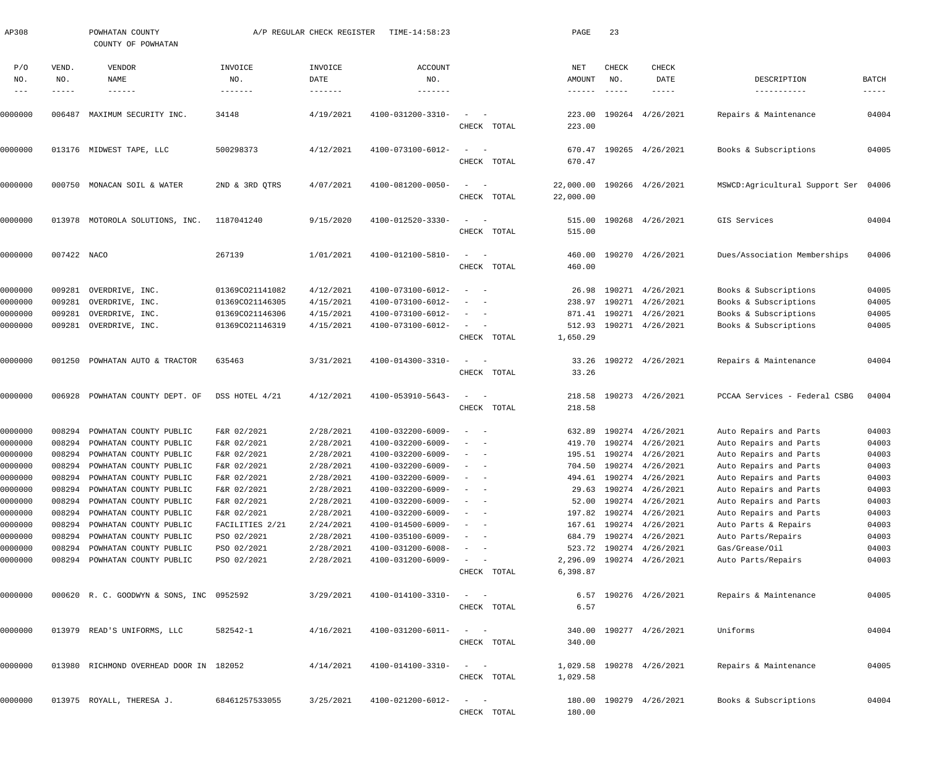| AP308                       |                       | POWHATAN COUNTY<br>COUNTY OF POWHATAN    |                           | A/P REGULAR CHECK REGISTER | TIME-14:58:23                            |                   |             | PAGE                    | 23                            |                            |                                      |                                      |
|-----------------------------|-----------------------|------------------------------------------|---------------------------|----------------------------|------------------------------------------|-------------------|-------------|-------------------------|-------------------------------|----------------------------|--------------------------------------|--------------------------------------|
| P/O<br>NO.<br>$\frac{1}{2}$ | VEND.<br>NO.<br>----- | VENDOR<br>NAME<br>$- - - - - - -$        | INVOICE<br>NO.<br>------- | INVOICE<br>DATE            | <b>ACCOUNT</b><br>NO.<br>$- - - - - - -$ |                   |             | NET<br>AMOUNT<br>------ | CHECK<br>NO.<br>$\frac{1}{2}$ | CHECK<br>DATE<br>-----     | DESCRIPTION<br>-----------           | <b>BATCH</b><br>$\cdots\cdots\cdots$ |
|                             |                       |                                          |                           |                            |                                          |                   |             |                         |                               |                            |                                      |                                      |
| )000000                     | 006487                | MAXIMUM SECURITY INC.                    | 34148                     | 4/19/2021                  | 4100-031200-3310-                        | $\sim$            | CHECK TOTAL | 223.00                  |                               | 223.00 190264 4/26/2021    | Repairs & Maintenance                | 04004                                |
| 0000000                     |                       | 013176 MIDWEST TAPE, LLC                 | 500298373                 | 4/12/2021                  | 4100-073100-6012-                        | $\sim$            |             |                         |                               | 670.47 190265 4/26/2021    | Books & Subscriptions                | 04005                                |
|                             |                       |                                          |                           |                            |                                          |                   | CHECK TOTAL | 670.47                  |                               |                            |                                      |                                      |
| 0000000                     | 000750                | MONACAN SOIL & WATER                     | 2ND & 3RD QTRS            | 4/07/2021                  | 4100-081200-0050-                        | $\sim$            | CHECK TOTAL | 22,000.00               |                               | 22,000.00 190266 4/26/2021 | MSWCD:Agricultural Support Ser 04006 |                                      |
| 0000000                     |                       | 013978 MOTOROLA SOLUTIONS, INC.          | 1187041240                | 9/15/2020                  | 4100-012520-3330-                        | $\sim$            |             |                         |                               | 515.00 190268 4/26/2021    | GIS Services                         | 04004                                |
|                             |                       |                                          |                           |                            |                                          |                   | CHECK TOTAL | 515.00                  |                               |                            |                                      |                                      |
| 0000000                     | 007422 NACO           |                                          | 267139                    | 1/01/2021                  | 4100-012100-5810-                        | $\sim$            |             |                         |                               | 460.00 190270 4/26/2021    | Dues/Association Memberships         | 04006                                |
|                             |                       |                                          |                           |                            |                                          |                   | CHECK TOTAL | 460.00                  |                               |                            |                                      |                                      |
| 0000000                     | 009281                | OVERDRIVE, INC.                          | 01369CO21141082           | 4/12/2021                  | 4100-073100-6012-                        | $\sim$            |             |                         |                               | 26.98 190271 4/26/2021     | Books & Subscriptions                | 04005                                |
| 0000000                     | 009281                | OVERDRIVE, INC.                          | 01369CO21146305           | 4/15/2021                  | 4100-073100-6012-                        |                   |             |                         |                               | 238.97 190271 4/26/2021    | Books & Subscriptions                | 04005                                |
| 0000000                     | 009281                | OVERDRIVE, INC.                          | 01369CO21146306           | 4/15/2021                  | 4100-073100-6012-                        |                   |             |                         |                               | 871.41 190271 4/26/2021    | Books & Subscriptions                | 04005                                |
| 0000000                     | 009281                | OVERDRIVE, INC.                          | 01369CO21146319           | 4/15/2021                  | 4100-073100-6012-                        | $\sim$            | CHECK TOTAL | 1,650.29                |                               | 512.93 190271 4/26/2021    | Books & Subscriptions                | 04005                                |
|                             |                       |                                          |                           |                            |                                          |                   |             |                         |                               |                            |                                      |                                      |
| 0000000                     | 001250                | POWHATAN AUTO & TRACTOR                  | 635463                    | 3/31/2021                  | 4100-014300-3310-                        | $\sim$            | CHECK TOTAL | 33.26                   |                               | 33.26 190272 4/26/2021     | Repairs & Maintenance                | 04004                                |
| 0000000                     | 006928                | POWHATAN COUNTY DEPT. OF                 | DSS HOTEL 4/21            | 4/12/2021                  | 4100-053910-5643-                        | $\sim$            |             |                         |                               | 218.58 190273 4/26/2021    | PCCAA Services - Federal CSBG        | 04004                                |
|                             |                       |                                          |                           |                            |                                          |                   | CHECK TOTAL | 218.58                  |                               |                            |                                      |                                      |
| 0000000                     | 008294                | POWHATAN COUNTY PUBLIC                   | F&R 02/2021               | 2/28/2021                  | 4100-032200-6009-                        | $\sim$            |             |                         |                               | 632.89 190274 4/26/2021    | Auto Repairs and Parts               | 04003                                |
| 0000000                     | 008294                | POWHATAN COUNTY PUBLIC                   | F&R 02/2021               | 2/28/2021                  | 4100-032200-6009-                        |                   |             |                         |                               | 419.70 190274 4/26/2021    | Auto Repairs and Parts               | 04003                                |
| 0000000                     | 008294                | POWHATAN COUNTY PUBLIC                   | F&R 02/2021               | 2/28/2021                  | 4100-032200-6009-                        |                   |             |                         |                               | 195.51 190274 4/26/2021    | Auto Repairs and Parts               | 04003                                |
| 0000000                     | 008294                | POWHATAN COUNTY PUBLIC                   | F&R 02/2021               | 2/28/2021                  | $4100 - 032200 - 6009 - - -$             |                   |             |                         |                               | 704.50 190274 4/26/2021    | Auto Repairs and Parts               | 04003                                |
| 0000000                     | 008294                | POWHATAN COUNTY PUBLIC                   | F&R 02/2021               | 2/28/2021                  | 4100-032200-6009-                        | $\qquad \qquad -$ |             |                         |                               | 494.61 190274 4/26/2021    | Auto Repairs and Parts               | 04003                                |
| 0000000                     | 008294                | POWHATAN COUNTY PUBLIC                   | F&R 02/2021               | 2/28/2021                  | 4100-032200-6009-                        |                   |             |                         |                               | 29.63 190274 4/26/2021     | Auto Repairs and Parts               | 04003                                |
| 0000000                     | 008294                | POWHATAN COUNTY PUBLIC                   | F&R 02/2021               | 2/28/2021                  | 4100-032200-6009-                        |                   |             |                         |                               | 52.00 190274 4/26/2021     | Auto Repairs and Parts               | 04003                                |
| 0000000                     | 008294                | POWHATAN COUNTY PUBLIC                   | F&R 02/2021               | 2/28/2021                  | 4100-032200-6009-                        |                   |             |                         |                               | 197.82 190274 4/26/2021    | Auto Repairs and Parts               | 04003                                |
| 0000000                     | 008294                | POWHATAN COUNTY PUBLIC                   | FACILITIES 2/21           | 2/24/2021                  | 4100-014500-6009-                        |                   |             |                         |                               | 167.61 190274 4/26/2021    | Auto Parts & Repairs                 | 04003                                |
| 0000000                     | 008294                | POWHATAN COUNTY PUBLIC                   | PSO 02/2021               | 2/28/2021                  | 4100-035100-6009-                        |                   |             |                         |                               | 684.79 190274 4/26/2021    | Auto Parts/Repairs                   | 04003                                |
| 0000000                     | 008294                | POWHATAN COUNTY PUBLIC                   | PSO 02/2021               | 2/28/2021                  | 4100-031200-6008-                        |                   |             |                         |                               | 523.72 190274 4/26/2021    | Gas/Grease/Oil                       | 04003                                |
| 0000000                     |                       | 008294 POWHATAN COUNTY PUBLIC            | PSO 02/2021               | 2/28/2021                  | 4100-031200-6009-                        | $ \,$             | CHECK TOTAL | 6,398.87                |                               | 2,296.09 190274 4/26/2021  | Auto Parts/Repairs                   | 04003                                |
|                             |                       |                                          |                           |                            |                                          |                   |             |                         |                               |                            |                                      |                                      |
| 0000000                     |                       | 000620 R. C. GOODWYN & SONS, INC 0952592 |                           | 3/29/2021                  | 4100-014100-3310-                        | $\qquad \qquad -$ | CHECK TOTAL | 6.57                    |                               | 6.57 190276 4/26/2021      | Repairs & Maintenance                | 04005                                |
|                             |                       |                                          |                           |                            |                                          |                   |             |                         |                               |                            |                                      |                                      |
| 0000000                     |                       | 013979 READ'S UNIFORMS, LLC              | 582542-1                  | 4/16/2021                  | 4100-031200-6011-                        | $\qquad \qquad -$ | CHECK TOTAL | 340.00                  |                               | 340.00 190277 4/26/2021    | Uniforms                             | 04004                                |
|                             |                       |                                          |                           |                            |                                          |                   |             |                         |                               |                            |                                      |                                      |
| 0000000                     |                       | 013980 RICHMOND OVERHEAD DOOR IN 182052  |                           | 4/14/2021                  | 4100-014100-3310-                        | $\qquad \qquad -$ | CHECK TOTAL | 1,029.58                |                               | 1,029.58 190278 4/26/2021  | Repairs & Maintenance                | 04005                                |
|                             |                       |                                          |                           |                            |                                          |                   |             |                         |                               |                            |                                      |                                      |
| 0000000                     |                       | 013975 ROYALL, THERESA J.                | 68461257533055            | 3/25/2021                  | 4100-021200-6012-                        | $\qquad \qquad -$ |             |                         |                               | 180.00 190279 4/26/2021    | Books & Subscriptions                | 04004                                |
|                             |                       |                                          |                           |                            |                                          |                   | CHECK TOTAL | 180.00                  |                               |                            |                                      |                                      |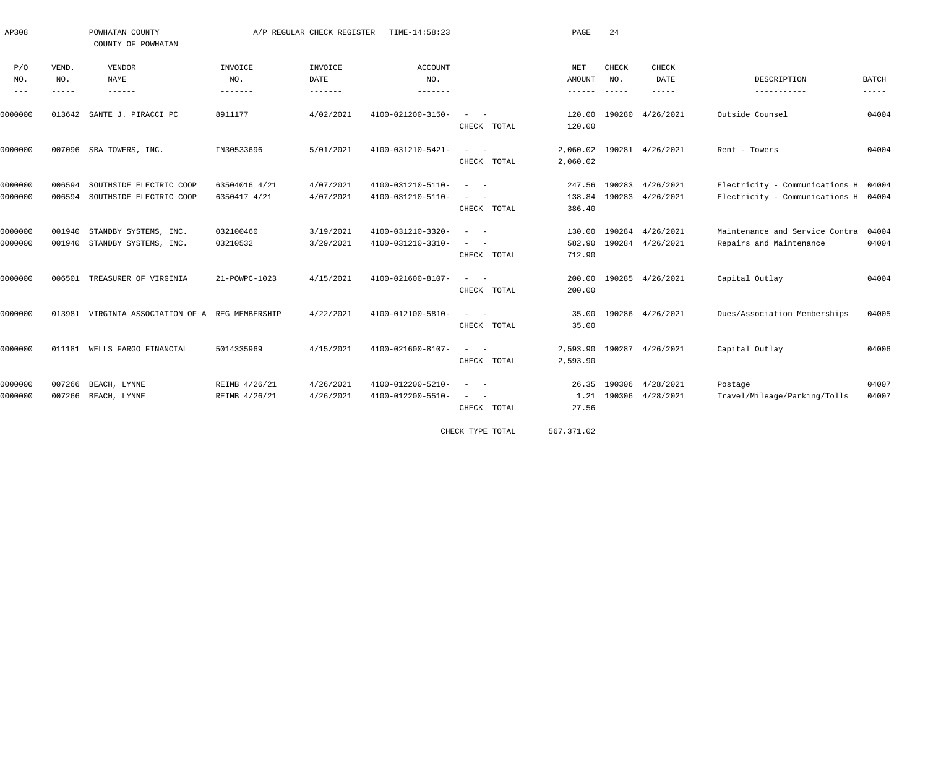| AP308                 |                             | POWHATAN COUNTY<br>COUNTY OF POWHATAN              |                                | A/P REGULAR CHECK REGISTER | TIME-14:58:23                          |                                                                      | PAGE                            | 24                            |                                             |                                                                              |                             |
|-----------------------|-----------------------------|----------------------------------------------------|--------------------------------|----------------------------|----------------------------------------|----------------------------------------------------------------------|---------------------------------|-------------------------------|---------------------------------------------|------------------------------------------------------------------------------|-----------------------------|
| P/O<br>NO.<br>$- - -$ | VEND.<br>NO.<br>$- - - - -$ | VENDOR<br>NAME<br>$- - - - - - -$                  | INVOICE<br>NO.<br>--------     | INVOICE<br>DATE            | ACCOUNT<br>NO.<br>$- - - - - - -$      |                                                                      | NET<br><b>AMOUNT</b><br>------- | CHECK<br>NO.<br>$- - - - - -$ | <b>CHECK</b><br>DATE<br>$- - - - - -$       | DESCRIPTION<br>-----------                                                   | <b>BATCH</b><br>$- - - - -$ |
| 0000000               | 013642                      | SANTE J. PIRACCI PC                                | 8911177                        | 4/02/2021                  | 4100-021200-3150-                      | $\sim$ 100 $\sim$ 100 $\sim$<br>CHECK TOTAL                          | 120.00<br>120.00                | 190280                        | 4/26/2021                                   | Outside Counsel                                                              | 04004                       |
| 0000000               |                             | 007096 SBA TOWERS, INC.                            | IN30533696                     | 5/01/2021                  | 4100-031210-5421-                      | $\frac{1}{2}$ , and $\frac{1}{2}$ , and $\frac{1}{2}$<br>CHECK TOTAL | 2,060.02                        |                               | 2,060.02 190281 4/26/2021                   | Rent - Towers                                                                | 04004                       |
| 0000000<br>0000000    | 006594<br>006594            | SOUTHSIDE ELECTRIC COOP<br>SOUTHSIDE ELECTRIC COOP | 63504016 4/21<br>6350417 4/21  | 4/07/2021<br>4/07/2021     | 4100-031210-5110-<br>4100-031210-5110- | $\sim$<br>$\sim$ $-$<br>$\sim$ 100 $\sim$ 100 $\sim$<br>CHECK TOTAL  | 138.84<br>386.40                |                               | 247.56 190283 4/26/2021<br>190283 4/26/2021 | Electricity - Communications H 04004<br>Electricity - Communications H 04004 |                             |
| 0000000<br>0000000    | 001940<br>001940            | STANDBY SYSTEMS, INC.<br>STANDBY SYSTEMS, INC.     | 032100460<br>03210532          | 3/19/2021<br>3/29/2021     | 4100-031210-3320-<br>4100-031210-3310- | $\overline{\phantom{a}}$<br>$\sim$<br>$\sim$                         | 582.90                          |                               | 130.00 190284 4/26/2021<br>190284 4/26/2021 | Maintenance and Service Contra<br>Repairs and Maintenance                    | 04004<br>04004              |
| 0000000               | 006501                      | TREASURER OF VIRGINIA                              | 21-POWPC-1023                  | 4/15/2021                  | 4100-021600-8107-                      | CHECK TOTAL<br>$\sim$<br>$\sim$<br>CHECK TOTAL                       | 712.90<br>200.00<br>200.00      |                               | 190285 4/26/2021                            | Capital Outlay                                                               | 04004                       |
| 0000000               | 013981                      | VIRGINIA ASSOCIATION OF A REG MEMBERSHIP           |                                | 4/22/2021                  | 4100-012100-5810-                      | $\sim$<br>CHECK TOTAL                                                | 35.00<br>35.00                  |                               | 190286 4/26/2021                            | Dues/Association Memberships                                                 | 04005                       |
| 0000000               | 011181                      | WELLS FARGO FINANCIAL                              | 5014335969                     | 4/15/2021                  | 4100-021600-8107-                      | $\frac{1}{2}$ and $\frac{1}{2}$ and $\frac{1}{2}$<br>CHECK TOTAL     | 2,593.90                        |                               | 2,593.90 190287 4/26/2021                   | Capital Outlay                                                               | 04006                       |
| 0000000<br>0000000    | 007266<br>007266            | BEACH, LYNNE<br>BEACH, LYNNE                       | REIMB 4/26/21<br>REIMB 4/26/21 | 4/26/2021<br>4/26/2021     | 4100-012200-5210-<br>4100-012200-5510- | $\sim$<br>$\sim$<br>$\sim$<br>CHECK TOTAL                            | 1.21<br>27.56                   |                               | 26.35 190306 4/28/2021<br>190306 4/28/2021  | Postage<br>Travel/Mileage/Parking/Tolls                                      | 04007<br>04007              |

CHECK TYPE TOTAL 567,371.02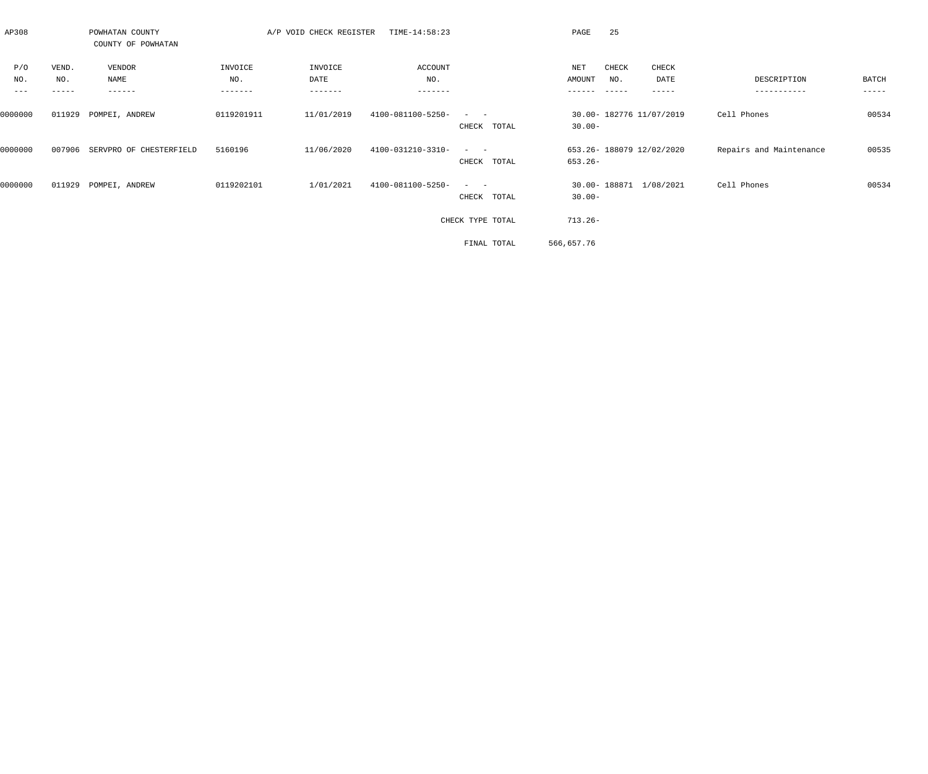| AP308              |                       | POWHATAN COUNTY<br>COUNTY OF POWHATAN |                           | A/P VOID CHECK REGISTER    | TIME-14:58:23             |                             | 25<br>PAGE                            |                        |                            |                |
|--------------------|-----------------------|---------------------------------------|---------------------------|----------------------------|---------------------------|-----------------------------|---------------------------------------|------------------------|----------------------------|----------------|
| P/O<br>NO.<br>$--$ | VEND.<br>NO.<br>----- | VENDOR<br>NAME<br>------              | INVOICE<br>NO.<br>------- | INVOICE<br>DATE<br>------- | ACCOUNT<br>NO.<br>------- |                             | CHECK<br>NET<br>AMOUNT<br>NO.         | CHECK<br>DATE<br>----- | DESCRIPTION<br>----------- | BATCH<br>----- |
| 0000000            | 011929                | POMPEI, ANDREW                        | 0119201911                | 11/01/2019                 | 4100-081100-5250-         | $\sim$ $  -$<br>CHECK TOTAL | 30.00- 182776 11/07/2019<br>$30.00 -$ |                        | Cell Phones                | 00534          |
| 0000000            | 007906                | SERVPRO OF CHESTERFIELD               | 5160196                   | 11/06/2020                 | 4100-031210-3310-         | $\sim$ $  -$<br>CHECK TOTAL | 653.26- 188079 12/02/2020<br>653.26-  |                        | Repairs and Maintenance    | 00535          |
| 0000000            | 011929                | POMPEI, ANDREW                        | 0119202101                | 1/01/2021                  | 4100-081100-5250-         | $\sim$ $  -$<br>CHECK TOTAL | 30.00-188871 1/08/2021<br>$30.00 -$   |                        | Cell Phones                | 00534          |
|                    |                       |                                       |                           |                            |                           | CHECK TYPE TOTAL            | $713.26-$                             |                        |                            |                |
|                    |                       |                                       |                           |                            |                           | FINAL TOTAL                 | 566,657.76                            |                        |                            |                |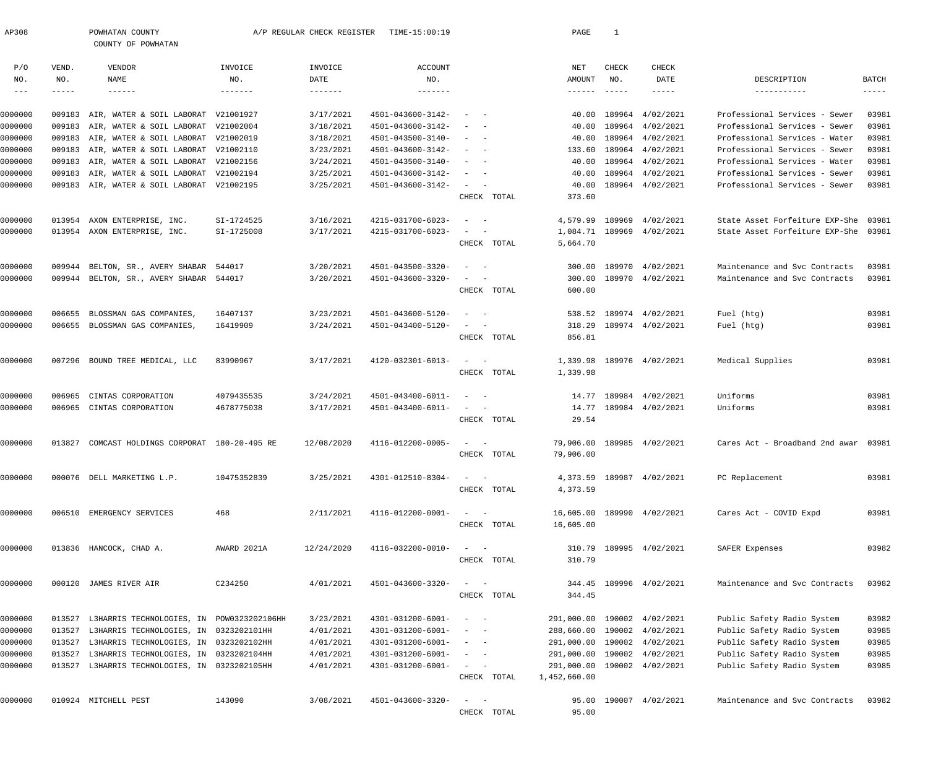| AP308      |             | POWHATAN COUNTY<br>COUNTY OF POWHATAN         |                 | A/P REGULAR CHECK REGISTER | TIME-15:00:19     |                              |             | PAGE                   | 1             |                           |                                |             |
|------------|-------------|-----------------------------------------------|-----------------|----------------------------|-------------------|------------------------------|-------------|------------------------|---------------|---------------------------|--------------------------------|-------------|
|            |             |                                               |                 |                            |                   |                              |             |                        |               |                           |                                |             |
| P/O        | VEND.       | VENDOR                                        | INVOICE         | INVOICE                    | ACCOUNT           |                              |             | NET                    | CHECK         | CHECK                     |                                |             |
| NO.        | NO.         | <b>NAME</b>                                   | NO.             | DATE                       | NO.               |                              |             | AMOUNT                 | NO.           | DATE                      | DESCRIPTION                    | BATCH       |
| $--\,$ $-$ | $- - - - -$ | $- - - - - - -$                               | $- - - - - - -$ | $- - - - - - - -$          |                   |                              |             | $- - - - - - -$        | $- - - - - -$ | $- - - - - -$             | -----------                    | $- - - - -$ |
| 0000000    | 009183      | AIR, WATER & SOIL LABORAT V21001927           |                 | 3/17/2021                  | 4501-043600-3142- |                              |             | 40.00                  | 189964        | 4/02/2021                 | Professional Services - Sewer  | 03981       |
| 0000000    | 009183      | AIR, WATER & SOIL LABORAT V21002004           |                 | 3/18/2021                  | 4501-043600-3142- |                              |             | 40.00                  | 189964        | 4/02/2021                 | Professional Services - Sewer  | 03981       |
| 0000000    | 009183      | AIR, WATER & SOIL LABORAT V21002019           |                 | 3/18/2021                  | 4501-043500-3140- |                              |             | 40.00                  | 189964        | 4/02/2021                 | Professional Services - Water  | 03981       |
| 0000000    | 009183      | AIR, WATER & SOIL LABORAT V21002110           |                 | 3/23/2021                  | 4501-043600-3142- |                              |             | 133.60                 |               | 189964 4/02/2021          | Professional Services - Sewer  | 03981       |
| 0000000    | 009183      | AIR, WATER & SOIL LABORAT V21002156           |                 | 3/24/2021                  | 4501-043500-3140- |                              |             | 40.00                  |               | 189964 4/02/2021          | Professional Services - Water  | 03981       |
| 0000000    | 009183      | AIR, WATER & SOIL LABORAT V21002194           |                 | 3/25/2021                  | 4501-043600-3142- |                              |             | 40.00                  |               | 189964 4/02/2021          | Professional Services - Sewer  | 03981       |
| 0000000    |             | 009183 AIR, WATER & SOIL LABORAT V21002195    |                 | 3/25/2021                  | 4501-043600-3142- | $\sim$                       |             | 40.00                  |               | 189964 4/02/2021          | Professional Services - Sewer  | 03981       |
|            |             |                                               |                 |                            |                   |                              | CHECK TOTAL | 373.60                 |               |                           |                                |             |
| 0000000    | 013954      | AXON ENTERPRISE, INC.                         | SI-1724525      | 3/16/2021                  | 4215-031700-6023- | $\overline{\phantom{a}}$     |             | 4,579.99               | 189969        | 4/02/2021                 | State Asset Forfeiture EXP-She | 03981       |
| 0000000    |             | 013954 AXON ENTERPRISE, INC.                  | SI-1725008      | 3/17/2021                  | 4215-031700-6023- |                              |             |                        |               | 1,084.71 189969 4/02/2021 | State Asset Forfeiture EXP-She | 03981       |
|            |             |                                               |                 |                            |                   |                              | CHECK TOTAL | 5,664.70               |               |                           |                                |             |
| 0000000    | 009944      | BELTON, SR., AVERY SHABAR 544017              |                 | 3/20/2021                  | 4501-043500-3320- | $\sim$                       |             | 300.00                 | 189970        | 4/02/2021                 | Maintenance and Svc Contracts  | 03981       |
| 0000000    |             | 009944 BELTON, SR., AVERY SHABAR 544017       |                 | 3/20/2021                  | 4501-043600-3320- |                              |             | 300.00                 |               | 189970 4/02/2021          | Maintenance and Svc Contracts  | 03981       |
|            |             |                                               |                 |                            |                   |                              | CHECK TOTAL | 600.00                 |               |                           |                                |             |
| 0000000    | 006655      | BLOSSMAN GAS COMPANIES,                       | 16407137        | 3/23/2021                  | 4501-043600-5120- |                              |             | 538.52                 |               | 189974 4/02/2021          | Fuel (htg)                     | 03981       |
| 0000000    |             | 006655 BLOSSMAN GAS COMPANIES,                | 16419909        | 3/24/2021                  | 4501-043400-5120- |                              |             | 318.29                 |               | 189974 4/02/2021          | Fuel (htg)                     | 03981       |
|            |             |                                               |                 |                            |                   |                              | CHECK TOTAL | 856.81                 |               |                           |                                |             |
|            |             |                                               |                 |                            |                   |                              |             |                        |               |                           |                                |             |
| 0000000    |             | 007296 BOUND TREE MEDICAL, LLC                | 83990967        | 3/17/2021                  | 4120-032301-6013- | $\sim$                       | CHECK TOTAL | 1,339.98               |               | 1,339.98 189976 4/02/2021 | Medical Supplies               | 03981       |
|            |             |                                               |                 |                            |                   |                              |             |                        |               |                           |                                |             |
| 0000000    | 006965      | CINTAS CORPORATION                            | 4079435535      | 3/24/2021                  | 4501-043400-6011- |                              |             |                        |               | 14.77 189984 4/02/2021    | Uniforms                       | 03981       |
| 0000000    |             | 006965 CINTAS CORPORATION                     | 4678775038      | 3/17/2021                  | 4501-043400-6011- |                              |             |                        |               | 14.77 189984 4/02/2021    | Uniforms                       | 03981       |
|            |             |                                               |                 |                            |                   |                              | CHECK TOTAL | 29.54                  |               |                           |                                |             |
| 0000000    | 013827      | COMCAST HOLDINGS CORPORAT 180-20-495 RE       |                 | 12/08/2020                 | 4116-012200-0005- |                              |             | 79,906.00              |               | 189985 4/02/2021          | Cares Act - Broadband 2nd awar | 03981       |
|            |             |                                               |                 |                            |                   |                              | CHECK TOTAL | 79,906.00              |               |                           |                                |             |
| 0000000    |             | 000076 DELL MARKETING L.P.                    | 10475352839     | 3/25/2021                  | 4301-012510-8304- | $\sim$ $ -$                  |             |                        |               | 4,373.59 189987 4/02/2021 | PC Replacement                 | 03981       |
|            |             |                                               |                 |                            |                   |                              | CHECK TOTAL | 4,373.59               |               |                           |                                |             |
|            |             |                                               |                 | 2/11/2021                  | 4116-012200-0001- |                              |             |                        |               |                           |                                | 03981       |
| 0000000    |             | 006510 EMERGENCY SERVICES                     | 468             |                            |                   | $\sim$ $-$<br>$\sim$         | CHECK TOTAL | 16,605.00<br>16,605.00 |               | 189990 4/02/2021          | Cares Act - COVID Expd         |             |
|            |             |                                               |                 |                            |                   |                              |             |                        |               |                           |                                |             |
| 0000000    |             | 013836 HANCOCK, CHAD A.                       | AWARD 2021A     | 12/24/2020                 | 4116-032200-0010- | $\sim$ $-$<br>$\sim$         |             | 310.79                 |               | 189995 4/02/2021          | SAFER Expenses                 | 03982       |
|            |             |                                               |                 |                            |                   |                              | CHECK TOTAL | 310.79                 |               |                           |                                |             |
| 0000000    |             | 000120 JAMES RIVER AIR                        | C234250         | 4/01/2021                  | 4501-043600-3320- | $\sim$ $-$                   |             |                        |               | 344.45 189996 4/02/2021   | Maintenance and Svc Contracts  | 03982       |
|            |             |                                               |                 |                            |                   |                              | CHECK TOTAL | 344.45                 |               |                           |                                |             |
| 0000000    | 013527      | L3HARRIS TECHNOLOGIES, IN POW0323202106HH     |                 | 3/23/2021                  | 4301-031200-6001- | $\sim$<br>$\sim$ $-$         |             | 291,000.00             |               | 190002 4/02/2021          | Public Safety Radio System     | 03982       |
| 0000000    | 013527      | L3HARRIS TECHNOLOGIES, IN 0323202101HH        |                 | 4/01/2021                  | 4301-031200-6001- | $\sim$ 100 $\sim$ $-$        |             | 288,660.00             |               | 190002 4/02/2021          | Public Safety Radio System     | 03985       |
| 0000000    | 013527      | L3HARRIS TECHNOLOGIES, IN 0323202102HH        |                 | 4/01/2021                  | 4301-031200-6001- | $\alpha = 1, \ldots, \alpha$ |             | 291,000.00             |               | 190002 4/02/2021          | Public Safety Radio System     | 03985       |
| 0000000    | 013527      | L3HARRIS TECHNOLOGIES, IN 0323202104HH        |                 | 4/01/2021                  | 4301-031200-6001- | $\alpha = 1, \ldots, \alpha$ |             | 291,000.00             |               | 190002 4/02/2021          | Public Safety Radio System     | 03985       |
| 0000000    |             | 013527 L3HARRIS TECHNOLOGIES, IN 0323202105HH |                 | 4/01/2021                  | 4301-031200-6001- | $\alpha = 1, \ldots, \alpha$ |             | 291,000.00             |               | 190002 4/02/2021          | Public Safety Radio System     | 03985       |
|            |             |                                               |                 |                            |                   |                              | CHECK TOTAL | 1,452,660.00           |               |                           |                                |             |
| 0000000    |             | 010924 MITCHELL PEST                          | 143090          | 3/08/2021                  | 4501-043600-3320- | $\sim$                       |             | 95.00                  |               | 190007 4/02/2021          | Maintenance and Svc Contracts  | 03982       |
|            |             |                                               |                 |                            |                   |                              | CHECK TOTAL | 95.00                  |               |                           |                                |             |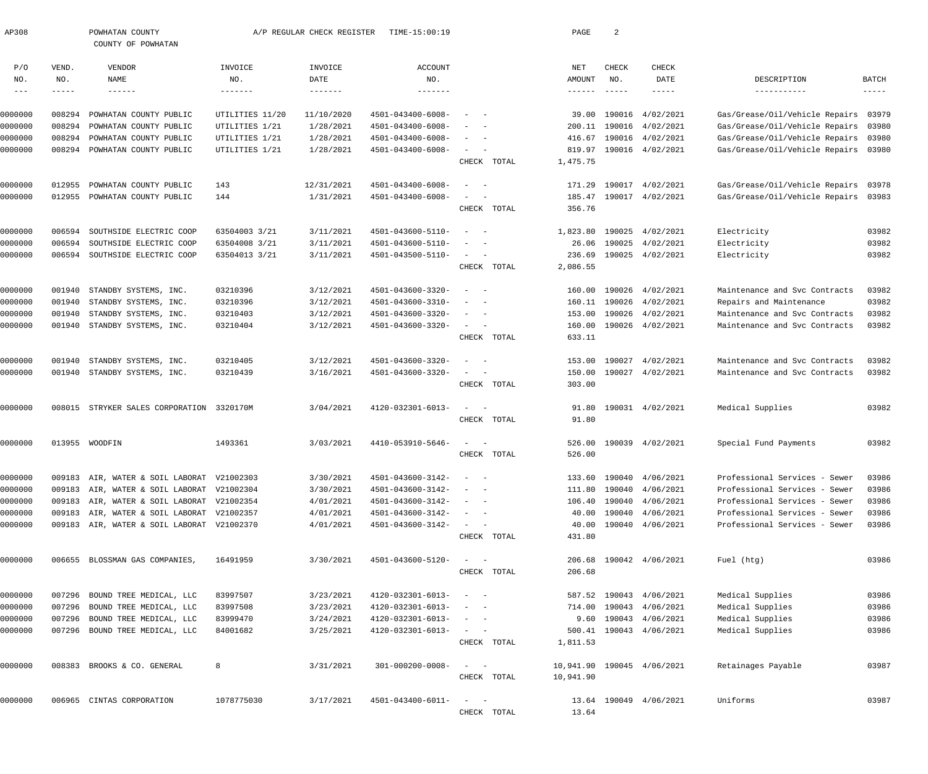| AP308               |        | POWHATAN COUNTY<br>COUNTY OF POWHATAN      |                 | A/P REGULAR CHECK REGISTER | TIME-15:00:19           |                                                   |             | PAGE          | $\overline{2}$ |                            |                                |             |
|---------------------|--------|--------------------------------------------|-----------------|----------------------------|-------------------------|---------------------------------------------------|-------------|---------------|----------------|----------------------------|--------------------------------|-------------|
| P/O                 | VEND.  | VENDOR                                     | INVOICE         | INVOICE                    | <b>ACCOUNT</b>          |                                                   |             | NET           | CHECK          | CHECK                      |                                |             |
| NO.                 | NO.    | NAME                                       | NO.             | DATE                       | NO.                     |                                                   |             | <b>AMOUNT</b> | NO.            | DATE                       | DESCRIPTION                    | BATCH       |
| $\qquad \qquad - -$ |        | ------                                     | -------         | -------                    | -------                 |                                                   |             | -------       |                | -----                      |                                | $--- - - -$ |
| 0000000             | 008294 | POWHATAN COUNTY PUBLIC                     | UTILITIES 11/20 | 11/10/2020                 | 4501-043400-6008-       |                                                   |             | 39.00         | 190016         | 4/02/2021                  | Gas/Grease/Oil/Vehicle Repairs | 03979       |
| 0000000             | 008294 | POWHATAN COUNTY PUBLIC                     | UTILITIES 1/21  | 1/28/2021                  | 4501-043400-6008-       |                                                   |             | 200.11        | 190016         | 4/02/2021                  | Gas/Grease/Oil/Vehicle Repairs | 03980       |
| 0000000             | 008294 | POWHATAN COUNTY PUBLIC                     | UTILITIES 1/21  | 1/28/2021                  | 4501-043400-6008-       |                                                   |             | 416.67        | 190016         | 4/02/2021                  | Gas/Grease/Oil/Vehicle Repairs | 03980       |
| 0000000             | 008294 | POWHATAN COUNTY PUBLIC                     | UTILITIES 1/21  | 1/28/2021                  | 4501-043400-6008-       |                                                   |             | 819.97        |                | 190016 4/02/2021           | Gas/Grease/Oil/Vehicle Repairs | 03980       |
|                     |        |                                            |                 |                            |                         |                                                   | CHECK TOTAL | 1,475.75      |                |                            |                                |             |
| 0000000             | 012955 | POWHATAN COUNTY PUBLIC                     | 143             | 12/31/2021                 | 4501-043400-6008-       |                                                   |             | 171.29        | 190017         | 4/02/2021                  | Gas/Grease/Oil/Vehicle Repairs | 03978       |
| 0000000             | 012955 | POWHATAN COUNTY PUBLIC                     | 144             | 1/31/2021                  | 4501-043400-6008-       |                                                   |             | 185.47        |                | 190017 4/02/2021           | Gas/Grease/Oil/Vehicle Repairs | 03983       |
|                     |        |                                            |                 |                            |                         |                                                   | CHECK TOTAL | 356.76        |                |                            |                                |             |
| 0000000             | 006594 | SOUTHSIDE ELECTRIC COOP                    | 63504003 3/21   | 3/11/2021                  | 4501-043600-5110-       |                                                   |             | 1,823.80      | 190025         | 4/02/2021                  | Electricity                    | 03982       |
| 0000000             | 006594 | SOUTHSIDE ELECTRIC COOP                    | 63504008 3/21   | 3/11/2021                  | 4501-043600-5110-       |                                                   |             | 26.06         | 190025         | 4/02/2021                  | Electricity                    | 03982       |
| 0000000             | 006594 | SOUTHSIDE ELECTRIC COOP                    | 63504013 3/21   | 3/11/2021                  | 4501-043500-5110-       | $\sim$                                            |             | 236.69        | 190025         | 4/02/2021                  | Electricity                    | 03982       |
|                     |        |                                            |                 |                            |                         |                                                   | CHECK TOTAL | 2,086.55      |                |                            |                                |             |
| 0000000             | 001940 | STANDBY SYSTEMS, INC.                      | 03210396        | 3/12/2021                  | 4501-043600-3320-       |                                                   |             | 160.00        | 190026         | 4/02/2021                  | Maintenance and Svc Contracts  | 03982       |
| 0000000             | 001940 | STANDBY SYSTEMS, INC.                      | 03210396        | 3/12/2021                  | 4501-043600-3310-       |                                                   |             | 160.11        | 190026         | 4/02/2021                  | Repairs and Maintenance        | 03982       |
| 0000000             | 001940 | STANDBY SYSTEMS, INC.                      | 03210403        | 3/12/2021                  | 4501-043600-3320-       |                                                   |             | 153.00        | 190026         | 4/02/2021                  | Maintenance and Svc Contracts  | 03982       |
| 0000000             | 001940 | STANDBY SYSTEMS, INC.                      | 03210404        | 3/12/2021                  | 4501-043600-3320-       | $\sim$                                            |             | 160.00        |                | 190026 4/02/2021           | Maintenance and Svc Contracts  | 03982       |
|                     |        |                                            |                 |                            |                         |                                                   | CHECK TOTAL | 633.11        |                |                            |                                |             |
| 0000000             | 001940 | STANDBY SYSTEMS, INC.                      | 03210405        | 3/12/2021                  | 4501-043600-3320-       |                                                   |             | 153.00        | 190027         | 4/02/2021                  | Maintenance and Svc Contracts  | 03982       |
| 0000000             | 001940 | STANDBY SYSTEMS, INC.                      | 03210439        | 3/16/2021                  | 4501-043600-3320-       |                                                   |             | 150.00        | 190027         | 4/02/2021                  | Maintenance and Svc Contracts  | 03982       |
|                     |        |                                            |                 |                            |                         |                                                   | CHECK TOTAL | 303.00        |                |                            |                                |             |
| 0000000             | 008015 | STRYKER SALES CORPORATION 3320170M         |                 | 3/04/2021                  | 4120-032301-6013-       | $\sim$                                            |             | 91.80         |                | 190031 4/02/2021           | Medical Supplies               | 03982       |
|                     |        |                                            |                 |                            |                         |                                                   | CHECK TOTAL | 91.80         |                |                            |                                |             |
| 0000000             |        | 013955 WOODFIN                             | 1493361         | 3/03/2021                  | 4410-053910-5646-       |                                                   |             | 526.00        |                | 190039 4/02/2021           | Special Fund Payments          | 03982       |
|                     |        |                                            |                 |                            |                         |                                                   | CHECK TOTAL | 526.00        |                |                            |                                |             |
| 0000000             |        | 009183 AIR, WATER & SOIL LABORAT V21002303 |                 | 3/30/2021                  | 4501-043600-3142-       |                                                   |             |               |                | 133.60 190040 4/06/2021    | Professional Services - Sewer  | 03986       |
| 0000000             | 009183 | AIR, WATER & SOIL LABORAT V21002304        |                 | 3/30/2021                  | 4501-043600-3142-       |                                                   |             | 111.80        | 190040         | 4/06/2021                  | Professional Services - Sewer  | 03986       |
| 0000000             |        | 009183 AIR, WATER & SOIL LABORAT V21002354 |                 | 4/01/2021                  | 4501-043600-3142-       |                                                   |             | 106.40        | 190040         | 4/06/2021                  | Professional Services - Sewer  | 03986       |
| 0000000             |        | 009183 AIR, WATER & SOIL LABORAT V21002357 |                 | 4/01/2021                  | 4501-043600-3142-       |                                                   |             | 40.00         | 190040         | 4/06/2021                  | Professional Services - Sewer  | 03986       |
| 0000000             |        | 009183 AIR, WATER & SOIL LABORAT V21002370 |                 | 4/01/2021                  | 4501-043600-3142-       | $\sim$ 100 $\sim$ 100 $\sim$                      |             | 40.00         |                | 190040 4/06/2021           | Professional Services - Sewer  | 03986       |
|                     |        |                                            |                 |                            |                         |                                                   | CHECK TOTAL | 431.80        |                |                            |                                |             |
| 0000000             |        | 006655 BLOSSMAN GAS COMPANIES,             | 16491959        | 3/30/2021                  | 4501-043600-5120-       | $\sim$ $  -$                                      |             |               |                | 206.68 190042 4/06/2021    | Fuel (htg)                     | 03986       |
|                     |        |                                            |                 |                            |                         |                                                   | CHECK TOTAL | 206.68        |                |                            |                                |             |
| 0000000             | 007296 | BOUND TREE MEDICAL, LLC                    | 83997507        | 3/23/2021                  | 4120-032301-6013-       |                                                   |             |               |                | 587.52 190043 4/06/2021    | Medical Supplies               | 03986       |
| 0000000             | 007296 | BOUND TREE MEDICAL, LLC                    | 83997508        | 3/23/2021                  | 4120-032301-6013-       |                                                   |             | 714.00        |                | 190043 4/06/2021           | Medical Supplies               | 03986       |
| 0000000             | 007296 | BOUND TREE MEDICAL, LLC                    | 83999470        | 3/24/2021                  | 4120-032301-6013-       |                                                   |             | 9.60          |                | 190043 4/06/2021           | Medical Supplies               | 03986       |
| 0000000             |        | 007296 BOUND TREE MEDICAL, LLC             | 84001682        | 3/25/2021                  | 4120-032301-6013-       | $\sim$ $  -$                                      |             | 500.41        |                | 190043 4/06/2021           | Medical Supplies               | 03986       |
|                     |        |                                            |                 |                            |                         |                                                   | CHECK TOTAL | 1,811.53      |                |                            |                                |             |
| 0000000             |        | 008383 BROOKS & CO. GENERAL                | 8               | 3/31/2021                  | $301 - 000200 - 0008 -$ | $\sim$ $  -$                                      |             |               |                | 10,941.90 190045 4/06/2021 | Retainages Payable             | 03987       |
|                     |        |                                            |                 |                            |                         |                                                   | CHECK TOTAL | 10,941.90     |                |                            |                                |             |
| 0000000             |        | 006965 CINTAS CORPORATION                  | 1078775030      | 3/17/2021                  | 4501-043400-6011-       | $\frac{1}{2}$ and $\frac{1}{2}$ and $\frac{1}{2}$ |             |               |                | 13.64 190049 4/06/2021     | Uniforms                       | 03987       |
|                     |        |                                            |                 |                            |                         |                                                   | CHECK TOTAL | 13.64         |                |                            |                                |             |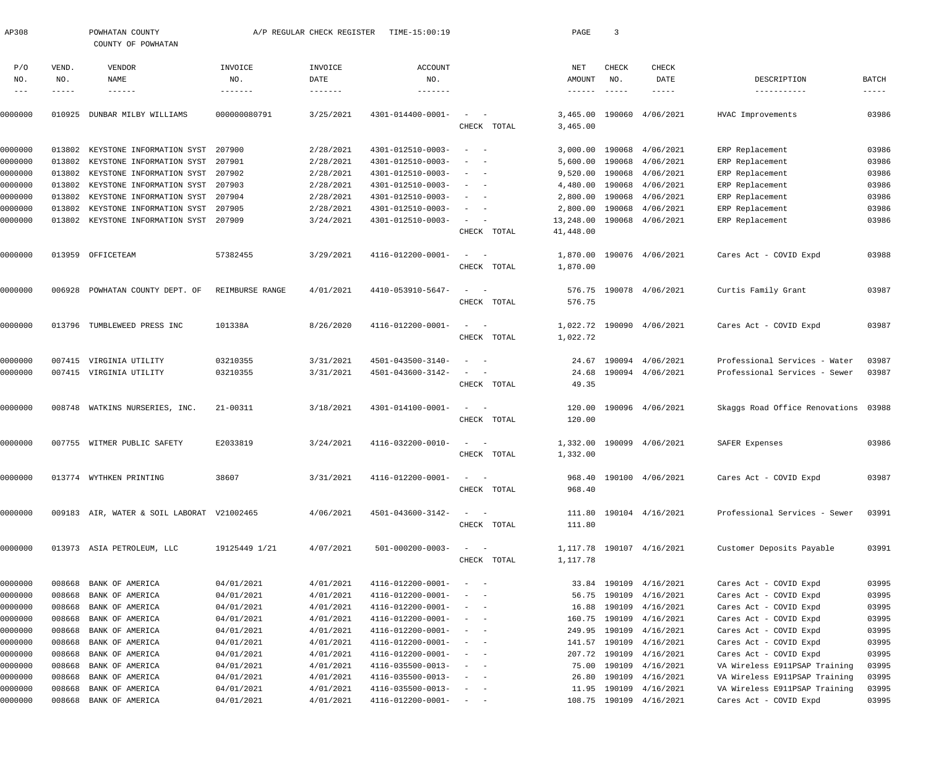| AP308         |        | POWHATAN COUNTY<br>COUNTY OF POWHATAN      |                 | A/P REGULAR CHECK REGISTER | TIME-15:00:19                |                                                                           | PAGE                 | $\overline{3}$ |                            |                                |                |
|---------------|--------|--------------------------------------------|-----------------|----------------------------|------------------------------|---------------------------------------------------------------------------|----------------------|----------------|----------------------------|--------------------------------|----------------|
| P/O           | VEND.  | VENDOR                                     | INVOICE         | INVOICE                    | <b>ACCOUNT</b>               |                                                                           | NET                  | CHECK          | CHECK                      |                                |                |
| NO.           | NO.    | NAME                                       | NO.             | DATE                       | NO.                          |                                                                           | AMOUNT               | NO.            | DATE                       | DESCRIPTION                    | BATCH          |
| $\frac{1}{2}$ | -----  | $- - - - - - -$                            | --------        |                            | -------                      |                                                                           | $- - - - - - -$      | $- - - - - -$  | -----                      | -----------                    | $- - - - -$    |
| 0000000       | 010925 | DUNBAR MILBY WILLIAMS                      | 000000080791    | 3/25/2021                  | 4301-014400-0001-            | $\sim$<br>CHECK TOTAL                                                     | 3,465.00<br>3,465.00 |                | 190060 4/06/2021           | HVAC Improvements              | 03986          |
|               |        |                                            |                 |                            |                              |                                                                           |                      |                |                            |                                |                |
| 0000000       | 013802 | KEYSTONE INFORMATION SYST 207900           |                 | 2/28/2021                  | 4301-012510-0003-            | $\overline{\phantom{a}}$                                                  | 3,000.00             | 190068         | 4/06/2021                  | ERP Replacement                | 03986          |
| 0000000       | 013802 | KEYSTONE INFORMATION SYST 207901           |                 | 2/28/2021                  | 4301-012510-0003-            |                                                                           | 5,600.00             | 190068         | 4/06/2021                  | ERP Replacement                | 03986          |
| 0000000       | 013802 | KEYSTONE INFORMATION SYST 207902           |                 | 2/28/2021                  | 4301-012510-0003-            | $\overline{\phantom{0}}$                                                  | 9,520.00             | 190068         | 4/06/2021                  | ERP Replacement                | 03986          |
| 0000000       | 013802 | KEYSTONE INFORMATION SYST 207903           |                 | 2/28/2021                  | 4301-012510-0003-            |                                                                           | 4,480.00             | 190068         | 4/06/2021                  | ERP Replacement                | 03986          |
| 0000000       | 013802 | KEYSTONE INFORMATION SYST 207904           |                 | 2/28/2021                  | 4301-012510-0003-            |                                                                           | 2,800.00             | 190068         | 4/06/2021                  | ERP Replacement                | 03986          |
| 0000000       | 013802 | KEYSTONE INFORMATION SYST 207905           |                 | 2/28/2021                  | 4301-012510-0003-            | $\overline{\phantom{0}}$                                                  | 2,800.00             | 190068         | 4/06/2021                  | ERP Replacement                | 03986          |
| 0000000       | 013802 | KEYSTONE INFORMATION SYST 207909           |                 | 3/24/2021                  | 4301-012510-0003-            | $\overline{\phantom{0}}$                                                  | 13,248.00            | 190068         | 4/06/2021                  | ERP Replacement                | 03986          |
|               |        |                                            |                 |                            |                              | CHECK TOTAL                                                               | 41,448.00            |                |                            |                                |                |
| 0000000       |        | 013959 OFFICETEAM                          | 57382455        | 3/29/2021                  | 4116-012200-0001-            | $\sim$                                                                    | 1,870.00             |                | 190076 4/06/2021           | Cares Act - COVID Expd         | 03988          |
|               |        |                                            |                 |                            |                              | CHECK TOTAL                                                               | 1,870.00             |                |                            |                                |                |
|               |        |                                            |                 |                            |                              |                                                                           |                      |                |                            |                                |                |
| 0000000       | 006928 | POWHATAN COUNTY DEPT. OF                   | REIMBURSE RANGE | 4/01/2021                  | 4410-053910-5647-            | $\sim$                                                                    |                      |                | 576.75 190078 4/06/2021    | Curtis Family Grant            | 03987          |
|               |        |                                            |                 |                            |                              | CHECK TOTAL                                                               | 576.75               |                |                            |                                |                |
| 0000000       |        | 013796 TUMBLEWEED PRESS INC                | 101338A         | 8/26/2020                  | 4116-012200-0001-            | $\sim$ .                                                                  |                      |                | 1,022.72 190090 4/06/2021  | Cares Act - COVID Expd         | 03987          |
|               |        |                                            |                 |                            |                              | CHECK TOTAL                                                               | 1,022.72             |                |                            |                                |                |
|               |        |                                            |                 |                            |                              |                                                                           |                      |                |                            |                                |                |
| 0000000       | 007415 | VIRGINIA UTILITY                           | 03210355        | 3/31/2021                  | 4501-043500-3140-            | $\overline{\phantom{a}}$                                                  | 24.67                |                | 190094 4/06/2021           | Professional Services - Water  | 03987          |
| 0000000       |        | 007415 VIRGINIA UTILITY                    | 03210355        | 3/31/2021                  | 4501-043600-3142-            | $\overline{\phantom{a}}$                                                  | 24.68                |                | 190094 4/06/2021           | Professional Services - Sewer  | 03987          |
|               |        |                                            |                 |                            |                              | CHECK TOTAL                                                               | 49.35                |                |                            |                                |                |
| 0000000       |        | 008748 WATKINS NURSERIES, INC.             | 21-00311        | 3/18/2021                  | 4301-014100-0001-            | $\frac{1}{2}$ and $\frac{1}{2}$ and $\frac{1}{2}$                         | 120.00               |                | 190096 4/06/2021           | Skaggs Road Office Renovations | 03988          |
|               |        |                                            |                 |                            |                              | CHECK TOTAL                                                               | 120.00               |                |                            |                                |                |
|               |        |                                            |                 |                            |                              |                                                                           |                      |                |                            |                                |                |
| 0000000       |        | 007755 WITMER PUBLIC SAFETY                | E2033819        | 3/24/2021                  | 4116-032200-0010-            | $\sim$                                                                    | 1,332.00             |                | 190099 4/06/2021           | SAFER Expenses                 | 03986          |
|               |        |                                            |                 |                            |                              | CHECK TOTAL                                                               | 1,332.00             |                |                            |                                |                |
| 0000000       |        | 013774 WYTHKEN PRINTING                    | 38607           | 3/31/2021                  | 4116-012200-0001-            | $\mathcal{L} = \{ \mathcal{L} \}$ , and $\mathcal{L} = \{ \mathcal{L} \}$ |                      |                | 968.40 190100 4/06/2021    | Cares Act - COVID Expd         | 03987          |
|               |        |                                            |                 |                            |                              | CHECK TOTAL                                                               | 968.40               |                |                            |                                |                |
|               |        |                                            |                 |                            |                              |                                                                           |                      |                |                            |                                |                |
| 0000000       |        | 009183 AIR, WATER & SOIL LABORAT V21002465 |                 | 4/06/2021                  | 4501-043600-3142-            | $\frac{1}{2}$ and $\frac{1}{2}$ and $\frac{1}{2}$                         |                      |                | 111.80 190104 4/16/2021    | Professional Services - Sewer  | 03991          |
|               |        |                                            |                 |                            |                              | CHECK TOTAL                                                               | 111.80               |                |                            |                                |                |
| 0000000       |        | 013973 ASIA PETROLEUM, LLC                 | 19125449 1/21   | 4/07/2021                  | $501 - 000200 - 0003 -$      | $\frac{1}{2}$ and $\frac{1}{2}$ and $\frac{1}{2}$                         |                      |                | 1, 117.78 190107 4/16/2021 | Customer Deposits Payable      | 03991          |
|               |        |                                            |                 |                            |                              | CHECK TOTAL                                                               | 1,117.78             |                |                            |                                |                |
|               |        |                                            |                 |                            |                              |                                                                           |                      |                |                            |                                |                |
| 0000000       | 008668 | BANK OF AMERICA                            | 04/01/2021      | 4/01/2021                  | 4116-012200-0001-            | $\sim$ $ -$                                                               |                      |                | 33.84 190109 4/16/2021     | Cares Act - COVID Expd         | 03995          |
| 0000000       | 008668 | BANK OF AMERICA                            | 04/01/2021      | 4/01/2021                  | 4116-012200-0001-            | $\frac{1}{2}$ and $\frac{1}{2}$ and $\frac{1}{2}$                         |                      | 56.75 190109   | 4/16/2021                  | Cares Act - COVID Expd         | 03995          |
| 0000000       | 008668 | BANK OF AMERICA                            | 04/01/2021      | 4/01/2021                  | 4116-012200-0001-            | $\sim$ $ -$                                                               | 16.88                | 190109         | 4/16/2021                  | Cares Act - COVID Expd         | 03995          |
| 0000000       | 008668 | BANK OF AMERICA                            | 04/01/2021      | 4/01/2021                  | 4116-012200-0001-            | $\sim$ $ -$                                                               |                      | 160.75 190109  | 4/16/2021                  | Cares Act - COVID Expd         | 03995          |
| 0000000       | 008668 | BANK OF AMERICA                            | 04/01/2021      | 4/01/2021                  | 4116-012200-0001-            | $\sim$ $ -$                                                               |                      | 249.95 190109  | 4/16/2021                  | Cares Act - COVID Expd         | 03995          |
| 0000000       | 008668 | BANK OF AMERICA                            | 04/01/2021      | 4/01/2021                  | 4116-012200-0001-            | $\sim$ $ -$                                                               |                      | 141.57 190109  | 4/16/2021                  | Cares Act - COVID Expd         | 03995          |
| 0000000       | 008668 | BANK OF AMERICA                            | 04/01/2021      | 4/01/2021                  | 4116-012200-0001-            | $\sim$ $ -$                                                               |                      | 207.72 190109  | 4/16/2021                  | Cares Act - COVID Expd         | 03995          |
| 0000000       | 008668 | BANK OF AMERICA                            | 04/01/2021      | 4/01/2021                  | 4116-035500-0013-            | $\sim$ $ -$                                                               | 75.00                | 190109         | 4/16/2021                  | VA Wireless E911PSAP Training  | 03995          |
| 0000000       | 008668 | BANK OF AMERICA                            | 04/01/2021      | 4/01/2021                  | 4116-035500-0013-            | $\alpha = 1$ , and $\alpha = 1$                                           | 26.80                | 190109         | 4/16/2021                  | VA Wireless E911PSAP Training  | 03995          |
| 0000000       | 008668 | BANK OF AMERICA                            | 04/01/2021      | 4/01/2021                  | 4116-035500-0013-            | $\sim$ $  -$                                                              |                      | 11.95 190109   | 4/16/2021                  | VA Wireless E911PSAP Training  | 03995<br>03995 |
| 0000000       |        | 008668 BANK OF AMERICA                     | 04/01/2021      | 4/01/2021                  | $4116 - 012200 - 0001 - - -$ |                                                                           |                      |                | 108.75 190109 4/16/2021    | Cares Act - COVID Expd         |                |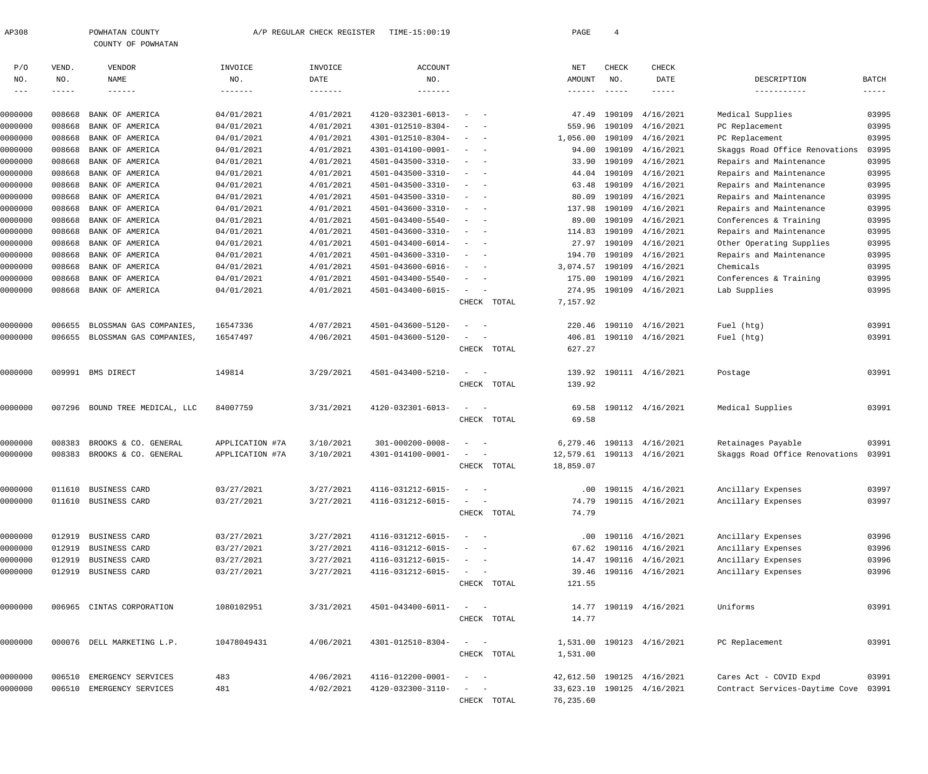| AP308                      |                      | POWHATAN COUNTY<br>COUNTY OF POWHATAN |                | A/P REGULAR CHECK REGISTER | TIME-15:00:19     |                      | PAGE              | $\overline{4}$       |                         |                                |                       |
|----------------------------|----------------------|---------------------------------------|----------------|----------------------------|-------------------|----------------------|-------------------|----------------------|-------------------------|--------------------------------|-----------------------|
| P/O                        | VEND.                | <b>VENDOR</b>                         | INVOICE        | INVOICE                    | ACCOUNT           |                      | NET               | CHECK                | CHECK                   |                                |                       |
| NO.<br>$\qquad \qquad - -$ | NO.<br>$- - - - - -$ | NAME                                  | NO.<br>------- | DATE                       | NO.<br>-------    |                      | AMOUNT<br>------- | NO.<br>$\frac{1}{2}$ | DATE<br>-----           | DESCRIPTION<br>-----------     | <b>BATCH</b><br>----- |
|                            |                      |                                       |                |                            |                   |                      |                   |                      |                         |                                |                       |
| 0000000                    | 008668               | BANK OF AMERICA                       | 04/01/2021     | 4/01/2021                  | 4120-032301-6013- |                      |                   | 47.49 190109         | 4/16/2021               | Medical Supplies               | 03995                 |
| 0000000                    | 008668               | BANK OF AMERICA                       | 04/01/2021     | 4/01/2021                  | 4301-012510-8304- | $\sim$ $-$           | 559.96            | 190109               | 4/16/2021               | PC Replacement                 | 03995                 |
| 0000000                    | 008668               | BANK OF AMERICA                       | 04/01/2021     | 4/01/2021                  | 4301-012510-8304- |                      | 1,056.00          |                      | 190109 4/16/2021        | PC Replacement                 | 03995                 |
| 0000000                    | 008668               | BANK OF AMERICA                       | 04/01/2021     | 4/01/2021                  | 4301-014100-0001- |                      |                   |                      | 94.00 190109 4/16/2021  | Skaggs Road Office Renovations | 03995                 |
| 0000000                    | 008668               | BANK OF AMERICA                       | 04/01/2021     | 4/01/2021                  | 4501-043500-3310- | $\sim$ $-$           |                   |                      | 33.90 190109 4/16/2021  | Repairs and Maintenance        | 03995                 |
| 0000000                    | 008668               | BANK OF AMERICA                       | 04/01/2021     | 4/01/2021                  | 4501-043500-3310- | $ -$                 |                   |                      | 44.04 190109 4/16/2021  | Repairs and Maintenance        | 03995                 |
| 0000000                    | 008668               | BANK OF AMERICA                       | 04/01/2021     | 4/01/2021                  | 4501-043500-3310- | $\sim$<br>$\sim$ $-$ | 63.48             | 190109               | 4/16/2021               | Repairs and Maintenance        | 03995                 |
| 0000000                    |                      | 008668 BANK OF AMERICA                | 04/01/2021     | 4/01/2021                  | 4501-043500-3310- | $\sim$<br>$\sim$ $-$ | 80.09             |                      | 190109 4/16/2021        | Repairs and Maintenance        | 03995                 |
| 0000000                    | 008668               | BANK OF AMERICA                       | 04/01/2021     | 4/01/2021                  | 4501-043600-3310- | $\sim$ $-$           | 137.98            |                      | 190109 4/16/2021        | Repairs and Maintenance        | 03995                 |
| 0000000                    | 008668               | BANK OF AMERICA                       | 04/01/2021     | 4/01/2021                  | 4501-043400-5540- |                      | 89.00             |                      | 190109 4/16/2021        | Conferences & Training         | 03995                 |
| 0000000                    | 008668               | BANK OF AMERICA                       | 04/01/2021     | 4/01/2021                  | 4501-043600-3310- |                      | 114.83            |                      | 190109 4/16/2021        | Repairs and Maintenance        | 03995                 |
| 0000000                    | 008668               | BANK OF AMERICA                       | 04/01/2021     | 4/01/2021                  | 4501-043400-6014- | $\sim$<br>$\sim$ $-$ | 27.97             |                      | 190109 4/16/2021        | Other Operating Supplies       | 03995                 |
| 0000000                    |                      | 008668 BANK OF AMERICA                | 04/01/2021     | 4/01/2021                  | 4501-043600-3310- | $\sim$ $-$<br>$\sim$ | 194.70            |                      | 190109 4/16/2021        | Repairs and Maintenance        | 03995                 |
| 0000000                    | 008668               | BANK OF AMERICA                       | 04/01/2021     | 4/01/2021                  | 4501-043600-6016- | $\sim$ $-$           | 3,074.57          |                      | 190109 4/16/2021        | Chemicals                      | 03995                 |
| 0000000                    | 008668               | BANK OF AMERICA                       | 04/01/2021     | 4/01/2021                  | 4501-043400-5540- | $\sim$ $-$           |                   |                      | 175.00 190109 4/16/2021 | Conferences & Training         | 03995                 |
| 0000000                    |                      | 008668 BANK OF AMERICA                | 04/01/2021     | 4/01/2021                  | 4501-043400-6015- |                      |                   |                      | 274.95 190109 4/16/2021 | Lab Supplies                   | 03995                 |
|                            |                      |                                       |                |                            |                   | CHECK TOTAL          | 7,157.92          |                      |                         |                                |                       |
| 0000000                    | 006655               | BLOSSMAN GAS COMPANIES,               | 16547336       | 4/07/2021                  | 4501-043600-5120- |                      |                   |                      | 220.46 190110 4/16/2021 | Fuel (htg)                     | 03991                 |
| 0000000                    |                      | 006655 BLOSSMAN GAS COMPANIES,        | 16547497       | 4/06/2021                  | 4501-043600-5120- |                      |                   |                      | 406.81 190110 4/16/2021 | Fuel (htg)                     | 03991                 |
|                            |                      |                                       |                |                            |                   | CHECK TOTAL          | 627.27            |                      |                         |                                |                       |
| 0000000                    |                      | 009991 BMS DIRECT                     | 149814         | 3/29/2021                  | 4501-043400-5210- |                      |                   |                      | 139.92 190111 4/16/2021 | Postage                        | 03991                 |
|                            |                      |                                       |                |                            |                   | CHECK TOTAL          | 139.92            |                      |                         |                                |                       |
| 0000000                    |                      | 007296 BOUND TREE MEDICAL, LLC        | 84007759       | 3/31/2021                  | 4120-032301-6013- |                      |                   |                      | 69.58 190112 4/16/2021  | Medical Supplies               | 03991                 |
|                            |                      |                                       |                |                            |                   | CHECK TOTAL          | 69.58             |                      |                         |                                |                       |

| 0000000 | 008383 | BROOKS & CO.<br>GENERAL | APPLICATION #7A | 3/10/2021 | $301 - 000200 - 0008 -$ | $\sim$<br>$\sim$                                                                                                          |       | 6,279.46  | 190113 | 4/16/2021        | Retainages Payable             | 03991 |
|---------|--------|-------------------------|-----------------|-----------|-------------------------|---------------------------------------------------------------------------------------------------------------------------|-------|-----------|--------|------------------|--------------------------------|-------|
| 0000000 | 008383 | BROOKS & CO. GENERAL    | APPLICATION #7A | 3/10/2021 | 4301-014100-0001-       | $\frac{1}{2} \left( \frac{1}{2} \right) \left( \frac{1}{2} \right) \left( \frac{1}{2} \right) \left( \frac{1}{2} \right)$ |       | 12,579.61 |        | 190113 4/16/2021 | Skaggs Road Office Renovations | 03991 |
|         |        |                         |                 |           |                         | CHECK                                                                                                                     | TOTAL | 18,859.07 |        |                  |                                |       |
| 0000000 | 011610 | BUSINESS CARD           | 03/27/2021      | 3/27/2021 | 4116-031212-6015-       | $ -$                                                                                                                      |       | $.00 \,$  |        | 190115 4/16/2021 | Ancillary Expenses             | 03997 |
| 0000000 | 011610 | BUSINESS CARD           | 03/27/2021      | 3/27/2021 | 4116-031212-6015-       | $ -$                                                                                                                      |       | 74.79     | 190115 | 4/16/2021        | Ancillary Expenses             | 03997 |
|         |        |                         |                 |           |                         | CHECK                                                                                                                     | TOTAL | 74.79     |        |                  |                                |       |
| 0000000 | 012919 | <b>BUSINESS CARD</b>    | 03/27/2021      | 3/27/2021 | 4116-031212-6015-       | $\frac{1}{2} \left( \frac{1}{2} \right) \left( \frac{1}{2} \right) \left( \frac{1}{2} \right) \left( \frac{1}{2} \right)$ |       | .00       | 190116 | 4/16/2021        | Ancillary Expenses             | 03996 |
| 0000000 | 012919 | <b>BUSINESS CARD</b>    | 03/27/2021      | 3/27/2021 | 4116-031212-6015-       | $\sim$ $\sim$                                                                                                             |       | 67.62     | 190116 | 4/16/2021        | Ancillary Expenses             | 03996 |
| 0000000 | 012919 | <b>BUSINESS CARD</b>    | 03/27/2021      | 3/27/2021 | 4116-031212-6015-       | $\frac{1}{2} \left( \frac{1}{2} \right) \left( \frac{1}{2} \right) \left( \frac{1}{2} \right) \left( \frac{1}{2} \right)$ |       | 14.47     | 190116 | 4/16/2021        | Ancillary Expenses             | 03996 |
| 0000000 | 012919 | <b>BUSINESS CARD</b>    | 03/27/2021      | 3/27/2021 | 4116-031212-6015-       | $\sim$ $\sim$                                                                                                             |       | 39.46     | 190116 | 4/16/2021        | Ancillary Expenses             | 03996 |
|         |        |                         |                 |           |                         | CHECK                                                                                                                     | TOTAL | 121.55    |        |                  |                                |       |
| 0000000 | 006965 | CINTAS CORPORATION      | 1080102951      | 3/31/2021 | 4501-043400-6011-       | $ -$                                                                                                                      |       | 14.77     |        | 190119 4/16/2021 | Uniforms                       | 03991 |
|         |        |                         |                 |           |                         | CHECK                                                                                                                     | TOTAL | 14.77     |        |                  |                                |       |
| 0000000 | 000076 | DELL MARKETING L.P.     | 10478049431     | 4/06/2021 | 4301-012510-8304-       | $\sim$ 100 $\sim$ 100 $\sim$                                                                                              |       | 1,531.00  | 190123 | 4/16/2021        | PC Replacement                 | 03991 |
|         |        |                         |                 |           |                         | CHECK                                                                                                                     | TOTAL | 1,531.00  |        |                  |                                |       |
| 0000000 | 006510 | EMERGENCY SERVICES      | 483             | 4/06/2021 | 4116-012200-0001-       | $ \,$<br>$\sim$                                                                                                           |       | 42,612.50 |        | 190125 4/16/2021 | Cares Act - COVID Expd         | 03991 |

0000000 006510 EMERGENCY SERVICES 481 4/02/2021 4120-032300-3110- - - 33,623.10 190125 4/16/2021 Contract Services-Daytime Cove 03991 CHECK TOTAL 76,235.60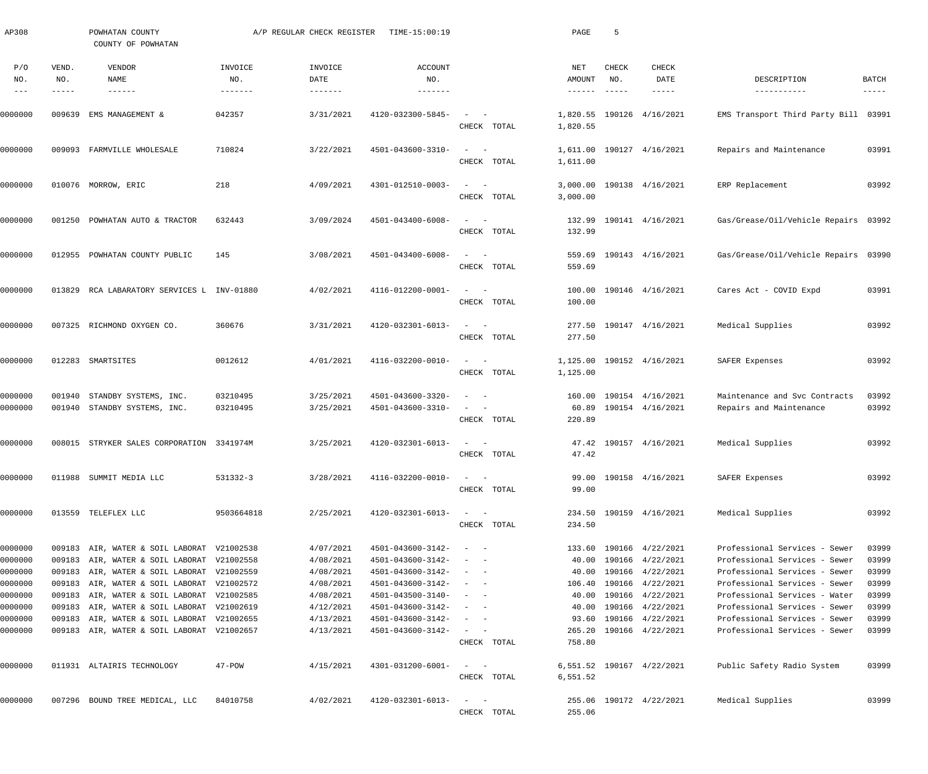| AP308                                                                     |                       | POWHATAN COUNTY<br>COUNTY OF POWHATAN                                                                                                                                                                                                                                                                                          |                                   | A/P REGULAR CHECK REGISTER                                                              | TIME-15:00:19                                                                                                                                   |                                                                                                                                                                                                        | PAGE                                       | 5                             |                                                                                                                                                       |                                                                                                                                                                                                                                     |                                                             |
|---------------------------------------------------------------------------|-----------------------|--------------------------------------------------------------------------------------------------------------------------------------------------------------------------------------------------------------------------------------------------------------------------------------------------------------------------------|-----------------------------------|-----------------------------------------------------------------------------------------|-------------------------------------------------------------------------------------------------------------------------------------------------|--------------------------------------------------------------------------------------------------------------------------------------------------------------------------------------------------------|--------------------------------------------|-------------------------------|-------------------------------------------------------------------------------------------------------------------------------------------------------|-------------------------------------------------------------------------------------------------------------------------------------------------------------------------------------------------------------------------------------|-------------------------------------------------------------|
| P/O<br>NO.<br>$\frac{1}{2}$                                               | VEND.<br>NO.<br>----- | VENDOR<br>NAME<br>$- - - - - - -$                                                                                                                                                                                                                                                                                              | INVOICE<br>NO.<br>$- - - - - - -$ | INVOICE<br>DATE                                                                         | ACCOUNT<br>NO.                                                                                                                                  |                                                                                                                                                                                                        | NET<br>AMOUNT<br>$- - - - - - -$           | CHECK<br>NO.<br>$- - - - - -$ | CHECK<br>DATE<br>-----                                                                                                                                | DESCRIPTION<br>-----------                                                                                                                                                                                                          | <b>BATCH</b><br>$- - - - -$                                 |
| 0000000                                                                   | 009639                | EMS MANAGEMENT &                                                                                                                                                                                                                                                                                                               | 042357                            | 3/31/2021                                                                               | 4120-032300-5845-                                                                                                                               | $\sim$<br>CHECK TOTAL                                                                                                                                                                                  | 1,820.55                                   |                               | 1,820.55 190126 4/16/2021                                                                                                                             | EMS Transport Third Party Bill 03991                                                                                                                                                                                                |                                                             |
| 0000000                                                                   |                       | 009093 FARMVILLE WHOLESALE                                                                                                                                                                                                                                                                                                     | 710824                            | 3/22/2021                                                                               | 4501-043600-3310-                                                                                                                               | $\frac{1}{2} \left( \frac{1}{2} \right) \left( \frac{1}{2} \right) = \frac{1}{2} \left( \frac{1}{2} \right)$<br>CHECK TOTAL                                                                            | 1,611.00                                   |                               | 1,611.00 190127 4/16/2021                                                                                                                             | Repairs and Maintenance                                                                                                                                                                                                             | 03991                                                       |
| 0000000                                                                   |                       | 010076 MORROW, ERIC                                                                                                                                                                                                                                                                                                            | 218                               | 4/09/2021                                                                               | 4301-012510-0003-                                                                                                                               | $\frac{1}{2} \left( \frac{1}{2} \right) \left( \frac{1}{2} \right) = \frac{1}{2} \left( \frac{1}{2} \right)$<br>CHECK TOTAL                                                                            | 3,000.00                                   |                               | 3,000.00 190138 4/16/2021                                                                                                                             | ERP Replacement                                                                                                                                                                                                                     | 03992                                                       |
| 0000000                                                                   | 001250                | POWHATAN AUTO & TRACTOR                                                                                                                                                                                                                                                                                                        | 632443                            | 3/09/2024                                                                               | 4501-043400-6008-                                                                                                                               | $\frac{1}{2} \left( \frac{1}{2} \right) \left( \frac{1}{2} \right) = \frac{1}{2} \left( \frac{1}{2} \right)$<br>CHECK TOTAL                                                                            | 132.99                                     |                               | 132.99 190141 4/16/2021                                                                                                                               | Gas/Grease/Oil/Vehicle Repairs 03992                                                                                                                                                                                                |                                                             |
| 0000000                                                                   | 012955                | POWHATAN COUNTY PUBLIC                                                                                                                                                                                                                                                                                                         | 145                               | 3/08/2021                                                                               | 4501-043400-6008-                                                                                                                               | $\frac{1}{2} \left( \frac{1}{2} \right) \left( \frac{1}{2} \right) = \frac{1}{2} \left( \frac{1}{2} \right)$<br>CHECK TOTAL                                                                            | 559.69                                     |                               | 559.69 190143 4/16/2021                                                                                                                               | Gas/Grease/Oil/Vehicle Repairs 03990                                                                                                                                                                                                |                                                             |
| 0000000                                                                   | 013829                | RCA LABARATORY SERVICES L INV-01880                                                                                                                                                                                                                                                                                            |                                   | 4/02/2021                                                                               | 4116-012200-0001-                                                                                                                               | $\frac{1}{2} \left( \frac{1}{2} \right) \left( \frac{1}{2} \right) = \frac{1}{2} \left( \frac{1}{2} \right)$<br>CHECK TOTAL                                                                            | 100.00                                     |                               | 100.00 190146 4/16/2021                                                                                                                               | Cares Act - COVID Expd                                                                                                                                                                                                              | 03991                                                       |
| 0000000                                                                   |                       | 007325 RICHMOND OXYGEN CO.                                                                                                                                                                                                                                                                                                     | 360676                            | 3/31/2021                                                                               | 4120-032301-6013-                                                                                                                               | $\omega_{\rm{max}}$ and $\omega_{\rm{max}}$<br>CHECK TOTAL                                                                                                                                             | 277.50                                     |                               | 277.50 190147 4/16/2021                                                                                                                               | Medical Supplies                                                                                                                                                                                                                    | 03992                                                       |
| 0000000                                                                   |                       | 012283 SMARTSITES                                                                                                                                                                                                                                                                                                              | 0012612                           | 4/01/2021                                                                               | 4116-032200-0010-                                                                                                                               | $\frac{1}{2} \left( \frac{1}{2} \right) \left( \frac{1}{2} \right) = \frac{1}{2} \left( \frac{1}{2} \right)$<br>CHECK TOTAL                                                                            | 1,125.00                                   |                               | 1,125.00 190152 4/16/2021                                                                                                                             | SAFER Expenses                                                                                                                                                                                                                      | 03992                                                       |
| 0000000<br>0000000                                                        | 001940                | STANDBY SYSTEMS, INC.<br>001940 STANDBY SYSTEMS, INC.                                                                                                                                                                                                                                                                          | 03210495<br>03210495              | 3/25/2021<br>3/25/2021                                                                  | 4501-043600-3320-<br>4501-043600-3310-                                                                                                          | $\sim$<br>$\sim$ 100 $\mu$<br>$\hspace{0.1mm}-\hspace{0.1mm}$<br>CHECK TOTAL                                                                                                                           | 220.89                                     |                               | 160.00 190154 4/16/2021<br>60.89 190154 4/16/2021                                                                                                     | Maintenance and Svc Contracts<br>Repairs and Maintenance                                                                                                                                                                            | 03992<br>03992                                              |
| 0000000                                                                   |                       | 008015 STRYKER SALES CORPORATION 3341974M                                                                                                                                                                                                                                                                                      |                                   | 3/25/2021                                                                               | 4120-032301-6013-                                                                                                                               | $\frac{1}{2} \left( \frac{1}{2} \right) \left( \frac{1}{2} \right) = \frac{1}{2} \left( \frac{1}{2} \right)$<br>CHECK TOTAL                                                                            | 47.42                                      |                               | 47.42 190157 4/16/2021                                                                                                                                | Medical Supplies                                                                                                                                                                                                                    | 03992                                                       |
| 0000000                                                                   |                       | 011988 SUMMIT MEDIA LLC                                                                                                                                                                                                                                                                                                        | 531332-3                          | 3/28/2021                                                                               | 4116-032200-0010-                                                                                                                               | $\sim$ $ -$<br>CHECK TOTAL                                                                                                                                                                             | 99.00                                      |                               | 99.00 190158 4/16/2021                                                                                                                                | SAFER Expenses                                                                                                                                                                                                                      | 03992                                                       |
| 0000000                                                                   |                       | 013559 TELEFLEX LLC                                                                                                                                                                                                                                                                                                            | 9503664818                        | 2/25/2021                                                                               | 4120-032301-6013-                                                                                                                               | $\frac{1}{2} \left( \frac{1}{2} \right) \left( \frac{1}{2} \right) = \frac{1}{2} \left( \frac{1}{2} \right)$<br>CHECK TOTAL                                                                            | 234.50                                     |                               | 234.50 190159 4/16/2021                                                                                                                               | Medical Supplies                                                                                                                                                                                                                    | 03992                                                       |
| 0000000<br>0000000<br>0000000<br>0000000<br>0000000<br>0000000<br>0000000 |                       | 009183 AIR, WATER & SOIL LABORAT V21002538<br>009183 AIR, WATER & SOIL LABORAT V21002558<br>009183 AIR, WATER & SOIL LABORAT V21002559<br>009183 AIR, WATER & SOIL LABORAT V21002572<br>009183 AIR, WATER & SOIL LABORAT V21002585<br>009183 AIR, WATER & SOIL LABORAT V21002619<br>009183 AIR, WATER & SOIL LABORAT V21002655 |                                   | 4/07/2021<br>4/08/2021<br>4/08/2021<br>4/08/2021<br>4/08/2021<br>4/12/2021<br>4/13/2021 | 4501-043600-3142-<br>4501-043600-3142-<br>4501-043600-3142-<br>4501-043600-3142-<br>4501-043500-3140-<br>4501-043600-3142-<br>4501-043600-3142- | $\sim$ $  -$<br>$\sim$<br>$\sim$ 100 $\sim$ 100 $\sim$<br>$\sim$ 100 $\sim$ 100 $\sim$<br>$\sim$ 100 $\sim$ 100 $\sim$<br>$\sim$ $ -$<br>$\frac{1}{2}$ , $\frac{1}{2}$ , $\frac{1}{2}$ , $\frac{1}{2}$ | 40.00<br>106.40<br>40.00<br>40.00<br>93.60 |                               | 133.60 190166 4/22/2021<br>40.00 190166 4/22/2021<br>190166 4/22/2021<br>190166 4/22/2021<br>190166 4/22/2021<br>190166 4/22/2021<br>190166 4/22/2021 | Professional Services - Sewer<br>Professional Services - Sewer<br>Professional Services - Sewer<br>Professional Services - Sewer<br>Professional Services - Water<br>Professional Services - Sewer<br>Professional Services - Sewer | 03999<br>03999<br>03999<br>03999<br>03999<br>03999<br>03999 |
| 0000000                                                                   |                       | 009183 AIR, WATER & SOIL LABORAT V21002657                                                                                                                                                                                                                                                                                     |                                   | 4/13/2021                                                                               | 4501-043600-3142-                                                                                                                               | $\sigma_{\rm{max}}=0.5$<br>CHECK TOTAL                                                                                                                                                                 | 265.20<br>758.80                           |                               | 190166 4/22/2021                                                                                                                                      | Professional Services - Sewer                                                                                                                                                                                                       | 03999                                                       |
| 0000000                                                                   |                       | 011931 ALTAIRIS TECHNOLOGY                                                                                                                                                                                                                                                                                                     | 47-POW                            | 4/15/2021                                                                               | 4301-031200-6001-                                                                                                                               | $\frac{1}{2}$ and $\frac{1}{2}$<br>CHECK TOTAL                                                                                                                                                         | 6,551.52                                   |                               | 6,551.52 190167 4/22/2021                                                                                                                             | Public Safety Radio System                                                                                                                                                                                                          | 03999                                                       |
| 0000000                                                                   |                       | 007296 BOUND TREE MEDICAL, LLC                                                                                                                                                                                                                                                                                                 | 84010758                          | 4/02/2021                                                                               | 4120-032301-6013-                                                                                                                               | $\mathcal{L}_{\text{max}}$ and $\mathcal{L}_{\text{max}}$<br>CHECK TOTAL                                                                                                                               | 255.06                                     |                               | 255.06 190172 4/22/2021                                                                                                                               | Medical Supplies                                                                                                                                                                                                                    | 03999                                                       |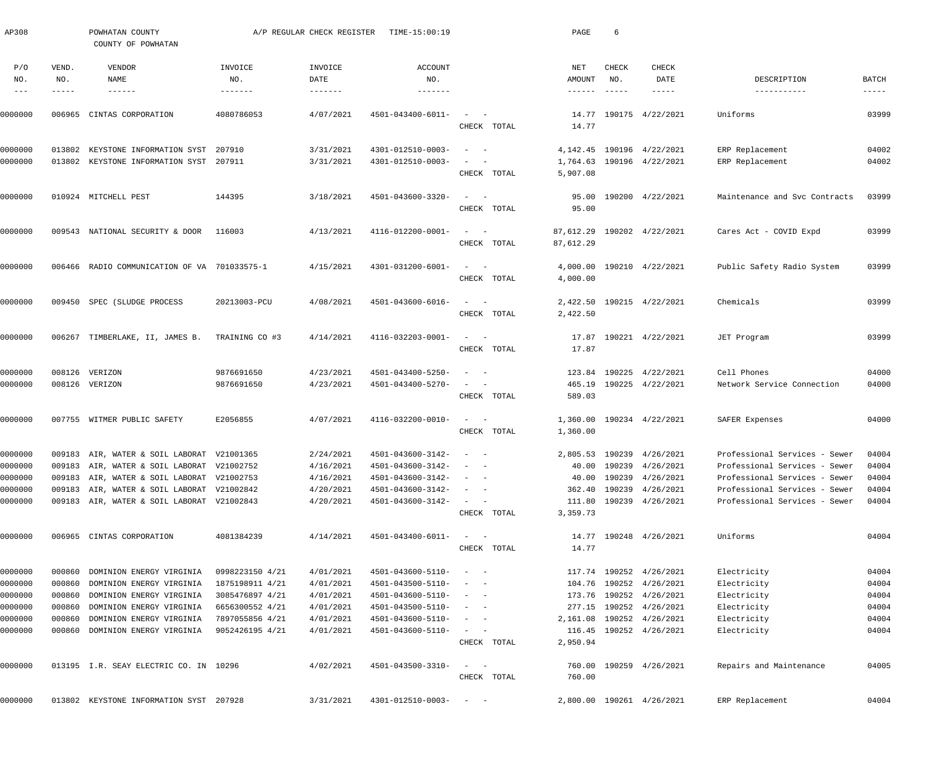| AP308                    |                       | POWHATAN COUNTY<br>COUNTY OF POWHATAN        |                                   | A/P REGULAR CHECK REGISTER             | TIME-15:00:19                     |                                                                  | PAGE                             | 6                             |                                |                               |                             |
|--------------------------|-----------------------|----------------------------------------------|-----------------------------------|----------------------------------------|-----------------------------------|------------------------------------------------------------------|----------------------------------|-------------------------------|--------------------------------|-------------------------------|-----------------------------|
| P/O<br>NO.<br>$--\,$ $-$ | VEND.<br>NO.<br>----- | VENDOR<br>NAME<br>$- - - - - - -$            | INVOICE<br>NO.<br>$- - - - - - -$ | INVOICE<br>DATE<br>$- - - - - - - - -$ | ACCOUNT<br>NO.<br>$- - - - - - -$ |                                                                  | NET<br>AMOUNT<br>$- - - - - - -$ | CHECK<br>NO.<br>$- - - - - -$ | CHECK<br>DATE<br>$- - - - - -$ | DESCRIPTION<br>-----------    | <b>BATCH</b><br>$- - - - -$ |
| 0000000                  | 006965                | CINTAS CORPORATION                           | 4080786053                        | 4/07/2021                              | 4501-043400-6011-                 | $\sim$<br>CHECK TOTAL                                            | 14.77                            |                               | 14.77 190175 4/22/2021         | Uniforms                      | 03999                       |
|                          |                       |                                              |                                   |                                        |                                   |                                                                  |                                  |                               |                                |                               |                             |
| 0000000                  | 013802                | KEYSTONE INFORMATION SYST                    | 207910                            | 3/31/2021                              | 4301-012510-0003-                 | $\frac{1}{2}$ and $\frac{1}{2}$ and $\frac{1}{2}$                | 4,142.45                         |                               | 190196 4/22/2021               | ERP Replacement               | 04002                       |
| 0000000                  |                       | 013802 KEYSTONE INFORMATION SYST 207911      |                                   | 3/31/2021                              | 4301-012510-0003-                 | $ \,$<br>$\sim$ $-$<br>CHECK TOTAL                               | 5,907.08                         |                               | 1,764.63 190196 4/22/2021      | ERP Replacement               | 04002                       |
| 0000000                  |                       | 010924 MITCHELL PEST                         | 144395                            | 3/18/2021                              | 4501-043600-3320-                 | $\frac{1}{2}$ and $\frac{1}{2}$ and $\frac{1}{2}$                | 95.00                            |                               | 190200 4/22/2021               | Maintenance and Svc Contracts | 03999                       |
|                          |                       |                                              |                                   |                                        |                                   | CHECK TOTAL                                                      | 95.00                            |                               |                                |                               |                             |
| 0000000                  |                       | 009543 NATIONAL SECURITY & DOOR              | 116003                            | 4/13/2021                              | 4116-012200-0001-                 | $\qquad \qquad -$                                                | 87,612.29                        |                               | 190202 4/22/2021               | Cares Act - COVID Expd        | 03999                       |
|                          |                       |                                              |                                   |                                        |                                   | CHECK TOTAL                                                      | 87,612.29                        |                               |                                |                               |                             |
| 0000000                  |                       | 006466 RADIO COMMUNICATION OF VA 701033575-1 |                                   | 4/15/2021                              | 4301-031200-6001-                 | $\frac{1}{2}$ and $\frac{1}{2}$ and $\frac{1}{2}$                |                                  |                               | 4,000.00 190210 4/22/2021      | Public Safety Radio System    | 03999                       |
|                          |                       |                                              |                                   |                                        |                                   | CHECK TOTAL                                                      | 4,000.00                         |                               |                                |                               |                             |
| 0000000                  |                       | 009450 SPEC (SLUDGE PROCESS                  | 20213003-PCU                      | 4/08/2021                              | 4501-043600-6016-                 | $\frac{1}{2}$ and $\frac{1}{2}$ and $\frac{1}{2}$                |                                  |                               | 2,422.50 190215 4/22/2021      | Chemicals                     | 03999                       |
|                          |                       |                                              |                                   |                                        |                                   | CHECK TOTAL                                                      | 2,422.50                         |                               |                                |                               |                             |
| 0000000                  |                       | 006267 TIMBERLAKE, II, JAMES B.              | TRAINING CO #3                    | 4/14/2021                              | 4116-032203-0001-                 | $\frac{1}{2}$ and $\frac{1}{2}$ and $\frac{1}{2}$                | 17.87                            |                               | 190221 4/22/2021               | JET Program                   | 03999                       |
|                          |                       |                                              |                                   |                                        |                                   | CHECK TOTAL                                                      | 17.87                            |                               |                                |                               |                             |
| 0000000                  |                       | 008126 VERIZON                               | 9876691650                        | 4/23/2021                              | 4501-043400-5250-                 | $\sim$ $-$<br>$\overline{\phantom{a}}$                           |                                  |                               | 123.84 190225 4/22/2021        | Cell Phones                   | 04000                       |
| 0000000                  |                       | 008126 VERIZON                               | 9876691650                        | 4/23/2021                              | 4501-043400-5270-                 | $\frac{1}{2}$ and $\frac{1}{2}$ and $\frac{1}{2}$<br>CHECK TOTAL | 589.03                           |                               | 465.19 190225 4/22/2021        | Network Service Connection    | 04000                       |
|                          |                       |                                              |                                   |                                        |                                   |                                                                  |                                  |                               |                                |                               |                             |
| 0000000                  |                       | 007755 WITMER PUBLIC SAFETY                  | E2056855                          | 4/07/2021                              | 4116-032200-0010-                 | $\qquad \qquad -$<br>CHECK TOTAL                                 | 1,360.00<br>1,360.00             |                               | 190234 4/22/2021               | SAFER Expenses                | 04000                       |
| 0000000                  |                       | 009183 AIR, WATER & SOIL LABORAT V21001365   |                                   | 2/24/2021                              | 4501-043600-3142-                 | $\frac{1}{2}$ and $\frac{1}{2}$ and $\frac{1}{2}$                |                                  |                               | 2,805.53 190239 4/26/2021      | Professional Services - Sewer | 04004                       |
| 0000000                  |                       | 009183 AIR, WATER & SOIL LABORAT V21002752   |                                   | 4/16/2021                              | $4501 - 043600 - 3142 - - -$      |                                                                  |                                  |                               | 40.00 190239 4/26/2021         | Professional Services - Sewer | 04004                       |
| 0000000                  |                       | 009183 AIR, WATER & SOIL LABORAT V21002753   |                                   | 4/16/2021                              | 4501-043600-3142-                 | $\frac{1}{2}$ and $\frac{1}{2}$ and $\frac{1}{2}$                |                                  |                               | 40.00 190239 4/26/2021         | Professional Services - Sewer | 04004                       |
| 0000000                  |                       | 009183 AIR, WATER & SOIL LABORAT V21002842   |                                   | 4/20/2021                              | 4501-043600-3142-                 | $\frac{1}{2}$ and $\frac{1}{2}$ and $\frac{1}{2}$                | 362.40                           |                               | 190239 4/26/2021               | Professional Services - Sewer | 04004                       |
| 0000000                  |                       | 009183 AIR, WATER & SOIL LABORAT V21002843   |                                   | 4/20/2021                              | 4501-043600-3142-                 | $\sim$ $ -$                                                      | 3,359.73                         |                               | 111.80 190239 4/26/2021        | Professional Services - Sewer | 04004                       |
|                          |                       |                                              |                                   |                                        |                                   | CHECK TOTAL                                                      |                                  |                               |                                |                               |                             |
| 0000000                  |                       | 006965 CINTAS CORPORATION                    | 4081384239                        | 4/14/2021                              | 4501-043400-6011-                 | $\sim$ $  -$                                                     |                                  |                               | 14.77 190248 4/26/2021         | Uniforms                      | 04004                       |
|                          |                       |                                              |                                   |                                        |                                   | CHECK TOTAL                                                      | 14.77                            |                               |                                |                               |                             |
| 0000000                  | 000860                | DOMINION ENERGY VIRGINIA                     | 0998223150 4/21                   | 4/01/2021                              | 4501-043600-5110-                 | $\sim$ $  -$                                                     |                                  |                               | 117.74 190252 4/26/2021        | Electricity                   | 04004                       |
| 0000000                  | 000860                | DOMINION ENERGY VIRGINIA                     | 1875198911 4/21                   | 4/01/2021                              | 4501-043500-5110-                 | $\sim$ 100 $\sim$ 100 $\sim$                                     |                                  |                               | 104.76 190252 4/26/2021        | Electricity                   | 04004                       |
| 0000000                  | 000860                | DOMINION ENERGY VIRGINIA                     | 3085476897 4/21                   | 4/01/2021                              | 4501-043600-5110-                 | $\sim$ 100 $\sim$ 100 $\sim$                                     |                                  |                               | 173.76 190252 4/26/2021        | Electricity                   | 04004                       |
| 0000000                  | 000860                | DOMINION ENERGY VIRGINIA                     | 6656300552 4/21                   | 4/01/2021                              | 4501-043500-5110-                 | $\sim$ 100 $\sim$ 100 $\sim$                                     |                                  |                               | 277.15 190252 4/26/2021        | Electricity                   | 04004                       |
| 0000000                  | 000860                | DOMINION ENERGY VIRGINIA                     | 7897055856 4/21                   | 4/01/2021                              | 4501-043600-5110-                 | $\alpha = 1, \ldots, \alpha$                                     |                                  |                               | 2, 161.08 190252 4/26/2021     | Electricity                   | 04004                       |
| 0000000                  |                       | 000860 DOMINION ENERGY VIRGINIA              | 9052426195 4/21                   | 4/01/2021                              | 4501-043600-5110-                 | $\sim$ $  -$<br>CHECK TOTAL                                      | 2,950.94                         |                               | 116.45 190252 4/26/2021        | Electricity                   | 04004                       |
|                          |                       |                                              |                                   |                                        |                                   |                                                                  |                                  |                               |                                |                               |                             |
| 0000000                  |                       | 013195 I.R. SEAY ELECTRIC CO. IN 10296       |                                   | 4/02/2021                              | 4501-043500-3310-                 | $\sim$ 100 $\sim$                                                |                                  |                               | 760.00 190259 4/26/2021        | Repairs and Maintenance       | 04005                       |
|                          |                       |                                              |                                   |                                        |                                   | CHECK TOTAL                                                      | 760.00                           |                               |                                |                               |                             |
| 0000000                  |                       | 013802 KEYSTONE INFORMATION SYST 207928      |                                   | 3/31/2021                              | $4301 - 012510 - 0003 - - -$      |                                                                  |                                  |                               | 2,800.00 190261 4/26/2021      | ERP Replacement               | 04004                       |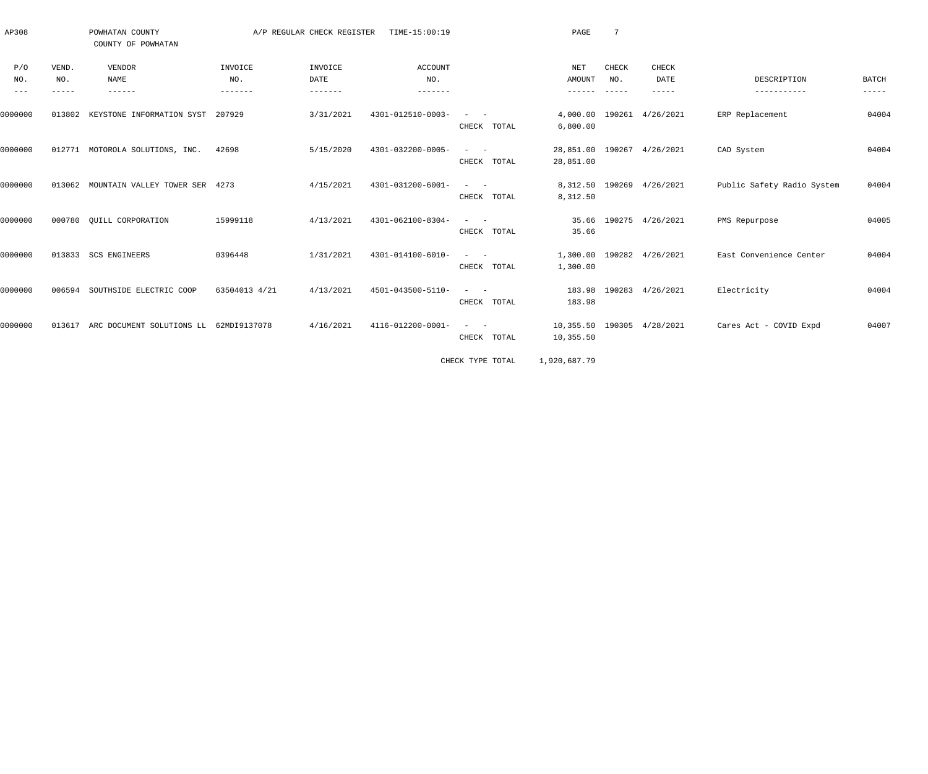| AP308               |        | POWHATAN COUNTY<br>COUNTY OF POWHATAN         |               | A/P REGULAR CHECK REGISTER | TIME-15:00:19     |                                                                                                                           | PAGE                                    | 7            |                           |                            |                      |
|---------------------|--------|-----------------------------------------------|---------------|----------------------------|-------------------|---------------------------------------------------------------------------------------------------------------------------|-----------------------------------------|--------------|---------------------------|----------------------------|----------------------|
| P/O                 | VEND.  | VENDOR                                        | INVOICE       | INVOICE                    | ACCOUNT           |                                                                                                                           | NET                                     | <b>CHECK</b> | CHECK                     |                            |                      |
| NO.                 | NO.    | NAME                                          | NO.           | DATE                       | NO.               |                                                                                                                           | AMOUNT                                  | NO.          | DATE                      | DESCRIPTION                | <b>BATCH</b>         |
| $\qquad \qquad - -$ | -----  | $- - - - - - -$                               | --------      |                            |                   |                                                                                                                           | $- - - - - - -$                         | $- - - - -$  | $- - - - -$               | -----------                | $\cdots\cdots\cdots$ |
| 0000000             | 013802 | KEYSTONE INFORMATION SYST 207929              |               | 3/31/2021                  | 4301-012510-0003- | $\mathcal{L}_{\text{max}}$ and $\mathcal{L}_{\text{max}}$                                                                 |                                         |              | 4,000.00 190261 4/26/2021 | ERP Replacement            | 04004                |
|                     |        |                                               |               |                            |                   | CHECK TOTAL                                                                                                               | 6,800.00                                |              |                           |                            |                      |
| 0000000             |        | 012771 MOTOROLA SOLUTIONS, INC.               | 42698         | 5/15/2020                  | 4301-032200-0005- | $\frac{1}{2}$ and $\frac{1}{2}$ and $\frac{1}{2}$                                                                         | 28,851.00 190267 4/26/2021              |              |                           | CAD System                 | 04004                |
|                     |        |                                               |               |                            |                   | CHECK TOTAL                                                                                                               | 28,851.00                               |              |                           |                            |                      |
| 0000000             |        | 013062 MOUNTAIN VALLEY TOWER SER 4273         |               | 4/15/2021                  | 4301-031200-6001- | $\sim$ $  -$                                                                                                              |                                         |              | 8,312.50 190269 4/26/2021 | Public Safety Radio System | 04004                |
|                     |        |                                               |               |                            |                   | CHECK TOTAL                                                                                                               | 8,312.50                                |              |                           |                            |                      |
| 0000000             |        | 000780 QUILL CORPORATION                      | 15999118      | 4/13/2021                  | 4301-062100-8304- | $\frac{1}{2}$ and $\frac{1}{2}$ and $\frac{1}{2}$                                                                         |                                         |              | 35.66 190275 4/26/2021    | PMS Repurpose              | 04005                |
|                     |        |                                               |               |                            |                   | CHECK TOTAL                                                                                                               | 35.66                                   |              |                           |                            |                      |
| 0000000             |        | 013833 SCS ENGINEERS                          | 0396448       | 1/31/2021                  | 4301-014100-6010- | $\frac{1}{2}$ and $\frac{1}{2}$ and $\frac{1}{2}$                                                                         |                                         |              | 1,300.00 190282 4/26/2021 | East Convenience Center    | 04004                |
|                     |        |                                               |               |                            |                   | CHECK TOTAL                                                                                                               | 1,300.00                                |              |                           |                            |                      |
| 0000000             |        | 006594 SOUTHSIDE ELECTRIC COOP                | 63504013 4/21 | 4/13/2021                  | 4501-043500-5110- | $\frac{1}{2} \left( \frac{1}{2} \right) \left( \frac{1}{2} \right) \left( \frac{1}{2} \right) \left( \frac{1}{2} \right)$ |                                         |              | 183.98 190283 4/26/2021   | Electricity                | 04004                |
|                     |        |                                               |               |                            |                   | CHECK TOTAL                                                                                                               | 183.98                                  |              |                           |                            |                      |
|                     |        |                                               |               |                            |                   |                                                                                                                           |                                         |              |                           |                            |                      |
| 0000000             |        | 013617 ARC DOCUMENT SOLUTIONS LL 62MDI9137078 |               | 4/16/2021                  | 4116-012200-0001- | $\sim$ $-$<br>$\sim$<br>CHECK TOTAL                                                                                       | 10,355.50 190305 4/28/2021<br>10,355.50 |              |                           | Cares Act - COVID Expd     | 04007                |
|                     |        |                                               |               |                            |                   |                                                                                                                           |                                         |              |                           |                            |                      |
|                     |        |                                               |               |                            |                   | CHECK TYPE TOTAL                                                                                                          | 1,920,687.79                            |              |                           |                            |                      |